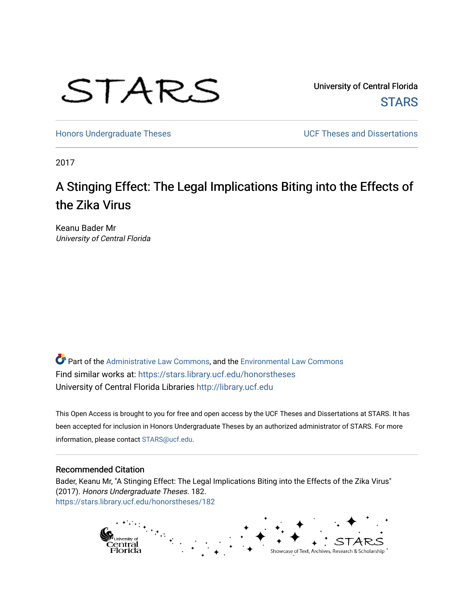

University of Central Florida **STARS** 

[Honors Undergraduate Theses](https://stars.library.ucf.edu/honorstheses) **Exercise 2018** UCF Theses and Dissertations

2017

# A Stinging Effect: The Legal Implications Biting into the Effects of the Zika Virus

Keanu Bader Mr University of Central Florida

Part of the [Administrative Law Commons,](http://network.bepress.com/hgg/discipline/579?utm_source=stars.library.ucf.edu%2Fhonorstheses%2F182&utm_medium=PDF&utm_campaign=PDFCoverPages) and the [Environmental Law Commons](http://network.bepress.com/hgg/discipline/599?utm_source=stars.library.ucf.edu%2Fhonorstheses%2F182&utm_medium=PDF&utm_campaign=PDFCoverPages)  Find similar works at: <https://stars.library.ucf.edu/honorstheses> University of Central Florida Libraries [http://library.ucf.edu](http://library.ucf.edu/) 

This Open Access is brought to you for free and open access by the UCF Theses and Dissertations at STARS. It has been accepted for inclusion in Honors Undergraduate Theses by an authorized administrator of STARS. For more information, please contact [STARS@ucf.edu.](mailto:STARS@ucf.edu)

#### Recommended Citation

Bader, Keanu Mr, "A Stinging Effect: The Legal Implications Biting into the Effects of the Zika Virus" (2017). Honors Undergraduate Theses. 182. [https://stars.library.ucf.edu/honorstheses/182](https://stars.library.ucf.edu/honorstheses/182?utm_source=stars.library.ucf.edu%2Fhonorstheses%2F182&utm_medium=PDF&utm_campaign=PDFCoverPages) 

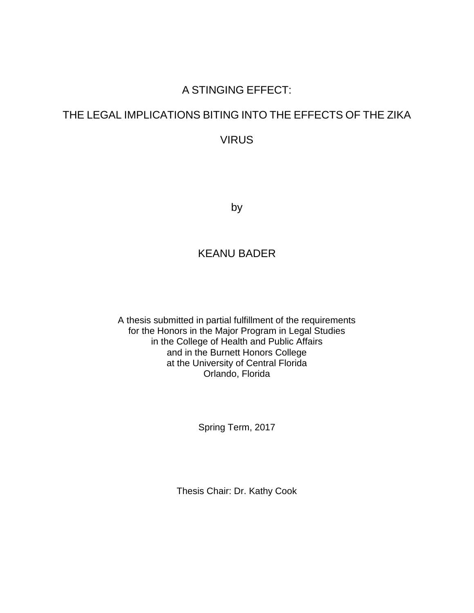# A STINGING EFFECT:

# THE LEGAL IMPLICATIONS BITING INTO THE EFFECTS OF THE ZIKA

VIRUS

by

# KEANU BADER

A thesis submitted in partial fulfillment of the requirements for the Honors in the Major Program in Legal Studies in the College of Health and Public Affairs and in the Burnett Honors College at the University of Central Florida Orlando, Florida

Spring Term, 2017

Thesis Chair: Dr. Kathy Cook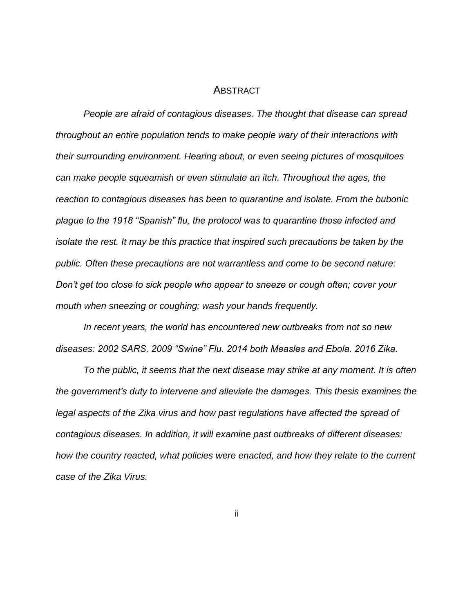#### ABSTRACT

*People are afraid of contagious diseases. The thought that disease can spread throughout an entire population tends to make people wary of their interactions with their surrounding environment. Hearing about, or even seeing pictures of mosquitoes can make people squeamish or even stimulate an itch. Throughout the ages, the reaction to contagious diseases has been to quarantine and isolate. From the bubonic plague to the 1918 "Spanish" flu, the protocol was to quarantine those infected and isolate the rest. It may be this practice that inspired such precautions be taken by the public. Often these precautions are not warrantless and come to be second nature: Don't get too close to sick people who appear to sneeze or cough often; cover your mouth when sneezing or coughing; wash your hands frequently.* 

*In recent years, the world has encountered new outbreaks from not so new diseases: 2002 SARS. 2009 "Swine" Flu. 2014 both Measles and Ebola. 2016 Zika.* 

*To the public, it seems that the next disease may strike at any moment. It is often the government's duty to intervene and alleviate the damages. This thesis examines the legal aspects of the Zika virus and how past regulations have affected the spread of contagious diseases. In addition, it will examine past outbreaks of different diseases: how the country reacted, what policies were enacted, and how they relate to the current case of the Zika Virus.* 

ii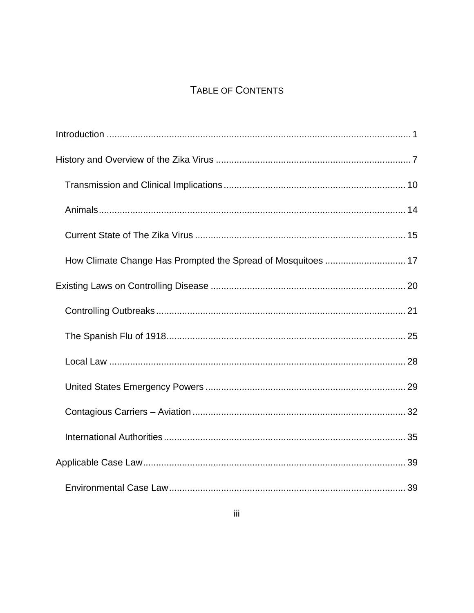# TABLE OF CONTENTS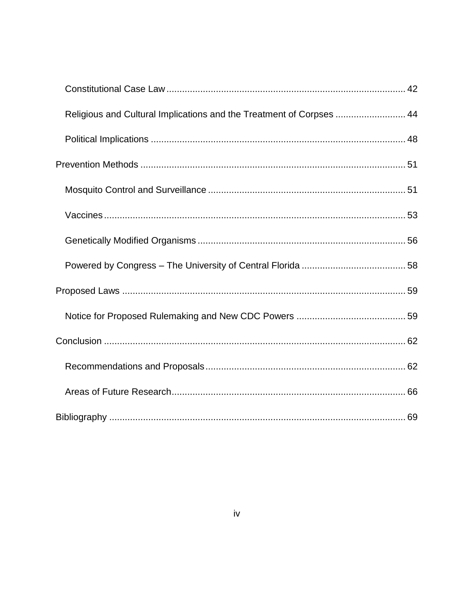| Religious and Cultural Implications and the Treatment of Corpses  44 |  |
|----------------------------------------------------------------------|--|
|                                                                      |  |
|                                                                      |  |
|                                                                      |  |
|                                                                      |  |
|                                                                      |  |
|                                                                      |  |
|                                                                      |  |
|                                                                      |  |
|                                                                      |  |
|                                                                      |  |
|                                                                      |  |
|                                                                      |  |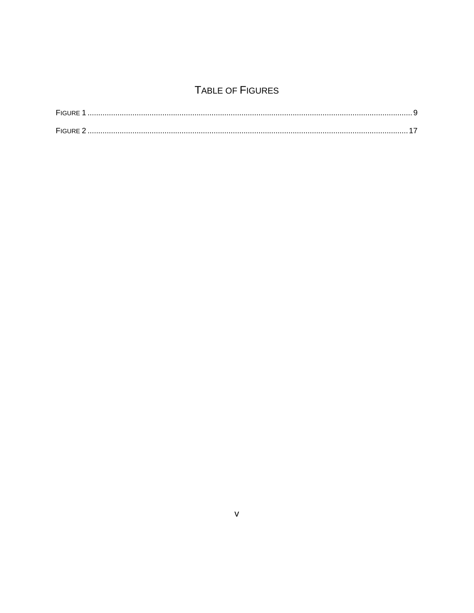# TABLE OF FIGURES

| <b>FIGURE</b> |  |
|---------------|--|
|               |  |
|               |  |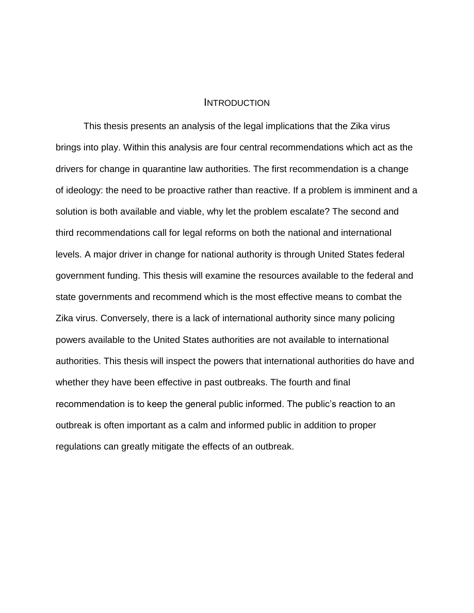#### **INTRODUCTION**

<span id="page-6-0"></span>This thesis presents an analysis of the legal implications that the Zika virus brings into play. Within this analysis are four central recommendations which act as the drivers for change in quarantine law authorities. The first recommendation is a change of ideology: the need to be proactive rather than reactive. If a problem is imminent and a solution is both available and viable, why let the problem escalate? The second and third recommendations call for legal reforms on both the national and international levels. A major driver in change for national authority is through United States federal government funding. This thesis will examine the resources available to the federal and state governments and recommend which is the most effective means to combat the Zika virus. Conversely, there is a lack of international authority since many policing powers available to the United States authorities are not available to international authorities. This thesis will inspect the powers that international authorities do have and whether they have been effective in past outbreaks. The fourth and final recommendation is to keep the general public informed. The public's reaction to an outbreak is often important as a calm and informed public in addition to proper regulations can greatly mitigate the effects of an outbreak.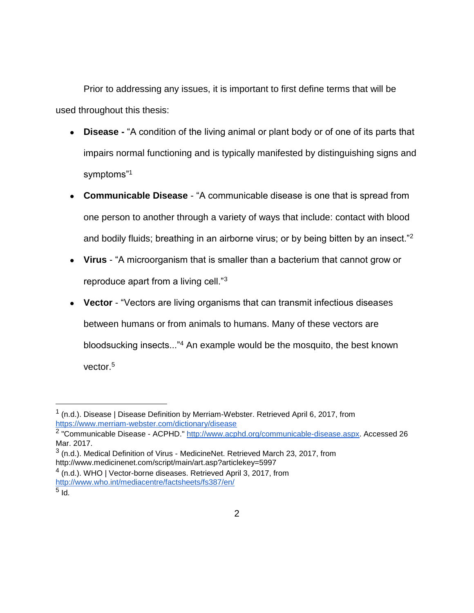Prior to addressing any issues, it is important to first define terms that will be used throughout this thesis:

- **Disease -** "A condition of the living animal or plant body or of one of its parts that impairs normal functioning and is typically manifested by distinguishing signs and symptoms"<sup>1</sup>
- **Communicable Disease**  "A communicable disease is one that is spread from one person to another through a variety of ways that include: contact with blood and bodily fluids; breathing in an airborne virus; or by being bitten by an insect."<sup>2</sup>
- **Virus** "A microorganism that is smaller than a bacterium that cannot grow or reproduce apart from a living cell."<sup>3</sup>
- **Vector**  "Vectors are living organisms that can transmit infectious diseases between humans or from animals to humans. Many of these vectors are bloodsucking insects..."<sup>4</sup> An example would be the mosquito, the best known vector.<sup>5</sup>

 $1$  (n.d.). Disease | Disease Definition by Merriam-Webster. Retrieved April 6, 2017, from <https://www.merriam-webster.com/dictionary/disease>

<sup>&</sup>lt;sup>2</sup> "Communicable Disease - ACPHD." [http://www.acphd.org/communicable-disease.aspx.](http://www.acphd.org/communicable-disease.aspx) Accessed 26 Mar. 2017.

 $3$  (n.d.). Medical Definition of Virus - MedicineNet. Retrieved March 23, 2017, from <http://www.medicinenet.com/script/main/art.asp?articlekey=5997>

<sup>&</sup>lt;sup>4</sup> (n.d.). WHO | Vector-borne diseases. Retrieved April 3, 2017, from <http://www.who.int/mediacentre/factsheets/fs387/en/>

 $^5$  Id.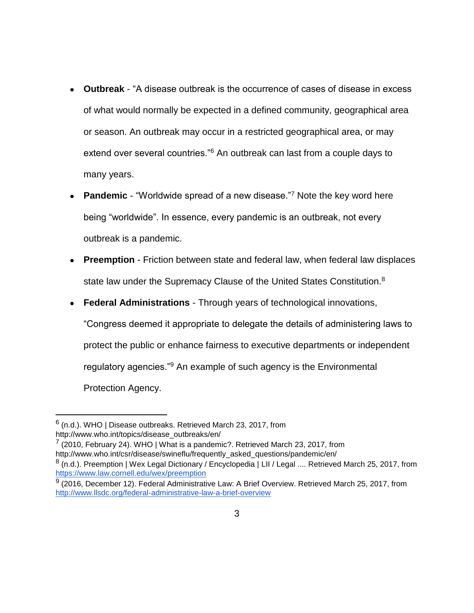- **Outbreak**  "A disease outbreak is the occurrence of cases of disease in excess of what would normally be expected in a defined community, geographical area or season. An outbreak may occur in a restricted geographical area, or may extend over several countries.<sup>"6</sup> An outbreak can last from a couple days to many years.
- **Pandemic** "Worldwide spread of a new disease."<sup>7</sup> Note the key word here being "worldwide". In essence, every pandemic is an outbreak, not every outbreak is a pandemic.
- **Preemption** Friction between state and federal law, when federal law displaces state law under the Supremacy Clause of the United States Constitution.<sup>8</sup>
- **Federal Administrations** Through years of technological innovations,

"Congress deemed it appropriate to delegate the details of administering laws to protect the public or enhance fairness to executive departments or independent regulatory agencies."<sup>9</sup> An example of such agency is the Environmental Protection Agency.

 $\overline{a}$ 

 $7$  (2010, February 24). WHO | What is a pandemic?. Retrieved March 23, 2017, from [http://www.who.int/csr/disease/swineflu/frequently\\_asked\\_questions/pandemic/en/](http://www.who.int/csr/disease/swineflu/frequently_asked_questions/pandemic/en/)

 $^6$  (n.d.). WHO | Disease outbreaks. Retrieved March 23, 2017, from [http://www.who.int/topics/disease\\_outbreaks/en/](http://www.who.int/topics/disease_outbreaks/en/)

<sup>&</sup>lt;sup>8</sup> (n.d.). Preemption | Wex Legal Dictionary / Encyclopedia | LII / Legal .... Retrieved March 25, 2017, from <https://www.law.cornell.edu/wex/preemption>

 $9$  (2016, December 12). Federal Administrative Law: A Brief Overview. Retrieved March 25, 2017, from <http://www.llsdc.org/federal-administrative-law-a-brief-overview>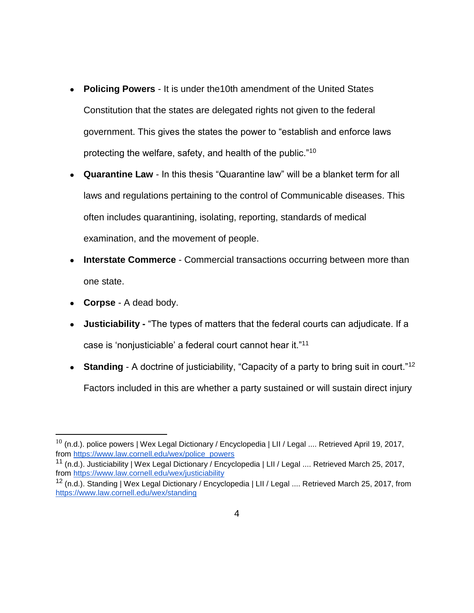- **Policing Powers** It is under the10th amendment of the United States Constitution that the states are delegated rights not given to the federal government. This gives the states the power to "establish and enforce laws protecting the welfare, safety, and health of the public."<sup>10</sup>
- **Quarantine Law**  In this thesis "Quarantine law" will be a blanket term for all laws and regulations pertaining to the control of Communicable diseases. This often includes quarantining, isolating, reporting, standards of medical examination, and the movement of people.
- **Interstate Commerce** Commercial transactions occurring between more than one state.
- **Corpse** A dead body.

- **Justiciability -** "The types of matters that the federal courts can adjudicate. If a case is 'nonjusticiable' a federal court cannot hear it."<sup>11</sup>
- **Standing** A doctrine of justiciability, "Capacity of a party to bring suit in court."<sup>12</sup> Factors included in this are whether a party sustained or will sustain direct injury

 $^{10}$  (n.d.). police powers | Wex Legal Dictionary / Encyclopedia | LII / Legal .... Retrieved April 19, 2017, from [https://www.law.cornell.edu/wex/police\\_powers](https://www.law.cornell.edu/wex/police_powers)

<sup>11</sup> (n.d.). Justiciability | Wex Legal Dictionary / Encyclopedia | LII / Legal .... Retrieved March 25, 2017, from<https://www.law.cornell.edu/wex/justiciability>

<sup>&</sup>lt;sup>12</sup> (n.d.). Standing | Wex Legal Dictionary / Encyclopedia | LII / Legal .... Retrieved March 25, 2017, from <https://www.law.cornell.edu/wex/standing>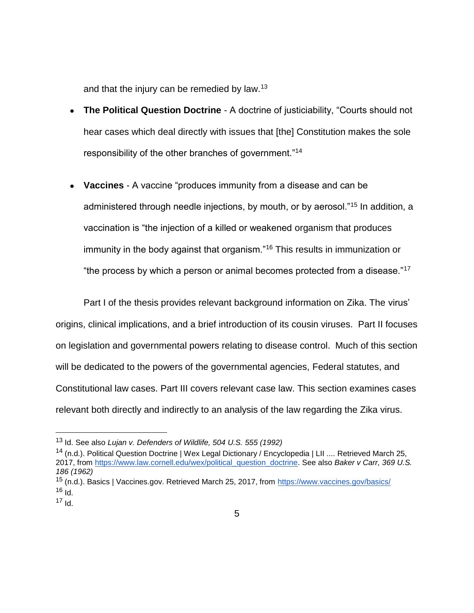and that the injury can be remedied by law.<sup>13</sup>

- **The Political Question Doctrine** A doctrine of justiciability, "Courts should not hear cases which deal directly with issues that [the] Constitution makes the sole responsibility of the other branches of government."<sup>14</sup>
- **Vaccines**  A vaccine "produces immunity from a disease and can be administered through needle injections, by mouth, or by aerosol."<sup>15</sup> In addition, a vaccination is "the injection of a killed or weakened organism that produces immunity in the body against that organism."<sup>16</sup> This results in immunization or "the process by which a person or animal becomes protected from a disease."<sup>17</sup>

Part I of the thesis provides relevant background information on Zika. The virus' origins, clinical implications, and a brief introduction of its cousin viruses. Part II focuses on legislation and governmental powers relating to disease control. Much of this section will be dedicated to the powers of the governmental agencies, Federal statutes, and Constitutional law cases. Part III covers relevant case law. This section examines cases relevant both directly and indirectly to an analysis of the law regarding the Zika virus.

<sup>13</sup> Id. See also *Lujan v. Defenders of Wildlife, 504 U.S. 555 (1992)*

<sup>&</sup>lt;sup>14</sup> (n.d.). Political Question Doctrine | Wex Legal Dictionary / Encyclopedia | LII .... Retrieved March 25, 2017, from [https://www.law.cornell.edu/wex/political\\_question\\_doctrine.](https://www.law.cornell.edu/wex/political_question_doctrine) See also *Baker v Carr, 369 U.S. 186 (1962)*

<sup>15</sup> (n.d.). Basics | Vaccines.gov. Retrieved March 25, 2017, from<https://www.vaccines.gov/basics/>  $16$  Id.

 $17$  Id.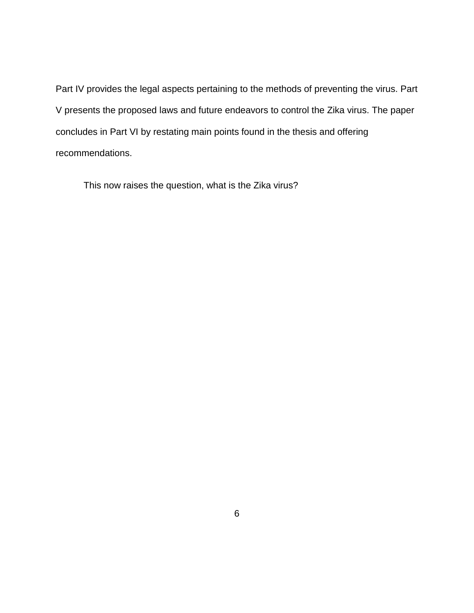Part IV provides the legal aspects pertaining to the methods of preventing the virus. Part V presents the proposed laws and future endeavors to control the Zika virus. The paper concludes in Part VI by restating main points found in the thesis and offering recommendations.

This now raises the question, what is the Zika virus?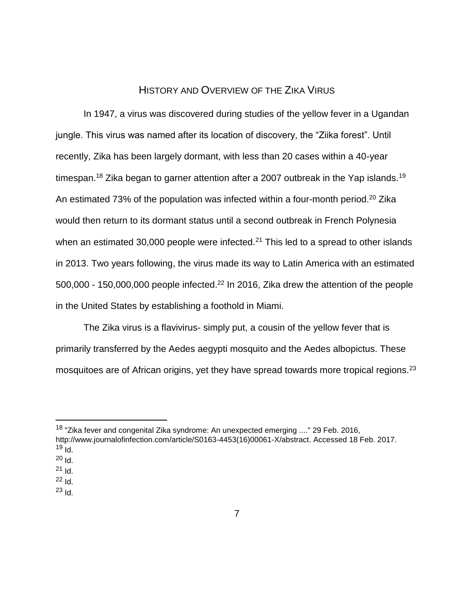## HISTORY AND OVERVIEW OF THE ZIKA VIRUS

<span id="page-12-0"></span>In 1947, a virus was discovered during studies of the yellow fever in a Ugandan jungle. This virus was named after its location of discovery, the "Ziika forest". Until recently, Zika has been largely dormant, with less than 20 cases within a 40-year timespan.<sup>18</sup> Zika began to garner attention after a 2007 outbreak in the Yap islands.<sup>19</sup> An estimated 73% of the population was infected within a four-month period.<sup>20</sup> Zika would then return to its dormant status until a second outbreak in French Polynesia when an estimated 30,000 people were infected.<sup>21</sup> This led to a spread to other islands in 2013. Two years following, the virus made its way to Latin America with an estimated 500,000 - 150,000,000 people infected.<sup>22</sup> In 2016, Zika drew the attention of the people in the United States by establishing a foothold in Miami.

The Zika virus is a flavivirus- simply put, a cousin of the yellow fever that is primarily transferred by the Aedes aegypti mosquito and the Aedes albopictus. These mosquitoes are of African origins, yet they have spread towards more tropical regions.<sup>23</sup>

<sup>&</sup>lt;sup>18</sup> "Zika fever and congenital Zika syndrome: An unexpected emerging ...." 29 Feb. 2016, [http://www.journalofinfection.com/article/S0163-4453\(16\)00061-X/abstract.](http://www.journalofinfection.com/article/S0163-4453(16)00061-X/abstract) Accessed 18 Feb. 2017.  $19$  Id.

 $20$  Id.

 $21$  Id.

 $^{22}$  Id.

 $^{23}$  Id.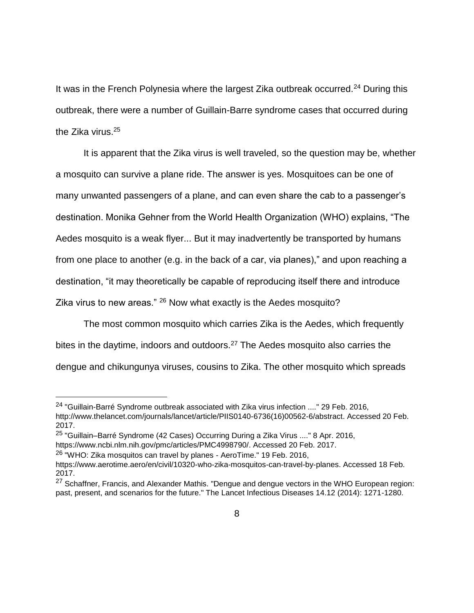It was in the French Polynesia where the largest Zika outbreak occurred.<sup>24</sup> During this outbreak, there were a number of Guillain-Barre syndrome cases that occurred during the Zika virus.<sup>25</sup>

It is apparent that the Zika virus is well traveled, so the question may be, whether a mosquito can survive a plane ride. The answer is yes. Mosquitoes can be one of many unwanted passengers of a plane, and can even share the cab to a passenger's destination. Monika Gehner from the World Health Organization (WHO) explains, "The Aedes mosquito is a weak flyer... But it may inadvertently be transported by humans from one place to another (e.g. in the back of a car, via planes)," and upon reaching a destination, "it may theoretically be capable of reproducing itself there and introduce Zika virus to new areas." <sup>26</sup> Now what exactly is the Aedes mosquito?

The most common mosquito which carries Zika is the Aedes, which frequently bites in the daytime, indoors and outdoors.<sup>27</sup> The Aedes mosquito also carries the dengue and chikungunya viruses, cousins to Zika. The other mosquito which spreads

 $24$  "Guillain-Barré Syndrome outbreak associated with Zika virus infection ...." 29 Feb. 2016, [http://www.thelancet.com/journals/lancet/article/PIIS0140-6736\(16\)00562-6/abstract.](http://www.thelancet.com/journals/lancet/article/PIIS0140-6736(16)00562-6/abstract) Accessed 20 Feb. 2017.

<sup>&</sup>lt;sup>25</sup> "Guillain–Barré Syndrome (42 Cases) Occurring During a Zika Virus ...." 8 Apr. 2016, [https://www.ncbi.nlm.nih.gov/pmc/articles/PMC4998790/.](https://www.ncbi.nlm.nih.gov/pmc/articles/PMC4998790/) Accessed 20 Feb. 2017.

<sup>&</sup>lt;sup>26</sup> "WHO: Zika mosquitos can travel by planes - AeroTime." 19 Feb. 2016,

[https://www.aerotime.aero/en/civil/10320-who-zika-mosquitos-can-travel-by-planes.](https://www.aerotime.aero/en/civil/10320-who-zika-mosquitos-can-travel-by-planes) Accessed 18 Feb. 2017.

 $27$  Schaffner, Francis, and Alexander Mathis. "Dengue and dengue vectors in the WHO European region: past, present, and scenarios for the future." The Lancet Infectious Diseases 14.12 (2014): 1271-1280.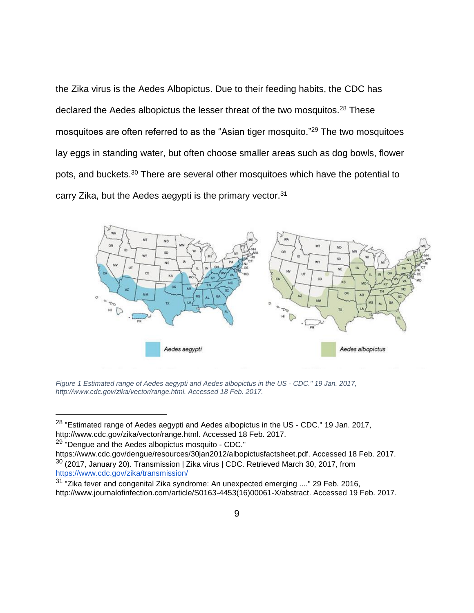the Zika virus is the Aedes Albopictus. Due to their feeding habits, the CDC has declared the Aedes albopictus the lesser threat of the two mosquitos.<sup>28</sup> These mosquitoes are often referred to as the "Asian tiger mosquito."<sup>29</sup> The two mosquitoes lay eggs in standing water, but often choose smaller areas such as dog bowls, flower pots, and buckets.<sup>30</sup> There are several other mosquitoes which have the potential to carry Zika, but the Aedes aegypti is the primary vector.<sup>31</sup>



<span id="page-14-0"></span>*Figure 1 Estimated range of Aedes aegypti and Aedes albopictus in the US - CDC." 19 Jan. 2017, http://www.cdc.gov/zika/vector/range.html. Accessed 18 Feb. 2017.*

<sup>&</sup>lt;sup>28</sup> "Estimated range of Aedes aegypti and Aedes albopictus in the US - CDC." 19 Jan. 2017, [http://www.cdc.gov/zika/vector/range.html.](http://www.cdc.gov/zika/vector/range.html) Accessed 18 Feb. 2017.

<sup>&</sup>lt;sup>29</sup> "Dengue and the Aedes albopictus mosquito - CDC."

[https://www.cdc.gov/dengue/resources/30jan2012/albopictusfactsheet.pdf.](https://www.cdc.gov/dengue/resources/30jan2012/albopictusfactsheet.pdf) Accessed 18 Feb. 2017. <sup>30</sup> (2017, January 20). Transmission | Zika virus | CDC. Retrieved March 30, 2017, from <https://www.cdc.gov/zika/transmission/>

 $31$  "Zika fever and congenital Zika syndrome: An unexpected emerging ...." 29 Feb. 2016, [http://www.journalofinfection.com/article/S0163-4453\(16\)00061-X/abstract.](http://www.journalofinfection.com/article/S0163-4453(16)00061-X/abstract) Accessed 19 Feb. 2017.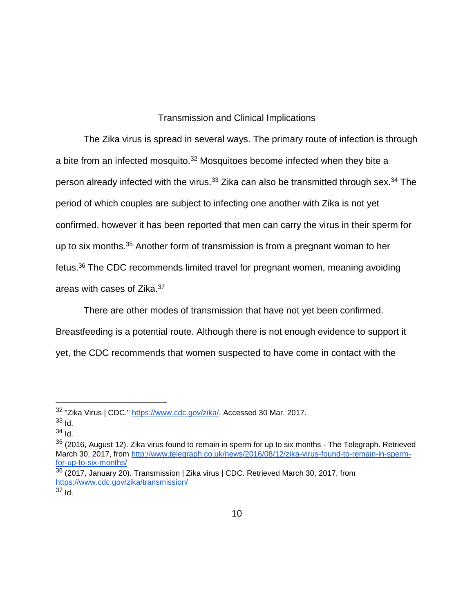## Transmission and Clinical Implications

<span id="page-15-0"></span>The Zika virus is spread in several ways. The primary route of infection is through a bite from an infected mosquito.<sup>32</sup> Mosquitoes become infected when they bite a person already infected with the virus.<sup>33</sup> Zika can also be transmitted through sex.<sup>34</sup> The period of which couples are subject to infecting one another with Zika is not yet confirmed, however it has been reported that men can carry the virus in their sperm for up to six months.<sup>35</sup> Another form of transmission is from a pregnant woman to her fetus.<sup>36</sup> The CDC recommends limited travel for pregnant women, meaning avoiding areas with cases of Zika.<sup>37</sup>

There are other modes of transmission that have not yet been confirmed. Breastfeeding is a potential route. Although there is not enough evidence to support it yet, the CDC recommends that women suspected to have come in contact with the

 $\overline{a}$ 

 $35$  (2016, August 12). Zika virus found to remain in sperm for up to six months - The Telegraph. Retrieved March 30, 2017, from [http://www.telegraph.co.uk/news/2016/08/12/zika-virus-found-to-remain-in-sperm](http://www.telegraph.co.uk/news/2016/08/12/zika-virus-found-to-remain-in-sperm-for-up-to-six-months/)[for-up-to-six-months/](http://www.telegraph.co.uk/news/2016/08/12/zika-virus-found-to-remain-in-sperm-for-up-to-six-months/)

 $37$  Id.

<sup>32</sup> "Zika Virus | CDC." [https://www.cdc.gov/zika/.](https://www.cdc.gov/zika/) Accessed 30 Mar. 2017.

 $33$  Id.

<sup>34</sup> Id.

 $36$  (2017, January 20). Transmission | Zika virus | CDC. Retrieved March 30, 2017, from <https://www.cdc.gov/zika/transmission/>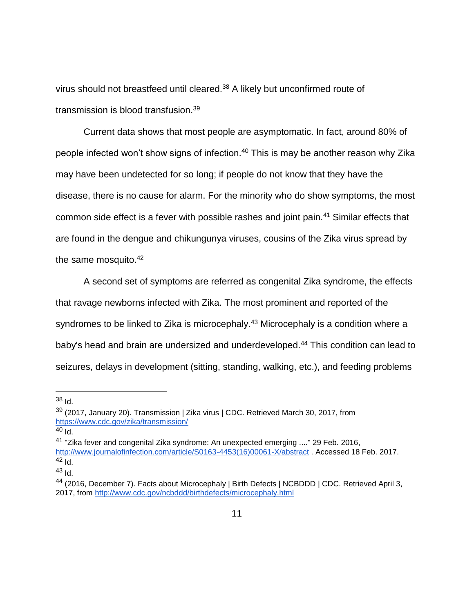virus should not breastfeed until cleared.<sup>38</sup> A likely but unconfirmed route of transmission is blood transfusion.<sup>39</sup>

Current data shows that most people are asymptomatic. In fact, around 80% of people infected won't show signs of infection.<sup>40</sup> This is may be another reason why Zika may have been undetected for so long; if people do not know that they have the disease, there is no cause for alarm. For the minority who do show symptoms, the most common side effect is a fever with possible rashes and joint pain.<sup>41</sup> Similar effects that are found in the dengue and chikungunya viruses, cousins of the Zika virus spread by the same mosquito.<sup>42</sup>

A second set of symptoms are referred as congenital Zika syndrome, the effects that ravage newborns infected with Zika. The most prominent and reported of the syndromes to be linked to Zika is microcephaly.<sup>43</sup> Microcephaly is a condition where a baby's head and brain are undersized and underdeveloped.<sup>44</sup> This condition can lead to seizures, delays in development (sitting, standing, walking, etc.), and feeding problems

 $38$  Id.

<sup>&</sup>lt;sup>39</sup> (2017, January 20). Transmission | Zika virus | CDC. Retrieved March 30, 2017, from <https://www.cdc.gov/zika/transmission/>

 $40$  Id.

<sup>41</sup> "Zika fever and congenital Zika syndrome: An unexpected emerging ...." 29 Feb. 2016, [http://www.journalofinfection.com/article/S0163-4453\(16\)00061-X/abstract](http://www.journalofinfection.com/article/S0163-4453(16)00061-X/abstract) . Accessed 18 Feb. 2017.  $42$  Id.

 $43$  Id.

<sup>44</sup> (2016, December 7). Facts about Microcephaly | Birth Defects | NCBDDD | CDC. Retrieved April 3, 2017, from<http://www.cdc.gov/ncbddd/birthdefects/microcephaly.html>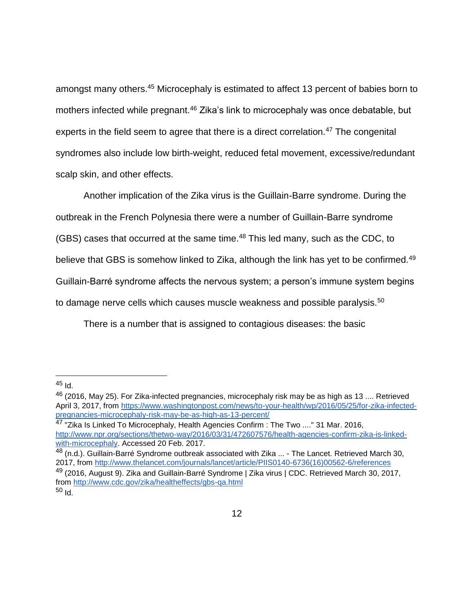amongst many others.<sup>45</sup> Microcephaly is estimated to affect 13 percent of babies born to mothers infected while pregnant.<sup>46</sup> Zika's link to microcephaly was once debatable, but experts in the field seem to agree that there is a direct correlation.<sup>47</sup> The congenital syndromes also include low birth-weight, reduced fetal movement, excessive/redundant scalp skin, and other effects.

Another implication of the Zika virus is the Guillain-Barre syndrome. During the outbreak in the French Polynesia there were a number of Guillain-Barre syndrome (GBS) cases that occurred at the same time.<sup>48</sup> This led many, such as the CDC, to believe that GBS is somehow linked to Zika, although the link has yet to be confirmed.<sup>49</sup> Guillain-Barré syndrome affects the nervous system; a person's immune system begins to damage nerve cells which causes muscle weakness and possible paralysis.<sup>50</sup>

There is a number that is assigned to contagious diseases: the basic

 $\overline{a}$ 

48 (n.d.). Guillain-Barré Syndrome outbreak associated with Zika ... - The Lancet. Retrieved March 30, 2017, from [http://www.thelancet.com/journals/lancet/article/PIIS0140-6736\(16\)00562-6/references](http://www.thelancet.com/journals/lancet/article/PIIS0140-6736(16)00562-6/references)

<sup>&</sup>lt;sup>45</sup> Id.

<sup>46</sup> (2016, May 25). For Zika-infected pregnancies, microcephaly risk may be as high as 13 .... Retrieved April 3, 2017, from [https://www.washingtonpost.com/news/to-your-health/wp/2016/05/25/for-zika-infected](https://www.washingtonpost.com/news/to-your-health/wp/2016/05/25/for-zika-infected-pregnancies-microcephaly-risk-may-be-as-high-as-13-percent/)[pregnancies-microcephaly-risk-may-be-as-high-as-13-percent/](https://www.washingtonpost.com/news/to-your-health/wp/2016/05/25/for-zika-infected-pregnancies-microcephaly-risk-may-be-as-high-as-13-percent/)

<sup>&</sup>lt;sup>47</sup> "Zika Is Linked To Microcephaly, Health Agencies Confirm : The Two ...." 31 Mar. 2016, [http://www.npr.org/sections/thetwo-way/2016/03/31/472607576/health-agencies-confirm-zika-is-linked](http://www.npr.org/sections/thetwo-way/2016/03/31/472607576/health-agencies-confirm-zika-is-linked-with-microcephaly)[with-microcephaly.](http://www.npr.org/sections/thetwo-way/2016/03/31/472607576/health-agencies-confirm-zika-is-linked-with-microcephaly) Accessed 20 Feb. 2017.

<sup>&</sup>lt;sup>49</sup> (2016, August 9). Zika and Guillain-Barré Syndrome | Zika virus | CDC. Retrieved March 30, 2017, from<http://www.cdc.gov/zika/healtheffects/gbs-qa.html>

<sup>50</sup> Id.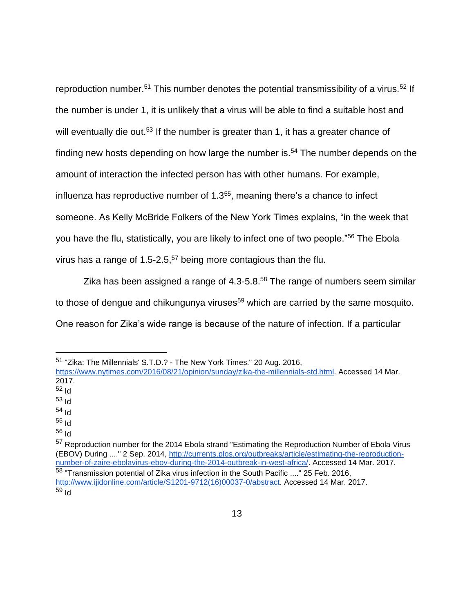reproduction number.<sup>51</sup> This number denotes the potential transmissibility of a virus.<sup>52</sup> If the number is under 1, it is unlikely that a virus will be able to find a suitable host and will eventually die out.<sup>53</sup> If the number is greater than 1, it has a greater chance of finding new hosts depending on how large the number is.<sup>54</sup> The number depends on the amount of interaction the infected person has with other humans. For example, influenza has reproductive number of 1.3<sup>55</sup>, meaning there's a chance to infect someone. As Kelly McBride Folkers of the New York Times explains, "in the week that you have the flu, statistically, you are likely to infect one of two people."<sup>56</sup> The Ebola virus has a range of  $1.5$ -2.5,<sup>57</sup> being more contagious than the flu.

Zika has been assigned a range of  $4.3 - 5.8$ .<sup>58</sup> The range of numbers seem similar to those of dengue and chikungunya viruses<sup>59</sup> which are carried by the same mosquito. One reason for Zika's wide range is because of the nature of infection. If a particular

 $\overline{a}$ 

<sup>56</sup> Id

<sup>51</sup> "Zika: The Millennials' S.T.D.? - The New York Times." 20 Aug. 2016,

[https://www.nytimes.com/2016/08/21/opinion/sunday/zika-the-millennials-std.html.](https://www.nytimes.com/2016/08/21/opinion/sunday/zika-the-millennials-std.html) Accessed 14 Mar. 2017.

 $52$  Id

<sup>53</sup> Id

<sup>54</sup> Id

<sup>55</sup> Id

<sup>&</sup>lt;sup>57</sup> Reproduction number for the 2014 Ebola strand "Estimating the Reproduction Number of Ebola Virus (EBOV) During ...." 2 Sep. 2014, [http://currents.plos.org/outbreaks/article/estimating-the-reproduction](http://currents.plos.org/outbreaks/article/estimating-the-reproduction-number-of-zaire-ebolavirus-ebov-during-the-2014-outbreak-in-west-africa/)[number-of-zaire-ebolavirus-ebov-during-the-2014-outbreak-in-west-africa/.](http://currents.plos.org/outbreaks/article/estimating-the-reproduction-number-of-zaire-ebolavirus-ebov-during-the-2014-outbreak-in-west-africa/) Accessed 14 Mar. 2017. <sup>58</sup> "Transmission potential of Zika virus infection in the South Pacific ...." 25 Feb. 2016, [http://www.ijidonline.com/article/S1201-9712\(16\)00037-0/abstract.](http://www.ijidonline.com/article/S1201-9712(16)00037-0/abstract) Accessed 14 Mar. 2017.  $59$  Id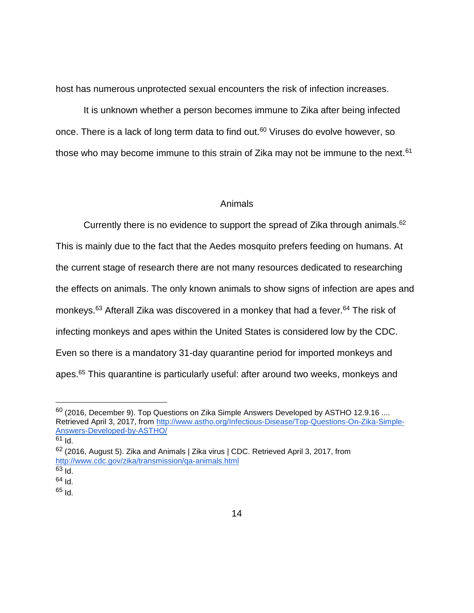host has numerous unprotected sexual encounters the risk of infection increases.

It is unknown whether a person becomes immune to Zika after being infected once. There is a lack of long term data to find out.<sup>60</sup> Viruses do evolve however, so those who may become immune to this strain of Zika may not be immune to the next.<sup>61</sup>

#### Animals

<span id="page-19-0"></span>Currently there is no evidence to support the spread of Zika through animals.<sup>62</sup> This is mainly due to the fact that the Aedes mosquito prefers feeding on humans. At the current stage of research there are not many resources dedicated to researching the effects on animals. The only known animals to show signs of infection are apes and monkeys.<sup>63</sup> Afterall Zika was discovered in a monkey that had a fever.<sup>64</sup> The risk of infecting monkeys and apes within the United States is considered low by the CDC. Even so there is a mandatory 31-day quarantine period for imported monkeys and apes.<sup>65</sup> This quarantine is particularly useful: after around two weeks, monkeys and

 $60$  (2016, December 9). Top Questions on Zika Simple Answers Developed by ASTHO 12.9.16 .... Retrieved April 3, 2017, from [http://www.astho.org/Infectious-Disease/Top-Questions-On-Zika-Simple-](http://www.astho.org/Infectious-Disease/Top-Questions-On-Zika-Simple-Answers-Developed-by-ASTHO/)[Answers-Developed-by-ASTHO/](http://www.astho.org/Infectious-Disease/Top-Questions-On-Zika-Simple-Answers-Developed-by-ASTHO/)

 $61$  Id.

<sup>62</sup> (2016, August 5). Zika and Animals | Zika virus | CDC. Retrieved April 3, 2017, from <http://www.cdc.gov/zika/transmission/qa-animals.html>

 $63$  Id.

 $64$  Id.

<sup>65</sup> Id.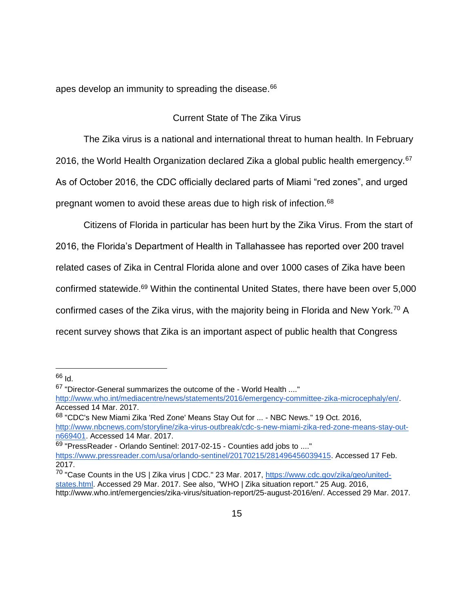<span id="page-20-0"></span>apes develop an immunity to spreading the disease.<sup>66</sup>

## Current State of The Zika Virus

The Zika virus is a national and international threat to human health. In February 2016, the World Health Organization declared Zika a global public health emergency.<sup>67</sup> As of October 2016, the CDC officially declared parts of Miami "red zones", and urged pregnant women to avoid these areas due to high risk of infection.<sup>68</sup>

Citizens of Florida in particular has been hurt by the Zika Virus. From the start of 2016, the Florida's Department of Health in Tallahassee has reported over 200 travel related cases of Zika in Central Florida alone and over 1000 cases of Zika have been confirmed statewide.<sup>69</sup> Within the continental United States, there have been over 5,000 confirmed cases of the Zika virus, with the majority being in Florida and New York.<sup>70</sup> A recent survey shows that Zika is an important aspect of public health that Congress

 $\overline{a}$ 

<sup>68</sup> "CDC's New Miami Zika 'Red Zone' Means Stay Out for ... - NBC News." 19 Oct. 2016, [http://www.nbcnews.com/storyline/zika-virus-outbreak/cdc-s-new-miami-zika-red-zone-means-stay-out](http://www.nbcnews.com/storyline/zika-virus-outbreak/cdc-s-new-miami-zika-red-zone-means-stay-out-n669401)[n669401.](http://www.nbcnews.com/storyline/zika-virus-outbreak/cdc-s-new-miami-zika-red-zone-means-stay-out-n669401) Accessed 14 Mar. 2017.

<sup>69</sup> "PressReader - Orlando Sentinel: 2017-02-15 - Counties add jobs to ...."

<sup>66</sup> Id.

<sup>67</sup> "Director-General summarizes the outcome of the - World Health ...."

[http://www.who.int/mediacentre/news/statements/2016/emergency-committee-zika-microcephaly/en/.](http://www.who.int/mediacentre/news/statements/2016/emergency-committee-zika-microcephaly/en/) Accessed 14 Mar. 2017.

[https://www.pressreader.com/usa/orlando-sentinel/20170215/281496456039415.](https://www.pressreader.com/usa/orlando-sentinel/20170215/281496456039415) Accessed 17 Feb. 2017.

<sup>&</sup>lt;sup>70</sup> "Case Counts in the US | Zika virus | CDC." 23 Mar. 2017, [https://www.cdc.gov/zika/geo/united](https://www.cdc.gov/zika/geo/united-states.html)[states.html.](https://www.cdc.gov/zika/geo/united-states.html) Accessed 29 Mar. 2017. See also, "WHO | Zika situation report." 25 Aug. 2016, http://www.who.int/emergencies/zika-virus/situation-report/25-august-2016/en/. Accessed 29 Mar. 2017.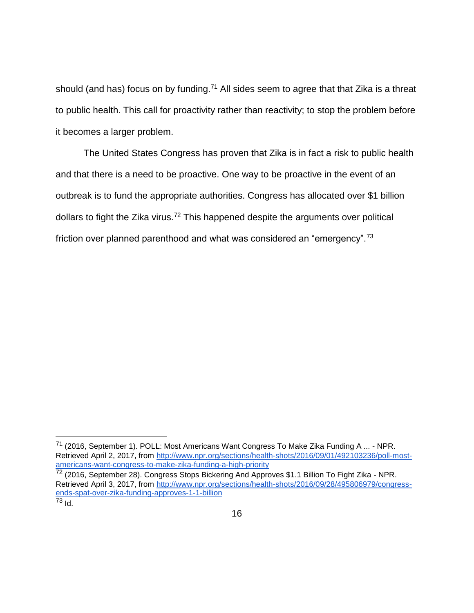should (and has) focus on by funding.<sup>71</sup> All sides seem to agree that that Zika is a threat to public health. This call for proactivity rather than reactivity; to stop the problem before it becomes a larger problem.

The United States Congress has proven that Zika is in fact a risk to public health and that there is a need to be proactive. One way to be proactive in the event of an outbreak is to fund the appropriate authorities. Congress has allocated over \$1 billion dollars to fight the Zika virus.<sup>72</sup> This happened despite the arguments over political friction over planned parenthood and what was considered an "emergency".<sup>73</sup>

<sup>71</sup> (2016, September 1). POLL: Most Americans Want Congress To Make Zika Funding A ... - NPR. Retrieved April 2, 2017, from [http://www.npr.org/sections/health-shots/2016/09/01/492103236/poll-most](http://www.npr.org/sections/health-shots/2016/09/01/492103236/poll-most-americans-want-congress-to-make-zika-funding-a-high-priority)[americans-want-congress-to-make-zika-funding-a-high-priority](http://www.npr.org/sections/health-shots/2016/09/01/492103236/poll-most-americans-want-congress-to-make-zika-funding-a-high-priority)

<sup>72 (2016,</sup> September 28). Congress Stops Bickering And Approves \$1.1 Billion To Fight Zika - NPR. Retrieved April 3, 2017, from [http://www.npr.org/sections/health-shots/2016/09/28/495806979/congress](http://www.npr.org/sections/health-shots/2016/09/28/495806979/congress-ends-spat-over-zika-funding-approves-1-1-billion)[ends-spat-over-zika-funding-approves-1-1-billion](http://www.npr.org/sections/health-shots/2016/09/28/495806979/congress-ends-spat-over-zika-funding-approves-1-1-billion)  $\overline{73}$  Id.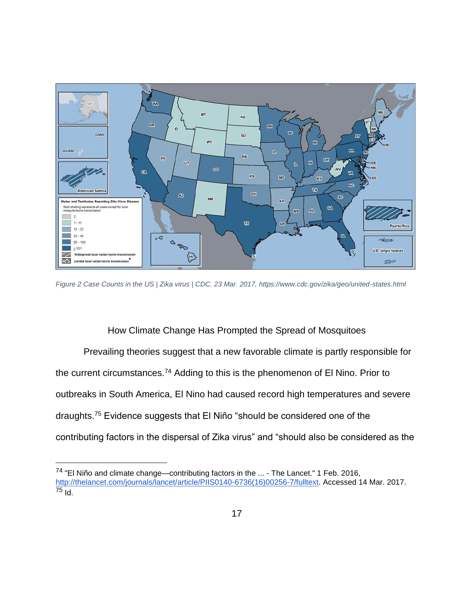

<span id="page-22-1"></span>*Figure 2 Case Counts in the US | Zika virus | CDC. 23 Mar. 2017, https://www.cdc.gov/zika/geo/united-states.html*

How Climate Change Has Prompted the Spread of Mosquitoes

<span id="page-22-0"></span>Prevailing theories suggest that a new favorable climate is partly responsible for the current circumstances.<sup>74</sup> Adding to this is the phenomenon of El Nino. Prior to outbreaks in South America, El Nino had caused record high temperatures and severe draughts.<sup>75</sup> Evidence suggests that El Niño "should be considered one of the contributing factors in the dispersal of Zika virus" and "should also be considered as the

<sup>74</sup> "El Niño and climate change—contributing factors in the ... - The Lancet." 1 Feb. 2016, [http://thelancet.com/journals/lancet/article/PIIS0140-6736\(16\)00256-7/fulltext.](http://thelancet.com/journals/lancet/article/PIIS0140-6736(16)00256-7/fulltext) Accessed 14 Mar. 2017.  $\frac{1}{75}$  Id.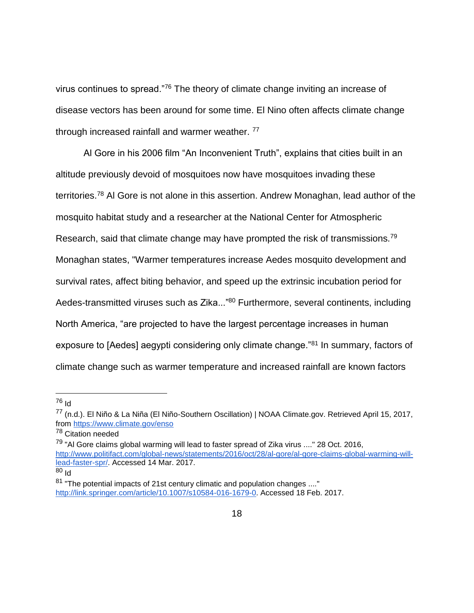virus continues to spread."<sup>76</sup> The theory of climate change inviting an increase of disease vectors has been around for some time. El Nino often affects climate change through increased rainfall and warmer weather.<sup>77</sup>

Al Gore in his 2006 film "An Inconvenient Truth", explains that cities built in an altitude previously devoid of mosquitoes now have mosquitoes invading these territories.<sup>78</sup> Al Gore is not alone in this assertion. Andrew Monaghan, lead author of the mosquito habitat study and a researcher at the National Center for Atmospheric Research, said that climate change may have prompted the risk of transmissions.<sup>79</sup> Monaghan states, "Warmer temperatures increase Aedes mosquito development and survival rates, affect biting behavior, and speed up the extrinsic incubation period for Aedes-transmitted viruses such as Zika..."<sup>80</sup> Furthermore, several continents, including North America, "are projected to have the largest percentage increases in human exposure to [Aedes] aegypti considering only climate change."<sup>81</sup> In summary, factors of climate change such as warmer temperature and increased rainfall are known factors

<sup>76</sup> Id

 $\overline{a}$ 

<sup>78</sup> Citation needed

<sup>79</sup> "Al Gore claims global warming will lead to faster spread of Zika virus ...." 28 Oct. 2016, [http://www.politifact.com/global-news/statements/2016/oct/28/al-gore/al-gore-claims-global-warming-will](http://www.politifact.com/global-news/statements/2016/oct/28/al-gore/al-gore-claims-global-warming-will-lead-faster-spr/)[lead-faster-spr/.](http://www.politifact.com/global-news/statements/2016/oct/28/al-gore/al-gore-claims-global-warming-will-lead-faster-spr/) Accessed 14 Mar. 2017. <sup>80</sup> Id

<sup>77</sup> (n.d.). El Niño & La Niña (El Niño-Southern Oscillation) | NOAA Climate.gov. Retrieved April 15, 2017, from<https://www.climate.gov/enso>

 $81$  "The potential impacts of 21st century climatic and population changes ...." [http://link.springer.com/article/10.1007/s10584-016-1679-0.](http://link.springer.com/article/10.1007/s10584-016-1679-0) Accessed 18 Feb. 2017.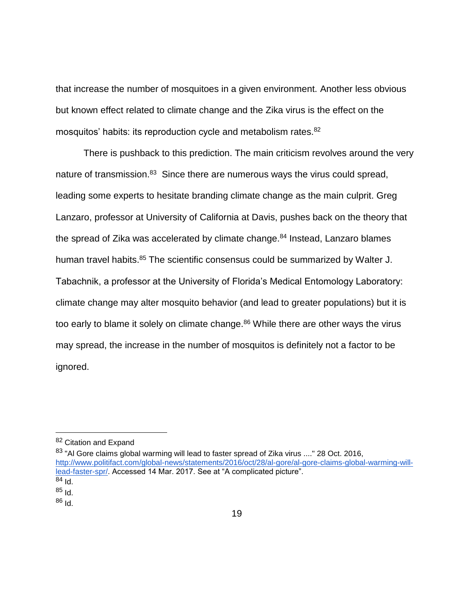that increase the number of mosquitoes in a given environment. Another less obvious but known effect related to climate change and the Zika virus is the effect on the mosquitos' habits: its reproduction cycle and metabolism rates.<sup>82</sup>

There is pushback to this prediction. The main criticism revolves around the very nature of transmission.<sup>83</sup> Since there are numerous ways the virus could spread, leading some experts to hesitate branding climate change as the main culprit. Greg Lanzaro, professor at University of California at Davis, pushes back on the theory that the spread of Zika was accelerated by climate change.<sup>84</sup> Instead, Lanzaro blames human travel habits.<sup>85</sup> The scientific consensus could be summarized by Walter J. Tabachnik, a professor at the University of Florida's Medical Entomology Laboratory: climate change may alter mosquito behavior (and lead to greater populations) but it is too early to blame it solely on climate change.<sup>86</sup> While there are other ways the virus may spread, the increase in the number of mosquitos is definitely not a factor to be ignored.

<sup>83</sup> "Al Gore claims global warming will lead to faster spread of Zika virus ...." 28 Oct. 2016, [http://www.politifact.com/global-news/statements/2016/oct/28/al-gore/al-gore-claims-global-warming-will](http://www.politifact.com/global-news/statements/2016/oct/28/al-gore/al-gore-claims-global-warming-will-lead-faster-spr/)[lead-faster-spr/.](http://www.politifact.com/global-news/statements/2016/oct/28/al-gore/al-gore-claims-global-warming-will-lead-faster-spr/) Accessed 14 Mar. 2017. See at "A complicated picture".  $84$  Id.

<sup>82</sup> Citation and Expand

 $85$  Id.

 $86$  Id.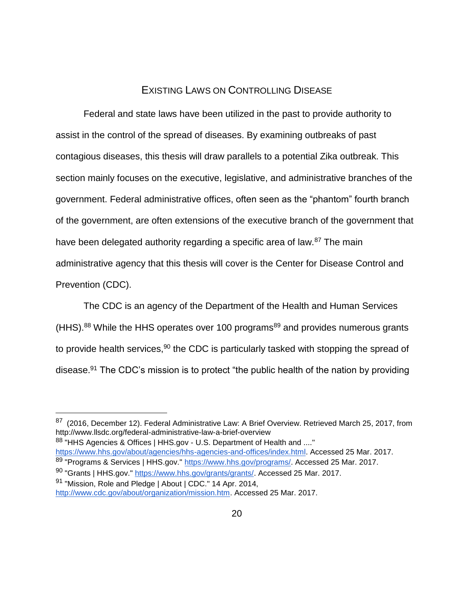## EXISTING LAWS ON CONTROLLING DISEASE

<span id="page-25-0"></span>Federal and state laws have been utilized in the past to provide authority to assist in the control of the spread of diseases. By examining outbreaks of past contagious diseases, this thesis will draw parallels to a potential Zika outbreak. This section mainly focuses on the executive, legislative, and administrative branches of the government. Federal administrative offices, often seen as the "phantom" fourth branch of the government, are often extensions of the executive branch of the government that have been delegated authority regarding a specific area of law.<sup>87</sup> The main administrative agency that this thesis will cover is the Center for Disease Control and Prevention (CDC).

The CDC is an agency of the Department of the Health and Human Services (HHS).<sup>88</sup> While the HHS operates over 100 programs<sup>89</sup> and provides numerous grants to provide health services,  $90$  the CDC is particularly tasked with stopping the spread of disease.<sup>91</sup> The CDC's mission is to protect "the public health of the nation by providing

88 "HHS Agencies & Offices | HHS.gov - U.S. Department of Health and ...." [https://www.hhs.gov/about/agencies/hhs-agencies-and-offices/index.html.](https://www.hhs.gov/about/agencies/hhs-agencies-and-offices/index.html) Accessed 25 Mar. 2017.

<sup>&</sup>lt;sup>87</sup> (2016, December 12). Federal Administrative Law: A Brief Overview. Retrieved March 25, 2017, from http://www.llsdc.org/federal-administrative-law-a-brief-overview

<sup>89 &</sup>quot;Programs & Services | HHS.gov." [https://www.hhs.gov/programs/.](https://www.hhs.gov/programs/) Accessed 25 Mar. 2017.

<sup>90</sup> "Grants | HHS.gov." [https://www.hhs.gov/grants/grants/.](https://www.hhs.gov/grants/grants/) Accessed 25 Mar. 2017.

<sup>&</sup>lt;sup>91</sup> "Mission, Role and Pledge | About | CDC." 14 Apr. 2014,

[http://www.cdc.gov/about/organization/mission.htm.](http://www.cdc.gov/about/organization/mission.htm) Accessed 25 Mar. 2017.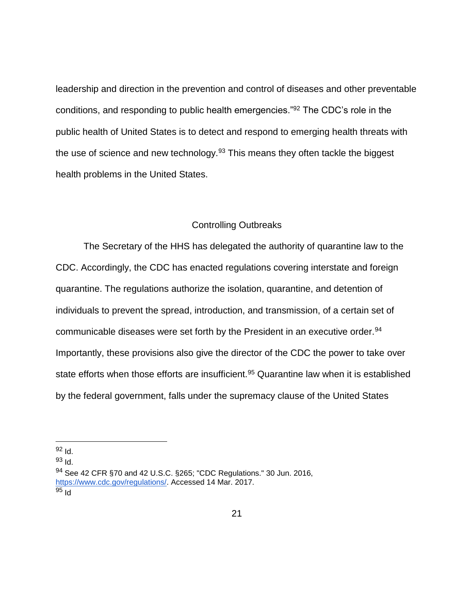leadership and direction in the prevention and control of diseases and other preventable conditions, and responding to public health emergencies."<sup>92</sup> The CDC's role in the public health of United States is to detect and respond to emerging health threats with the use of science and new technology.<sup>93</sup> This means they often tackle the biggest health problems in the United States.

#### Controlling Outbreaks

<span id="page-26-0"></span>The Secretary of the HHS has delegated the authority of quarantine law to the CDC. Accordingly, the CDC has enacted regulations covering interstate and foreign quarantine. The regulations authorize the isolation, quarantine, and detention of individuals to prevent the spread, introduction, and transmission, of a certain set of communicable diseases were set forth by the President in an executive order.<sup>94</sup> Importantly, these provisions also give the director of the CDC the power to take over state efforts when those efforts are insufficient.<sup>95</sup> Quarantine law when it is established by the federal government, falls under the supremacy clause of the United States

<sup>92</sup> Id.

 $\overline{a}$ 

<sup>93</sup> Id.

<sup>94</sup> See 42 CFR §70 and 42 U.S.C. §265; "CDC Regulations." 30 Jun. 2016, [https://www.cdc.gov/regulations/.](https://www.cdc.gov/regulations/) Accessed 14 Mar. 2017.  $95$  Id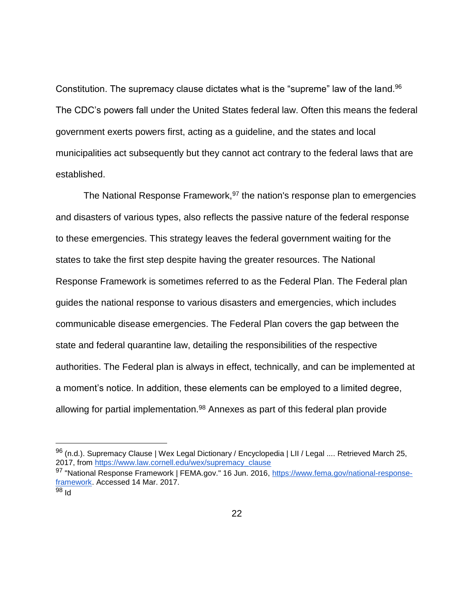Constitution. The supremacy clause dictates what is the "supreme" law of the land.<sup>96</sup> The CDC's powers fall under the United States federal law. Often this means the federal government exerts powers first, acting as a guideline, and the states and local municipalities act subsequently but they cannot act contrary to the federal laws that are established.

The National Response Framework,  $97$  the nation's response plan to emergencies and disasters of various types, also reflects the passive nature of the federal response to these emergencies. This strategy leaves the federal government waiting for the states to take the first step despite having the greater resources. The National Response Framework is sometimes referred to as the Federal Plan. The Federal plan guides the national response to various disasters and emergencies, which includes communicable disease emergencies. The Federal Plan covers the gap between the state and federal quarantine law, detailing the responsibilities of the respective authorities. The Federal plan is always in effect, technically, and can be implemented at a moment's notice. In addition, these elements can be employed to a limited degree, allowing for partial implementation. $98$  Annexes as part of this federal plan provide

 $96$  (n.d.). Supremacy Clause | Wex Legal Dictionary / Encyclopedia | LII / Legal .... Retrieved March 25, 2017, from [https://www.law.cornell.edu/wex/supremacy\\_clause](https://www.law.cornell.edu/wex/supremacy_clause)

<sup>97 &</sup>quot;National Response Framework | FEMA.gov." 16 Jun. 2016, [https://www.fema.gov/national-response](https://www.fema.gov/national-response-framework)[framework.](https://www.fema.gov/national-response-framework) Accessed 14 Mar. 2017.

<sup>98</sup> Id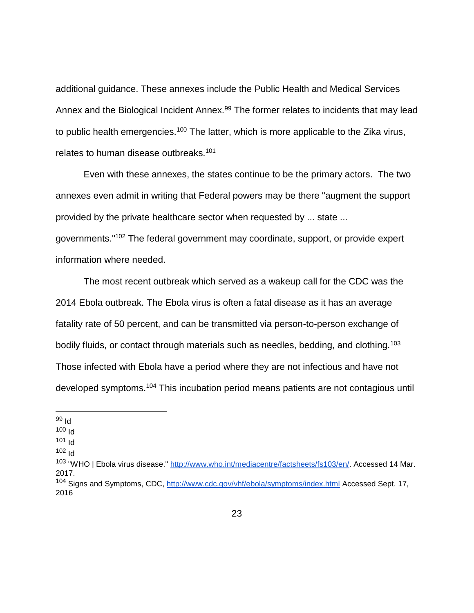additional guidance. These annexes include the Public Health and Medical Services Annex and the Biological Incident Annex.<sup>99</sup> The former relates to incidents that may lead to public health emergencies.<sup>100</sup> The latter, which is more applicable to the Zika virus, relates to human disease outbreaks.<sup>101</sup>

Even with these annexes, the states continue to be the primary actors. The two annexes even admit in writing that Federal powers may be there "augment the support provided by the private healthcare sector when requested by ... state ... governments."<sup>102</sup> The federal government may coordinate, support, or provide expert information where needed.

The most recent outbreak which served as a wakeup call for the CDC was the 2014 Ebola outbreak. The Ebola virus is often a fatal disease as it has an average fatality rate of 50 percent, and can be transmitted via person-to-person exchange of bodily fluids, or contact through materials such as needles, bedding, and clothing.<sup>103</sup> Those infected with Ebola have a period where they are not infectious and have not developed symptoms.<sup>104</sup> This incubation period means patients are not contagious until

- $101$  Id
- $102$   $\text{Id}$

<sup>99</sup> Id

<sup>100</sup> Id

<sup>103 &</sup>quot;WHO | Ebola virus disease." [http://www.who.int/mediacentre/factsheets/fs103/en/.](http://www.who.int/mediacentre/factsheets/fs103/en/) Accessed 14 Mar. 2017.

<sup>104</sup> Signs and Symptoms, CDC,<http://www.cdc.gov/vhf/ebola/symptoms/index.html> Accessed Sept. 17, 2016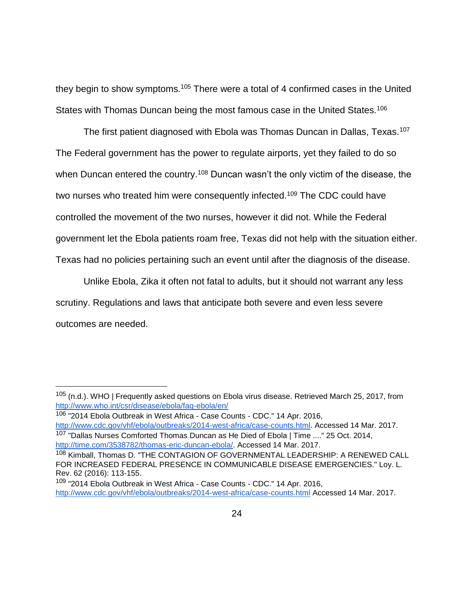they begin to show symptoms.<sup>105</sup> There were a total of 4 confirmed cases in the United States with Thomas Duncan being the most famous case in the United States.<sup>106</sup>

The first patient diagnosed with Ebola was Thomas Duncan in Dallas, Texas.<sup>107</sup> The Federal government has the power to regulate airports, yet they failed to do so when Duncan entered the country.<sup>108</sup> Duncan wasn't the only victim of the disease, the two nurses who treated him were consequently infected.<sup>109</sup> The CDC could have controlled the movement of the two nurses, however it did not. While the Federal government let the Ebola patients roam free, Texas did not help with the situation either. Texas had no policies pertaining such an event until after the diagnosis of the disease.

Unlike Ebola, Zika it often not fatal to adults, but it should not warrant any less scrutiny. Regulations and laws that anticipate both severe and even less severe outcomes are needed.

<sup>105 (</sup>n.d.). WHO | Frequently asked questions on Ebola virus disease. Retrieved March 25, 2017, from <http://www.who.int/csr/disease/ebola/faq-ebola/en/>

<sup>106</sup> "2014 Ebola Outbreak in West Africa - Case Counts - CDC." 14 Apr. 2016, [http://www.cdc.gov/vhf/ebola/outbreaks/2014-west-africa/case-counts.html.](http://www.cdc.gov/vhf/ebola/outbreaks/2014-west-africa/case-counts.html) Accessed 14 Mar. 2017. <sup>107</sup> "Dallas Nurses Comforted Thomas Duncan as He Died of Ebola | Time ...." 25 Oct. 2014. [http://time.com/3538782/thomas-eric-duncan-ebola/.](http://time.com/3538782/thomas-eric-duncan-ebola/) Accessed 14 Mar. 2017.

<sup>108</sup> Kimball, Thomas D. "THE CONTAGION OF GOVERNMENTAL LEADERSHIP: A RENEWED CALL FOR INCREASED FEDERAL PRESENCE IN COMMUNICABLE DISEASE EMERGENCIES." Loy. L. Rev. 62 (2016): 113-155.

<sup>&</sup>lt;sup>109</sup> "2014 Ebola Outbreak in West Africa - Case Counts - CDC." 14 Apr. 2016, <http://www.cdc.gov/vhf/ebola/outbreaks/2014-west-africa/case-counts.html> Accessed 14 Mar. 2017.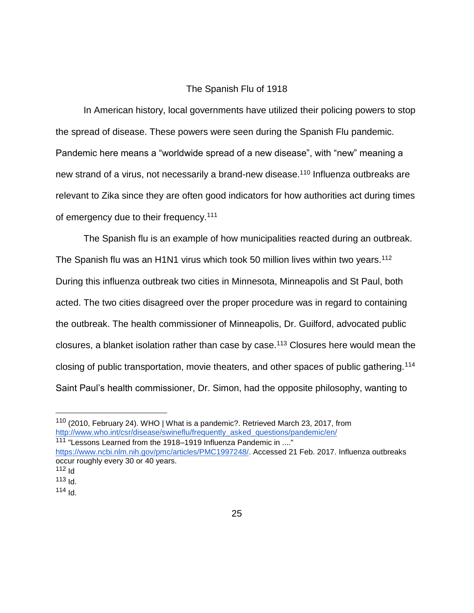## The Spanish Flu of 1918

<span id="page-30-0"></span>In American history, local governments have utilized their policing powers to stop the spread of disease. These powers were seen during the Spanish Flu pandemic. Pandemic here means a "worldwide spread of a new disease", with "new" meaning a new strand of a virus, not necessarily a brand-new disease.<sup>110</sup> Influenza outbreaks are relevant to Zika since they are often good indicators for how authorities act during times of emergency due to their frequency.<sup>111</sup>

The Spanish flu is an example of how municipalities reacted during an outbreak. The Spanish flu was an H1N1 virus which took 50 million lives within two years.<sup>112</sup> During this influenza outbreak two cities in Minnesota, Minneapolis and St Paul, both acted. The two cities disagreed over the proper procedure was in regard to containing the outbreak. The health commissioner of Minneapolis, Dr. Guilford, advocated public closures, a blanket isolation rather than case by case.<sup>113</sup> Closures here would mean the closing of public transportation, movie theaters, and other spaces of public gathering.<sup>114</sup> Saint Paul's health commissioner, Dr. Simon, had the opposite philosophy, wanting to

<sup>110</sup> (2010, February 24). WHO | What is a pandemic?. Retrieved March 23, 2017, from [http://www.who.int/csr/disease/swineflu/frequently\\_asked\\_questions/pandemic/en/](http://www.who.int/csr/disease/swineflu/frequently_asked_questions/pandemic/en/) <sup>111</sup> "Lessons Learned from the 1918–1919 Influenza Pandemic in ...." [https://www.ncbi.nlm.nih.gov/pmc/articles/PMC1997248/.](https://www.ncbi.nlm.nih.gov/pmc/articles/PMC1997248/) Accessed 21 Feb. 2017. Influenza outbreaks

occur roughly every 30 or 40 years. 112  $H$ 

 $113$  Id.

 $114$  Id.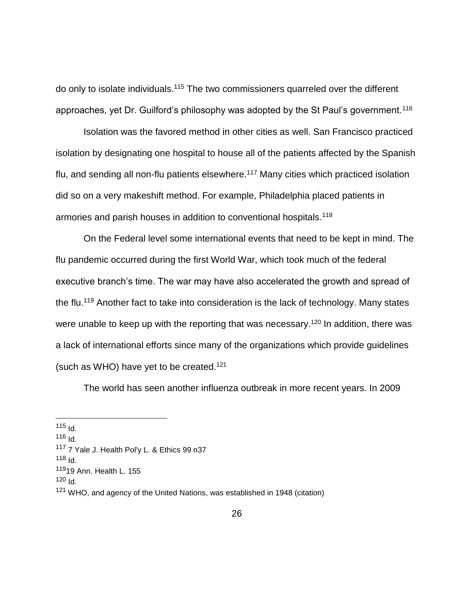do only to isolate individuals.<sup>115</sup> The two commissioners quarreled over the different approaches, yet Dr. Guilford's philosophy was adopted by the St Paul's government.<sup>116</sup>

Isolation was the favored method in other cities as well. San Francisco practiced isolation by designating one hospital to house all of the patients affected by the Spanish flu, and sending all non-flu patients elsewhere.<sup>117</sup> Many cities which practiced isolation did so on a very makeshift method. For example, Philadelphia placed patients in armories and parish houses in addition to conventional hospitals.<sup>118</sup>

On the Federal level some international events that need to be kept in mind. The flu pandemic occurred during the first World War, which took much of the federal executive branch's time. The war may have also accelerated the growth and spread of the flu.<sup>119</sup> Another fact to take into consideration is the lack of technology. Many states were unable to keep up with the reporting that was necessary.<sup>120</sup> In addition, there was a lack of international efforts since many of the organizations which provide guidelines (such as WHO) have yet to be created.<sup>121</sup>

The world has seen another influenza outbreak in more recent years. In 2009

 $\overline{a}$ 

 $116$  Id.

 $115$  Id.

<sup>117</sup> 7 Yale J. Health Pol'y L. & Ethics 99 n37

 $118$  Id.

<sup>119</sup>19 Ann. Health L. 155

 $120$   $\text{Id}$ .

<sup>&</sup>lt;sup>121</sup> WHO, and agency of the United Nations, was established in 1948 (citation)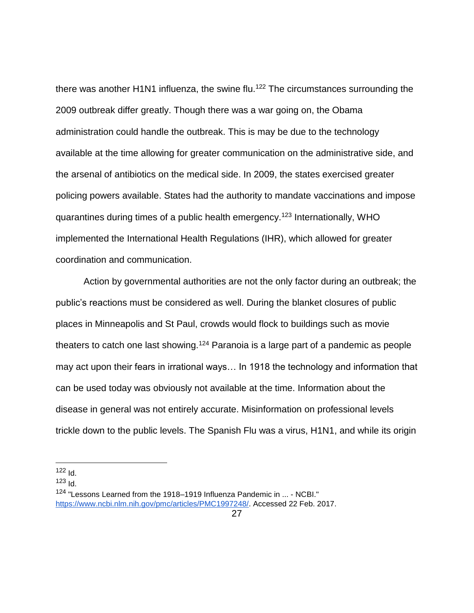there was another H1N1 influenza, the swine flu.<sup>122</sup> The circumstances surrounding the 2009 outbreak differ greatly. Though there was a war going on, the Obama administration could handle the outbreak. This is may be due to the technology available at the time allowing for greater communication on the administrative side, and the arsenal of antibiotics on the medical side. In 2009, the states exercised greater policing powers available. States had the authority to mandate vaccinations and impose quarantines during times of a public health emergency.<sup>123</sup> Internationally, WHO implemented the International Health Regulations (IHR), which allowed for greater coordination and communication.

Action by governmental authorities are not the only factor during an outbreak; the public's reactions must be considered as well. During the blanket closures of public places in Minneapolis and St Paul, crowds would flock to buildings such as movie theaters to catch one last showing.<sup>124</sup> Paranoia is a large part of a pandemic as people may act upon their fears in irrational ways… In 1918 the technology and information that can be used today was obviously not available at the time. Information about the disease in general was not entirely accurate. Misinformation on professional levels trickle down to the public levels. The Spanish Flu was a virus, H1N1, and while its origin

 $123$   $Id.$ 

 $\overline{a}$  $122$  Id.

<sup>124</sup> "Lessons Learned from the 1918–1919 Influenza Pandemic in ... - NCBI." [https://www.ncbi.nlm.nih.gov/pmc/articles/PMC1997248/.](https://www.ncbi.nlm.nih.gov/pmc/articles/PMC1997248/) Accessed 22 Feb. 2017.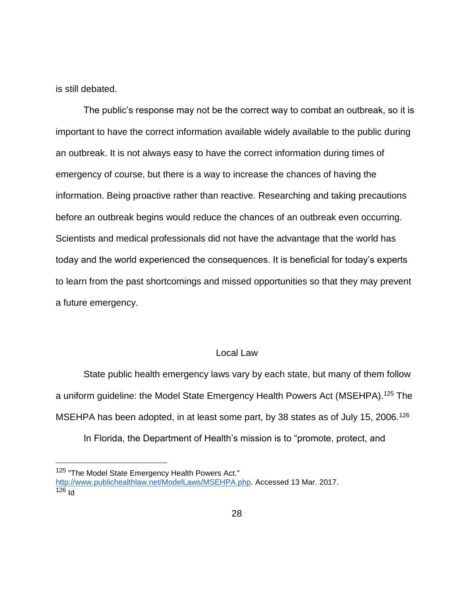is still debated.

 $\overline{a}$ 

The public's response may not be the correct way to combat an outbreak, so it is important to have the correct information available widely available to the public during an outbreak. It is not always easy to have the correct information during times of emergency of course, but there is a way to increase the chances of having the information. Being proactive rather than reactive. Researching and taking precautions before an outbreak begins would reduce the chances of an outbreak even occurring. Scientists and medical professionals did not have the advantage that the world has today and the world experienced the consequences. It is beneficial for today's experts to learn from the past shortcomings and missed opportunities so that they may prevent a future emergency.

## Local Law

<span id="page-33-0"></span>State public health emergency laws vary by each state, but many of them follow a uniform guideline: the Model State Emergency Health Powers Act (MSEHPA).<sup>125</sup> The MSEHPA has been adopted, in at least some part, by 38 states as of July 15, 2006.<sup>126</sup> In Florida, the Department of Health's mission is to "promote, protect, and

<sup>&</sup>lt;sup>125</sup> "The Model State Emergency Health Powers Act." [http://www.publichealthlaw.net/ModelLaws/MSEHPA.php.](http://www.publichealthlaw.net/ModelLaws/MSEHPA.php) Accessed 13 Mar. 2017.  $126$  Id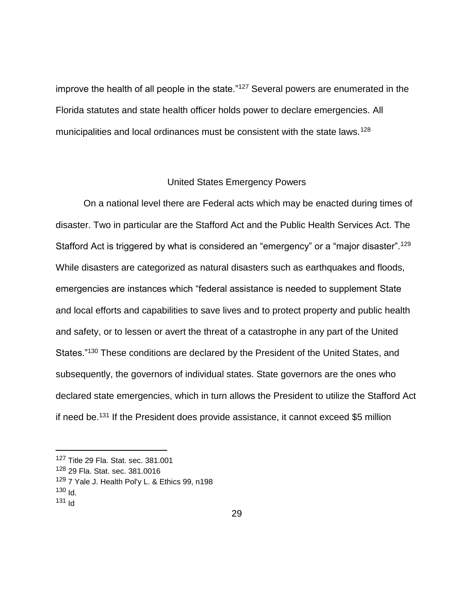improve the health of all people in the state."<sup>127</sup> Several powers are enumerated in the Florida statutes and state health officer holds power to declare emergencies. All municipalities and local ordinances must be consistent with the state laws.<sup>128</sup>

#### United States Emergency Powers

<span id="page-34-0"></span>On a national level there are Federal acts which may be enacted during times of disaster. Two in particular are the Stafford Act and the Public Health Services Act. The Stafford Act is triggered by what is considered an "emergency" or a "major disaster".<sup>129</sup> While disasters are categorized as natural disasters such as earthquakes and floods, emergencies are instances which "federal assistance is needed to supplement State and local efforts and capabilities to save lives and to protect property and public health and safety, or to lessen or avert the threat of a catastrophe in any part of the United States."<sup>130</sup> These conditions are declared by the President of the United States, and subsequently, the governors of individual states. State governors are the ones who declared state emergencies, which in turn allows the President to utilize the Stafford Act if need be.<sup>131</sup> If the President does provide assistance, it cannot exceed \$5 million

<sup>127</sup> Title 29 Fla. Stat. sec. 381.001

<sup>128</sup> 29 Fla. Stat. sec. 381.0016

<sup>&</sup>lt;sup>129</sup> 7 Yale J. Health Pol'y L. & Ethics 99, n198

 $130$   $\text{Id}$ .

 $131$   $\text{Id}$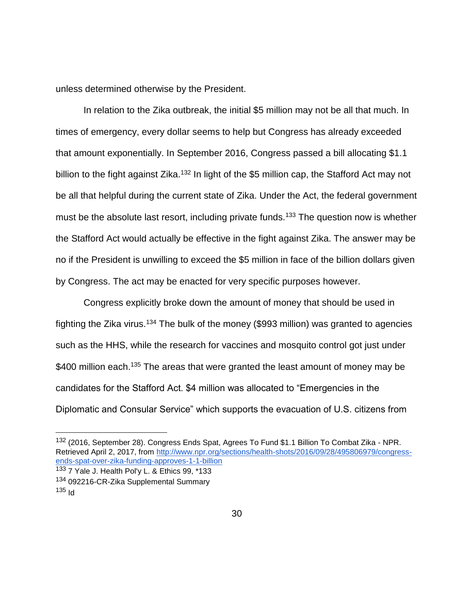unless determined otherwise by the President.

In relation to the Zika outbreak, the initial \$5 million may not be all that much. In times of emergency, every dollar seems to help but Congress has already exceeded that amount exponentially. In September 2016, Congress passed a bill allocating \$1.1 billion to the fight against Zika.<sup>132</sup> In light of the \$5 million cap, the Stafford Act may not be all that helpful during the current state of Zika. Under the Act, the federal government must be the absolute last resort, including private funds.<sup>133</sup> The question now is whether the Stafford Act would actually be effective in the fight against Zika. The answer may be no if the President is unwilling to exceed the \$5 million in face of the billion dollars given by Congress. The act may be enacted for very specific purposes however.

Congress explicitly broke down the amount of money that should be used in fighting the Zika virus.<sup>134</sup> The bulk of the money (\$993 million) was granted to agencies such as the HHS, while the research for vaccines and mosquito control got just under \$400 million each.<sup>135</sup> The areas that were granted the least amount of money may be candidates for the Stafford Act. \$4 million was allocated to "Emergencies in the Diplomatic and Consular Service" which supports the evacuation of U.S. citizens from

<sup>132 (2016,</sup> September 28). Congress Ends Spat, Agrees To Fund \$1.1 Billion To Combat Zika - NPR. Retrieved April 2, 2017, from [http://www.npr.org/sections/health-shots/2016/09/28/495806979/congress](http://www.npr.org/sections/health-shots/2016/09/28/495806979/congress-ends-spat-over-zika-funding-approves-1-1-billion)[ends-spat-over-zika-funding-approves-1-1-billion](http://www.npr.org/sections/health-shots/2016/09/28/495806979/congress-ends-spat-over-zika-funding-approves-1-1-billion)

<sup>133 7</sup> Yale J. Health Pol'y L. & Ethics 99, \*133 <sup>134</sup> 092216-CR-Zika Supplemental Summary  $135$  Id.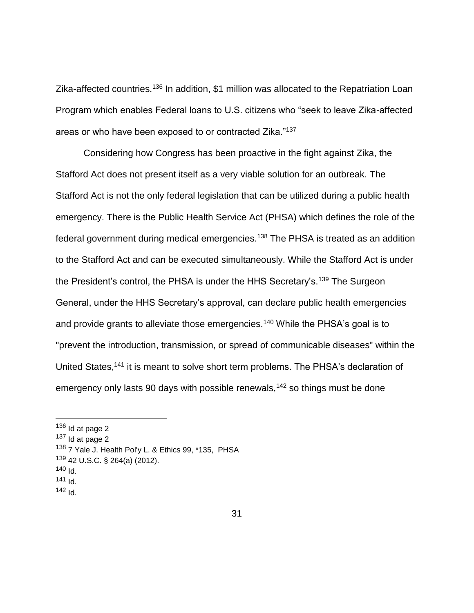Zika-affected countries.<sup>136</sup> In addition, \$1 million was allocated to the Repatriation Loan Program which enables Federal loans to U.S. citizens who "seek to leave Zika-affected areas or who have been exposed to or contracted Zika."<sup>137</sup>

Considering how Congress has been proactive in the fight against Zika, the Stafford Act does not present itself as a very viable solution for an outbreak. The Stafford Act is not the only federal legislation that can be utilized during a public health emergency. There is the Public Health Service Act (PHSA) which defines the role of the federal government during medical emergencies.<sup>138</sup> The PHSA is treated as an addition to the Stafford Act and can be executed simultaneously. While the Stafford Act is under the President's control, the PHSA is under the HHS Secretary's.<sup>139</sup> The Surgeon General, under the HHS Secretary's approval, can declare public health emergencies and provide grants to alleviate those emergencies.<sup>140</sup> While the PHSA's goal is to "prevent the introduction, transmission, or spread of communicable diseases" within the United States,<sup>141</sup> it is meant to solve short term problems. The PHSA's declaration of emergency only lasts 90 days with possible renewals,<sup>142</sup> so things must be done

 $136$  Id at page 2

 $137$  Id at page 2

<sup>&</sup>lt;sup>138</sup> 7 Yale J. Health Pol'y L. & Ethics 99, \*135, PHSA

<sup>139</sup> 42 U.S.C. § 264(a) (2012).

<sup>140</sup>  $H$ 

<sup>141</sup> Id.

 $142$  Id.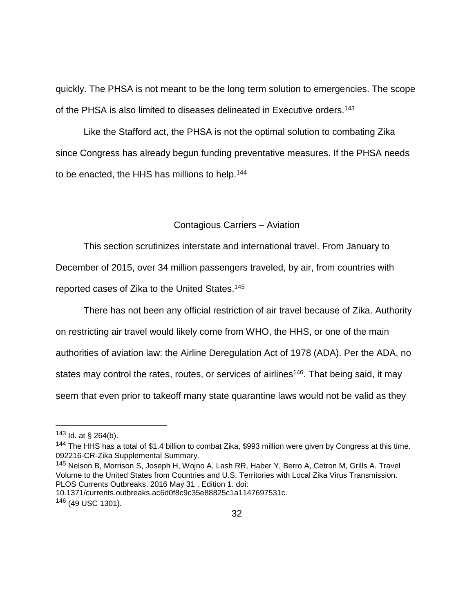quickly. The PHSA is not meant to be the long term solution to emergencies. The scope of the PHSA is also limited to diseases delineated in Executive orders.<sup>143</sup>

Like the Stafford act, the PHSA is not the optimal solution to combating Zika since Congress has already begun funding preventative measures. If the PHSA needs to be enacted, the HHS has millions to help.<sup>144</sup>

#### Contagious Carriers – Aviation

This section scrutinizes interstate and international travel. From January to December of 2015, over 34 million passengers traveled, by air, from countries with

reported cases of Zika to the United States. 145

There has not been any official restriction of air travel because of Zika. Authority on restricting air travel would likely come from WHO, the HHS, or one of the main authorities of aviation law: the Airline Deregulation Act of 1978 (ADA). Per the ADA, no states may control the rates, routes, or services of airlines<sup>146</sup>. That being said, it may seem that even prior to takeoff many state quarantine laws would not be valid as they

 $\overline{a}$ 

<sup>145</sup> Nelson B, Morrison S, Joseph H, Wojno A, Lash RR, Haber Y, Berro A, Cetron M, Grills A. Travel Volume to the United States from Countries and U.S. Territories with Local Zika Virus Transmission. PLOS Currents Outbreaks. 2016 May 31 . Edition 1. doi:

10.1371/currents.outbreaks.ac6d0f8c9c35e88825c1a1147697531c.

 $143$  ld. at § 264(b).

<sup>144</sup> The HHS has a total of \$1.4 billion to combat Zika, \$993 million were given by Congress at this time. 092216-CR-Zika Supplemental Summary.

<sup>146</sup> (49 USC 1301).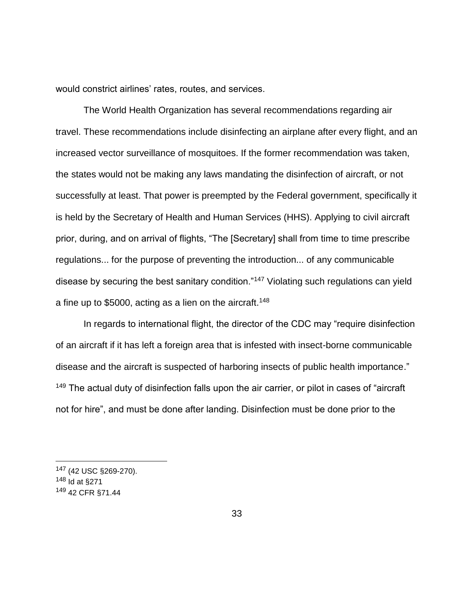would constrict airlines' rates, routes, and services.

The World Health Organization has several recommendations regarding air travel. These recommendations include disinfecting an airplane after every flight, and an increased vector surveillance of mosquitoes. If the former recommendation was taken, the states would not be making any laws mandating the disinfection of aircraft, or not successfully at least. That power is preempted by the Federal government, specifically it is held by the Secretary of Health and Human Services (HHS). Applying to civil aircraft prior, during, and on arrival of flights, "The [Secretary] shall from time to time prescribe regulations... for the purpose of preventing the introduction... of any communicable disease by securing the best sanitary condition."<sup>147</sup> Violating such regulations can yield a fine up to \$5000, acting as a lien on the aircraft.<sup>148</sup>

In regards to international flight, the director of the CDC may "require disinfection of an aircraft if it has left a foreign area that is infested with insect-borne communicable disease and the aircraft is suspected of harboring insects of public health importance." <sup>149</sup> The actual duty of disinfection falls upon the air carrier, or pilot in cases of "aircraft" not for hire", and must be done after landing. Disinfection must be done prior to the

<sup>147</sup> (42 USC §269-270). <sup>148</sup> Id at §271 <sup>149</sup> 42 CFR §71.44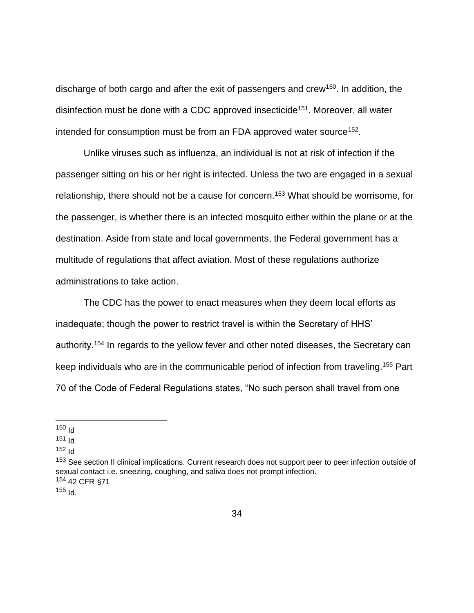discharge of both cargo and after the exit of passengers and crew<sup>150</sup>. In addition, the disinfection must be done with a CDC approved insecticide<sup>151</sup>. Moreover, all water intended for consumption must be from an FDA approved water source<sup>152</sup>.

Unlike viruses such as influenza, an individual is not at risk of infection if the passenger sitting on his or her right is infected. Unless the two are engaged in a sexual relationship, there should not be a cause for concern.<sup>153</sup> What should be worrisome, for the passenger, is whether there is an infected mosquito either within the plane or at the destination. Aside from state and local governments, the Federal government has a multitude of regulations that affect aviation. Most of these regulations authorize administrations to take action.

The CDC has the power to enact measures when they deem local efforts as inadequate; though the power to restrict travel is within the Secretary of HHS' authority.<sup>154</sup> In regards to the yellow fever and other noted diseases, the Secretary can keep individuals who are in the communicable period of infection from traveling.<sup>155</sup> Part 70 of the Code of Federal Regulations states, "No such person shall travel from one

 $\overline{a}$ 

 $155$   $\text{Id}$ .

 $150$  Id

 $151$  Id

 $152$   $\text{Id}$ 

<sup>&</sup>lt;sup>153</sup> See section II clinical implications. Current research does not support peer to peer infection outside of sexual contact i.e. sneezing, coughing, and saliva does not prompt infection. <sup>154</sup> 42 CFR §71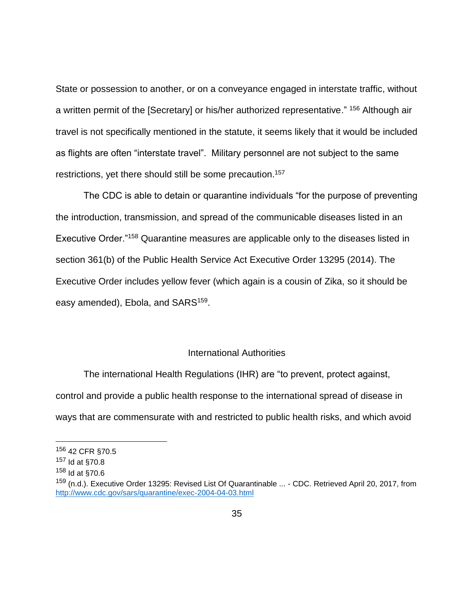State or possession to another, or on a conveyance engaged in interstate traffic, without a written permit of the [Secretary] or his/her authorized representative." <sup>156</sup> Although air travel is not specifically mentioned in the statute, it seems likely that it would be included as flights are often "interstate travel". Military personnel are not subject to the same restrictions, yet there should still be some precaution.<sup>157</sup>

The CDC is able to detain or quarantine individuals "for the purpose of preventing the introduction, transmission, and spread of the communicable diseases listed in an Executive Order."<sup>158</sup> Quarantine measures are applicable only to the diseases listed in section 361(b) of the Public Health Service Act Executive Order 13295 (2014). The Executive Order includes yellow fever (which again is a cousin of Zika, so it should be easy amended), Ebola, and SARS<sup>159</sup>.

# International Authorities

The international Health Regulations (IHR) are "to prevent, protect against, control and provide a public health response to the international spread of disease in ways that are commensurate with and restricted to public health risks, and which avoid

<sup>156</sup> 42 CFR §70.5

<sup>157</sup> Id at §70.8

<sup>158</sup> Id at §70.6

<sup>159</sup> (n.d.). Executive Order 13295: Revised List Of Quarantinable ... - CDC. Retrieved April 20, 2017, from <http://www.cdc.gov/sars/quarantine/exec-2004-04-03.html>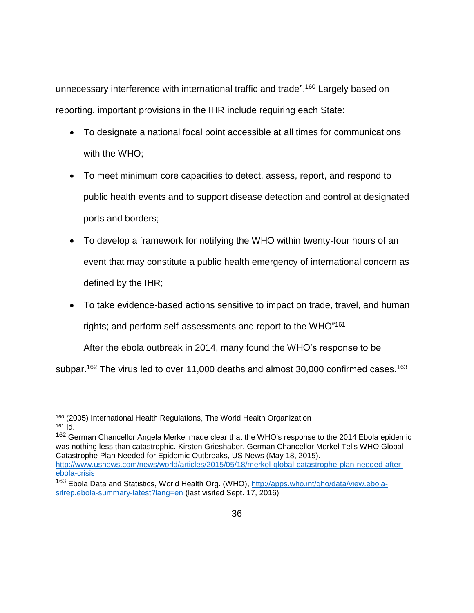unnecessary interference with international traffic and trade".<sup>160</sup> Largely based on reporting, important provisions in the IHR include requiring each State:

- To designate a national focal point accessible at all times for communications with the WHO;
- To meet minimum core capacities to detect, assess, report, and respond to public health events and to support disease detection and control at designated ports and borders;
- To develop a framework for notifying the WHO within twenty-four hours of an event that may constitute a public health emergency of international concern as defined by the IHR;
- To take evidence-based actions sensitive to impact on trade, travel, and human rights; and perform self-assessments and report to the WHO"<sup>161</sup>

After the ebola outbreak in 2014, many found the WHO's response to be

subpar.<sup>162</sup> The virus led to over 11,000 deaths and almost 30,000 confirmed cases.<sup>163</sup>

 $\overline{a}$ <sup>160</sup> (2005) International Health Regulations, The World Health Organization <sup>161</sup> Id.

<sup>&</sup>lt;sup>162</sup> German Chancellor Angela Merkel made clear that the WHO's response to the 2014 Ebola epidemic was nothing less than catastrophic. Kirsten Grieshaber, German Chancellor Merkel Tells WHO Global Catastrophe Plan Needed for Epidemic Outbreaks, US News (May 18, 2015). [http://www.usnews.com/news/world/articles/2015/05/18/merkel-global-catastrophe-plan-needed-after](http://www.usnews.com/news/world/articles/2015/05/18/merkel-global-catastrophe-plan-needed-after-ebola-crisis)[ebola-crisis](http://www.usnews.com/news/world/articles/2015/05/18/merkel-global-catastrophe-plan-needed-after-ebola-crisis)

<sup>163</sup> Ebola Data and Statistics, World Health Org. (WHO), [http://apps.who.int/gho/data/view.ebola](http://apps.who.int/gho/data/view.ebola-sitrep.ebola-summary-latest?lang=en)[sitrep.ebola-summary-latest?lang=en](http://apps.who.int/gho/data/view.ebola-sitrep.ebola-summary-latest?lang=en) (last visited Sept. 17, 2016)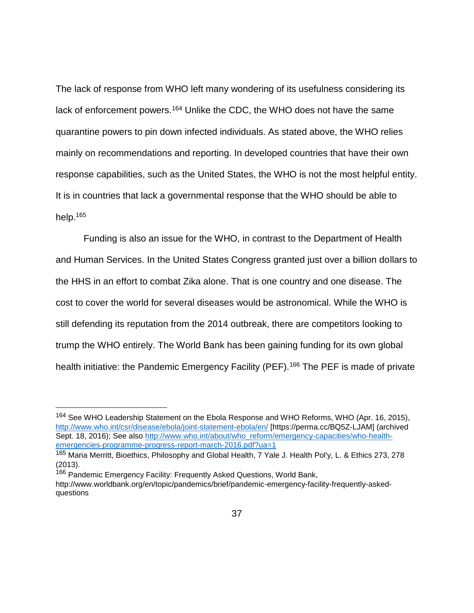The lack of response from WHO left many wondering of its usefulness considering its lack of enforcement powers.<sup>164</sup> Unlike the CDC, the WHO does not have the same quarantine powers to pin down infected individuals. As stated above, the WHO relies mainly on recommendations and reporting. In developed countries that have their own response capabilities, such as the United States, the WHO is not the most helpful entity. It is in countries that lack a governmental response that the WHO should be able to help.<sup>165</sup>

Funding is also an issue for the WHO, in contrast to the Department of Health and Human Services. In the United States Congress granted just over a billion dollars to the HHS in an effort to combat Zika alone. That is one country and one disease. The cost to cover the world for several diseases would be astronomical. While the WHO is still defending its reputation from the 2014 outbreak, there are competitors looking to trump the WHO entirely. The World Bank has been gaining funding for its own global health initiative: the Pandemic Emergency Facility (PEF).<sup>166</sup> The PEF is made of private

<sup>&</sup>lt;sup>164</sup> See WHO Leadership Statement on the Ebola Response and WHO Reforms, WHO (Apr. 16, 2015), <http://www.who.int/csr/disease/ebola/joint-statement-ebola/en/> [https://perma.cc/BQ5Z-LJAM] (archived Sept. 18, 2016); See also [http://www.who.int/about/who\\_reform/emergency-capacities/who-health](http://www.who.int/about/who_reform/emergency-capacities/who-health-emergencies-programme-progress-report-march-2016.pdf?ua=1)[emergencies-programme-progress-report-march-2016.pdf?ua=1](http://www.who.int/about/who_reform/emergency-capacities/who-health-emergencies-programme-progress-report-march-2016.pdf?ua=1)

<sup>&</sup>lt;sup>165</sup> Maria Merritt, Bioethics, Philosophy and Global Health, 7 Yale J. Health Pol'y, L. & Ethics 273, 278 (2013).

<sup>166</sup> Pandemic Emergency Facility: Frequently Asked Questions, World Bank, http://www.worldbank.org/en/topic/pandemics/brief/pandemic-emergency-facility-frequently-askedquestions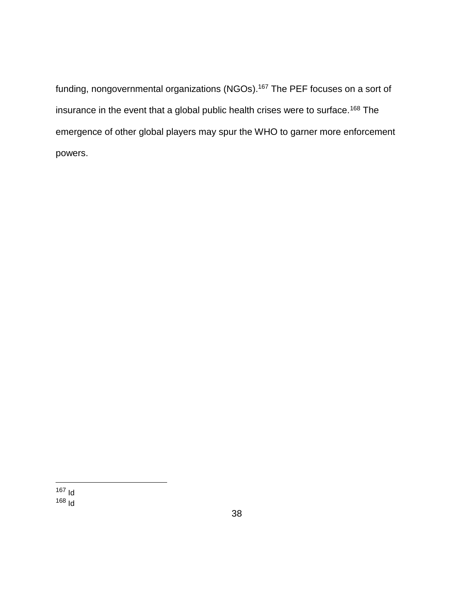funding, nongovernmental organizations (NGOs).<sup>167</sup> The PEF focuses on a sort of insurance in the event that a global public health crises were to surface.<sup>168</sup> The emergence of other global players may spur the WHO to garner more enforcement powers.

 $\overline{a}$ <sup>167</sup> Id  $168 \text{ Id}$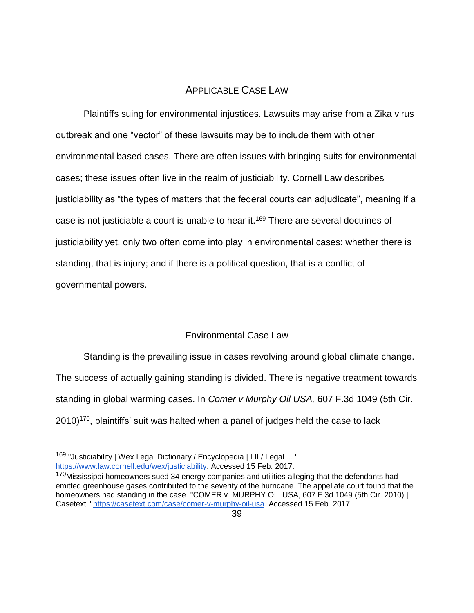# APPLICABLE CASE LAW

Plaintiffs suing for environmental injustices. Lawsuits may arise from a Zika virus outbreak and one "vector" of these lawsuits may be to include them with other environmental based cases. There are often issues with bringing suits for environmental cases; these issues often live in the realm of justiciability. Cornell Law describes justiciability as "the types of matters that the federal courts can adjudicate", meaning if a case is not justiciable a court is unable to hear it.<sup>169</sup> There are several doctrines of justiciability yet, only two often come into play in environmental cases: whether there is standing, that is injury; and if there is a political question, that is a conflict of governmental powers.

# Environmental Case Law

Standing is the prevailing issue in cases revolving around global climate change. The success of actually gaining standing is divided. There is negative treatment towards standing in global warming cases. In *Comer v Murphy Oil USA,* 607 F.3d 1049 (5th Cir.  $2010$ <sup> $170$ </sup>, plaintiffs' suit was halted when a panel of judges held the case to lack

<sup>169 &</sup>quot;Justiciability | Wex Legal Dictionary / Encyclopedia | LII / Legal ...." [https://www.law.cornell.edu/wex/justiciability.](https://www.law.cornell.edu/wex/justiciability) Accessed 15 Feb. 2017.

<sup>170</sup>Mississippi homeowners sued 34 energy companies and utilities alleging that the defendants had emitted greenhouse gases contributed to the severity of the hurricane. The appellate court found that the homeowners had standing in the case. "COMER v. MURPHY OIL USA, 607 F.3d 1049 (5th Cir. 2010) | Casetext." [https://casetext.com/case/comer-v-murphy-oil-usa.](https://casetext.com/case/comer-v-murphy-oil-usa) Accessed 15 Feb. 2017.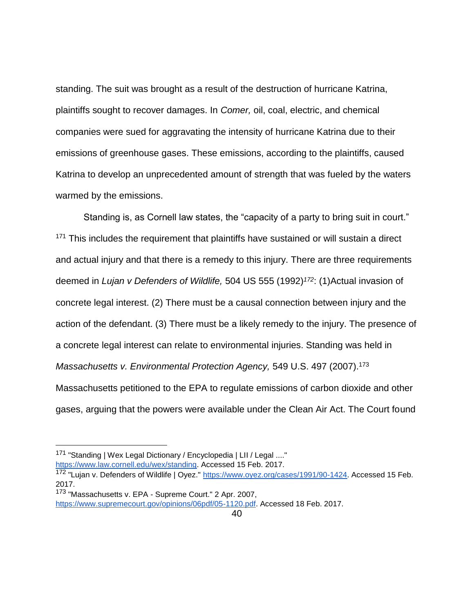standing. The suit was brought as a result of the destruction of hurricane Katrina, plaintiffs sought to recover damages. In *Comer,* oil, coal, electric, and chemical companies were sued for aggravating the intensity of hurricane Katrina due to their emissions of greenhouse gases. These emissions, according to the plaintiffs, caused Katrina to develop an unprecedented amount of strength that was fueled by the waters warmed by the emissions.

Standing is, as Cornell law states, the "capacity of a party to bring suit in court." <sup>171</sup> This includes the requirement that plaintiffs have sustained or will sustain a direct and actual injury and that there is a remedy to this injury. There are three requirements deemed in *Lujan v Defenders of Wildlife,* 504 US 555 (1992)*<sup>172</sup>*: (1)Actual invasion of concrete legal interest. (2) There must be a causal connection between injury and the action of the defendant. (3) There must be a likely remedy to the injury. The presence of a concrete legal interest can relate to environmental injuries. Standing was held in *Massachusetts v. Environmental Protection Agency,* 549 U.S. 497 (2007).<sup>173</sup> Massachusetts petitioned to the EPA to regulate emissions of carbon dioxide and other gases, arguing that the powers were available under the Clean Air Act. The Court found

<sup>171</sup> "Standing | Wex Legal Dictionary / Encyclopedia | LII / Legal ...."

[https://www.law.cornell.edu/wex/standing.](https://www.law.cornell.edu/wex/standing) Accessed 15 Feb. 2017.

<sup>172 &</sup>quot;Lujan v. Defenders of Wildlife | Oyez." https://www.oyez.org/cases/1991/90-1424</u>. Accessed 15 Feb. 2017.

<sup>173</sup> "Massachusetts v. EPA - Supreme Court." 2 Apr. 2007,

[https://www.supremecourt.gov/opinions/06pdf/05-1120.pdf.](https://www.supremecourt.gov/opinions/06pdf/05-1120.pdf) Accessed 18 Feb. 2017.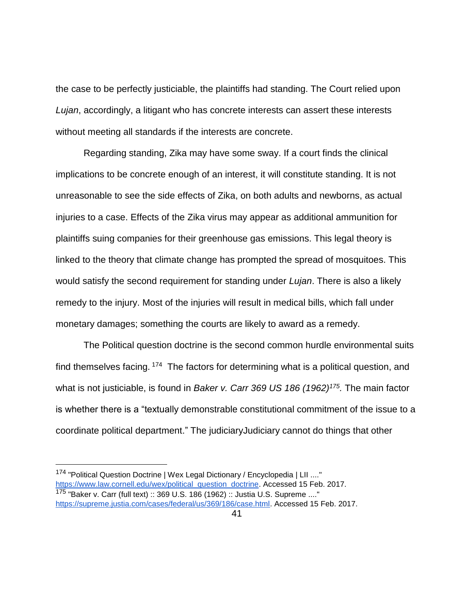the case to be perfectly justiciable, the plaintiffs had standing. The Court relied upon *Lujan*, accordingly, a litigant who has concrete interests can assert these interests without meeting all standards if the interests are concrete.

Regarding standing, Zika may have some sway. If a court finds the clinical implications to be concrete enough of an interest, it will constitute standing. It is not unreasonable to see the side effects of Zika, on both adults and newborns, as actual injuries to a case. Effects of the Zika virus may appear as additional ammunition for plaintiffs suing companies for their greenhouse gas emissions. This legal theory is linked to the theory that climate change has prompted the spread of mosquitoes. This would satisfy the second requirement for standing under *Lujan*. There is also a likely remedy to the injury. Most of the injuries will result in medical bills, which fall under monetary damages; something the courts are likely to award as a remedy.

The Political question doctrine is the second common hurdle environmental suits find themselves facing. <sup>174</sup> The factors for determining what is a political question, and what is not justiciable, is found in *Baker v. Carr 369 US 186 (1962)<sup>175</sup> .* The main factor is whether there is a "textually demonstrable constitutional commitment of the issue to a coordinate political department." The judiciaryJudiciary cannot do things that other

<sup>174 &</sup>quot;Political Question Doctrine | Wex Legal Dictionary / Encyclopedia | LII ...." [https://www.law.cornell.edu/wex/political\\_question\\_doctrine.](https://www.law.cornell.edu/wex/political_question_doctrine) Accessed 15 Feb. 2017. <sup>175</sup> "Baker v. Carr (full text) :: 369 U.S. 186 (1962) :: Justia U.S. Supreme ...." [https://supreme.justia.com/cases/federal/us/369/186/case.html.](https://supreme.justia.com/cases/federal/us/369/186/case.html) Accessed 15 Feb. 2017.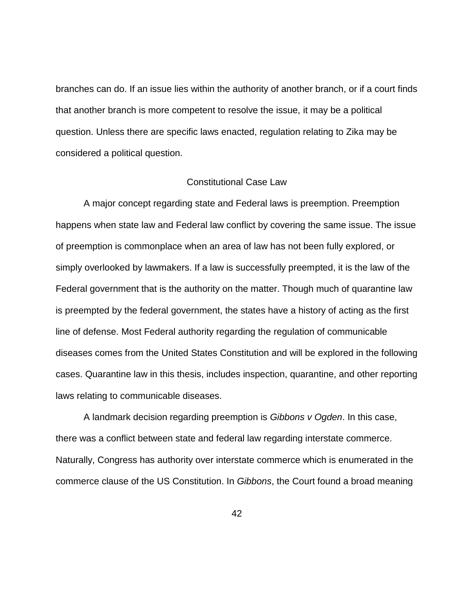branches can do. If an issue lies within the authority of another branch, or if a court finds that another branch is more competent to resolve the issue, it may be a political question. Unless there are specific laws enacted, regulation relating to Zika may be considered a political question.

#### Constitutional Case Law

A major concept regarding state and Federal laws is preemption. Preemption happens when state law and Federal law conflict by covering the same issue. The issue of preemption is commonplace when an area of law has not been fully explored, or simply overlooked by lawmakers. If a law is successfully preempted, it is the law of the Federal government that is the authority on the matter. Though much of quarantine law is preempted by the federal government, the states have a history of acting as the first line of defense. Most Federal authority regarding the regulation of communicable diseases comes from the United States Constitution and will be explored in the following cases. Quarantine law in this thesis, includes inspection, quarantine, and other reporting laws relating to communicable diseases.

A landmark decision regarding preemption is *Gibbons v Ogden*. In this case, there was a conflict between state and federal law regarding interstate commerce. Naturally, Congress has authority over interstate commerce which is enumerated in the commerce clause of the US Constitution. In *Gibbons*, the Court found a broad meaning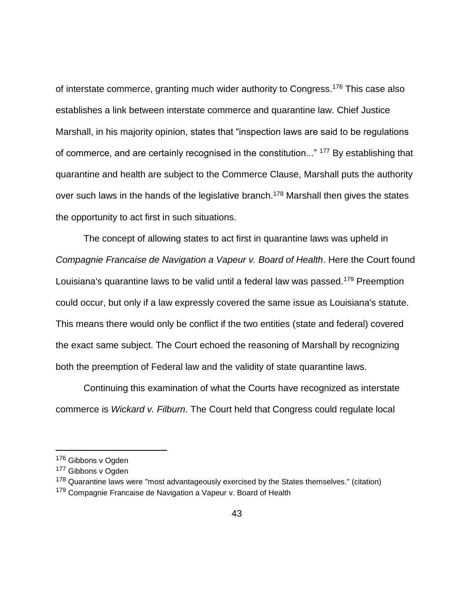of interstate commerce, granting much wider authority to Congress.<sup>176</sup> This case also establishes a link between interstate commerce and quarantine law. Chief Justice Marshall, in his majority opinion, states that "inspection laws are said to be regulations of commerce, and are certainly recognised in the constitution..." <sup>177</sup> By establishing that quarantine and health are subject to the Commerce Clause, Marshall puts the authority over such laws in the hands of the legislative branch.<sup>178</sup> Marshall then gives the states the opportunity to act first in such situations.

The concept of allowing states to act first in quarantine laws was upheld in *Compagnie Francaise de Navigation a Vapeur v. Board of Health*. Here the Court found Louisiana's quarantine laws to be valid until a federal law was passed.<sup>179</sup> Preemption could occur, but only if a law expressly covered the same issue as Louisiana's statute. This means there would only be conflict if the two entities (state and federal) covered the exact same subject. The Court echoed the reasoning of Marshall by recognizing both the preemption of Federal law and the validity of state quarantine laws.

Continuing this examination of what the Courts have recognized as interstate commerce is *Wickard v. Filburn*. The Court held that Congress could regulate local

<sup>176</sup> Gibbons v Ogden

<sup>177</sup> Gibbons v Ogden

<sup>&</sup>lt;sup>178</sup> Quarantine laws were "most advantageously exercised by the States themselves." (citation) <sup>179</sup> Compagnie Francaise de Navigation a Vapeur v. Board of Health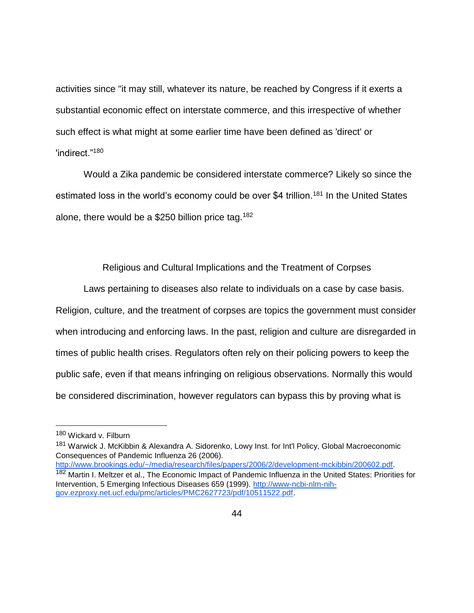activities since "it may still, whatever its nature, be reached by Congress if it exerts a substantial economic effect on interstate commerce, and this irrespective of whether such effect is what might at some earlier time have been defined as 'direct' or 'indirect."<sup>180</sup>

Would a Zika pandemic be considered interstate commerce? Likely so since the estimated loss in the world's economy could be over \$4 trillion.<sup>181</sup> In the United States alone, there would be a \$250 billion price tag.<sup>182</sup>

Religious and Cultural Implications and the Treatment of Corpses

Laws pertaining to diseases also relate to individuals on a case by case basis. Religion, culture, and the treatment of corpses are topics the government must consider when introducing and enforcing laws. In the past, religion and culture are disregarded in times of public health crises. Regulators often rely on their policing powers to keep the public safe, even if that means infringing on religious observations. Normally this would be considered discrimination, however regulators can bypass this by proving what is

 $\overline{a}$ 

[http://www.brookings.edu/~/media/research/files/papers/2006/2/development-mckibbin/200602.pdf.](http://www.brookings.edu/~/media/research/files/papers/2006/2/development-mckibbin/200602.pdf) 182 Martin I. Meltzer et al., The Economic Impact of Pandemic Influenza in the United States: Priorities for Intervention, 5 Emerging Infectious Diseases 659 (1999). [http://www-ncbi-nlm-nih](http://www-ncbi-nlm-nih-gov.ezproxy.net.ucf.edu/pmc/articles/PMC2627723/pdf/10511522.pdf)[gov.ezproxy.net.ucf.edu/pmc/articles/PMC2627723/pdf/10511522.pdf.](http://www-ncbi-nlm-nih-gov.ezproxy.net.ucf.edu/pmc/articles/PMC2627723/pdf/10511522.pdf)

<sup>180</sup> Wickard v. Filburn

<sup>181</sup> Warwick J. McKibbin & Alexandra A. Sidorenko, Lowy Inst. for Int'l Policy, Global Macroeconomic Consequences of Pandemic Influenza 26 (2006).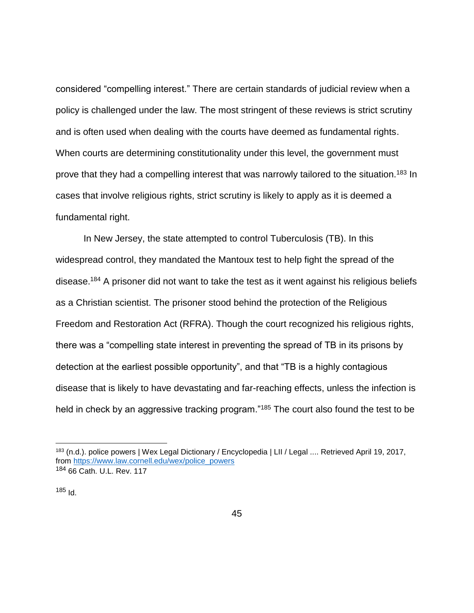considered "compelling interest." There are certain standards of judicial review when a policy is challenged under the law. The most stringent of these reviews is strict scrutiny and is often used when dealing with the courts have deemed as fundamental rights. When courts are determining constitutionality under this level, the government must prove that they had a compelling interest that was narrowly tailored to the situation.<sup>183</sup> In cases that involve religious rights, strict scrutiny is likely to apply as it is deemed a fundamental right.

In New Jersey, the state attempted to control Tuberculosis (TB). In this widespread control, they mandated the Mantoux test to help fight the spread of the disease.<sup>184</sup> A prisoner did not want to take the test as it went against his religious beliefs as a Christian scientist. The prisoner stood behind the protection of the Religious Freedom and Restoration Act (RFRA). Though the court recognized his religious rights, there was a "compelling state interest in preventing the spread of TB in its prisons by detection at the earliest possible opportunity", and that "TB is a highly contagious disease that is likely to have devastating and far-reaching effects, unless the infection is held in check by an aggressive tracking program."<sup>185</sup> The court also found the test to be

 $185$  Id.

<sup>&</sup>lt;sup>183</sup> (n.d.). police powers | Wex Legal Dictionary / Encyclopedia | LII / Legal .... Retrieved April 19, 2017, from [https://www.law.cornell.edu/wex/police\\_powers](https://www.law.cornell.edu/wex/police_powers) 184 66 Cath. U.L. Rev. 117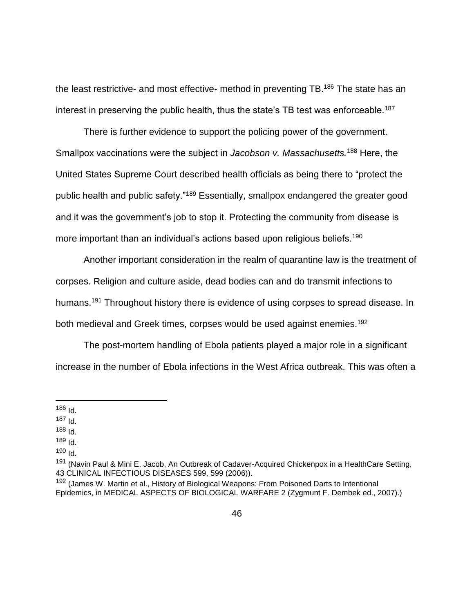the least restrictive- and most effective- method in preventing TB.<sup>186</sup> The state has an interest in preserving the public health, thus the state's TB test was enforceable.<sup>187</sup>

There is further evidence to support the policing power of the government. Smallpox vaccinations were the subject in *Jacobson v. Massachusetts.*<sup>188</sup> Here, the United States Supreme Court described health officials as being there to "protect the public health and public safety."<sup>189</sup> Essentially, smallpox endangered the greater good and it was the government's job to stop it. Protecting the community from disease is more important than an individual's actions based upon religious beliefs.<sup>190</sup>

Another important consideration in the realm of quarantine law is the treatment of corpses. Religion and culture aside, dead bodies can and do transmit infections to humans.<sup>191</sup> Throughout history there is evidence of using corpses to spread disease. In both medieval and Greek times, corpses would be used against enemies.<sup>192</sup>

The post-mortem handling of Ebola patients played a major role in a significant increase in the number of Ebola infections in the West Africa outbreak. This was often a

- $189$   $\text{Id}$ .
- <sup>190</sup> Id.

<sup>&</sup>lt;sup>186</sup> Id.

<sup>187</sup> Id.

 $188$  Id.

<sup>&</sup>lt;sup>191</sup> (Navin Paul & Mini E. Jacob, An Outbreak of Cadaver-Acquired Chickenpox in a HealthCare Setting, 43 CLINICAL INFECTIOUS DISEASES 599, 599 (2006)).

<sup>&</sup>lt;sup>192</sup> (James W. Martin et al., History of Biological Weapons: From Poisoned Darts to Intentional Epidemics, in MEDICAL ASPECTS OF BIOLOGICAL WARFARE 2 (Zygmunt F. Dembek ed., 2007).)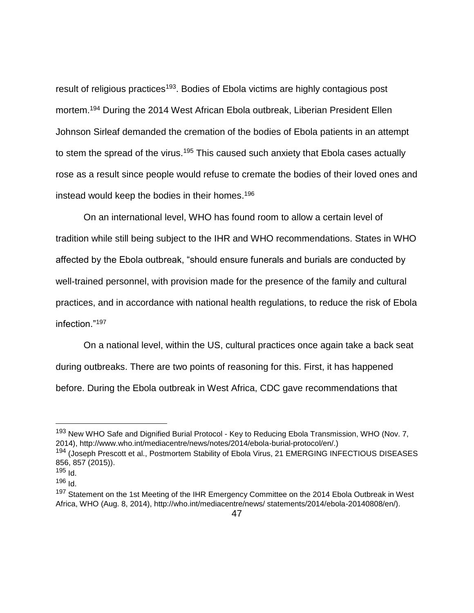result of religious practices<sup>193</sup>. Bodies of Ebola victims are highly contagious post mortem.<sup>194</sup> During the 2014 West African Ebola outbreak, Liberian President Ellen Johnson Sirleaf demanded the cremation of the bodies of Ebola patients in an attempt to stem the spread of the virus.<sup>195</sup> This caused such anxiety that Ebola cases actually rose as a result since people would refuse to cremate the bodies of their loved ones and instead would keep the bodies in their homes. 196

On an international level, WHO has found room to allow a certain level of tradition while still being subject to the IHR and WHO recommendations. States in WHO affected by the Ebola outbreak, "should ensure funerals and burials are conducted by well-trained personnel, with provision made for the presence of the family and cultural practices, and in accordance with national health regulations, to reduce the risk of Ebola infection."<sup>197</sup>

On a national level, within the US, cultural practices once again take a back seat during outbreaks. There are two points of reasoning for this. First, it has happened before. During the Ebola outbreak in West Africa, CDC gave recommendations that

<sup>&</sup>lt;sup>193</sup> New WHO Safe and Dignified Burial Protocol - Key to Reducing Ebola Transmission, WHO (Nov. 7, 2014), http://www.who.int/mediacentre/news/notes/2014/ebola-burial-protocol/en/.)

<sup>194 (</sup>Joseph Prescott et al., Postmortem Stability of Ebola Virus, 21 EMERGING INFECTIOUS DISEASES 856, 857 (2015)).

<sup>195</sup> Id.

 $196$  Id.

<sup>&</sup>lt;sup>197</sup> Statement on the 1st Meeting of the IHR Emergency Committee on the 2014 Ebola Outbreak in West Africa, WHO (Aug. 8, 2014), http://who.int/mediacentre/news/ statements/2014/ebola-20140808/en/).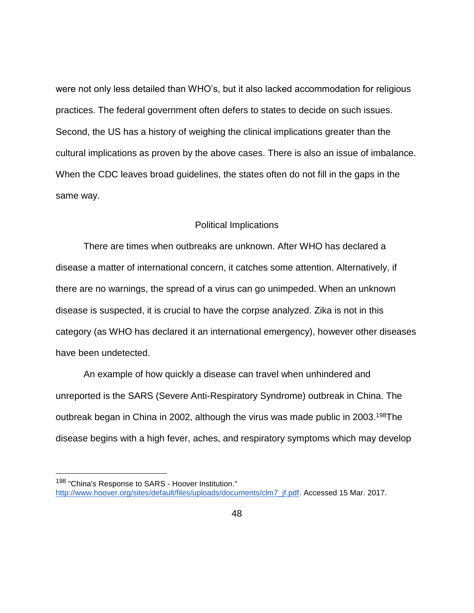were not only less detailed than WHO's, but it also lacked accommodation for religious practices. The federal government often defers to states to decide on such issues. Second, the US has a history of weighing the clinical implications greater than the cultural implications as proven by the above cases. There is also an issue of imbalance. When the CDC leaves broad guidelines, the states often do not fill in the gaps in the same way.

#### Political Implications

There are times when outbreaks are unknown. After WHO has declared a disease a matter of international concern, it catches some attention. Alternatively, if there are no warnings, the spread of a virus can go unimpeded. When an unknown disease is suspected, it is crucial to have the corpse analyzed. Zika is not in this category (as WHO has declared it an international emergency), however other diseases have been undetected.

An example of how quickly a disease can travel when unhindered and unreported is the SARS (Severe Anti-Respiratory Syndrome) outbreak in China. The outbreak began in China in 2002, although the virus was made public in 2003.<sup>198</sup>The disease begins with a high fever, aches, and respiratory symptoms which may develop

<sup>198 &</sup>quot;China's Response to SARS - Hoover Institution." [http://www.hoover.org/sites/default/files/uploads/documents/clm7\\_jf.pdf.](http://www.hoover.org/sites/default/files/uploads/documents/clm7_jf.pdf) Accessed 15 Mar. 2017.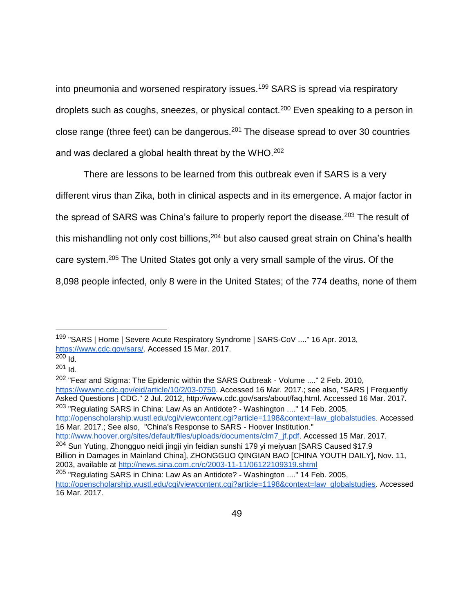into pneumonia and worsened respiratory issues.<sup>199</sup> SARS is spread via respiratory droplets such as coughs, sneezes, or physical contact.<sup>200</sup> Even speaking to a person in close range (three feet) can be dangerous.<sup>201</sup> The disease spread to over 30 countries and was declared a global health threat by the WHO.<sup>202</sup>

There are lessons to be learned from this outbreak even if SARS is a very different virus than Zika, both in clinical aspects and in its emergence. A major factor in the spread of SARS was China's failure to properly report the disease.<sup>203</sup> The result of this mishandling not only cost billions, <sup>204</sup> but also caused great strain on China's health care system.<sup>205</sup> The United States got only a very small sample of the virus. Of the 8,098 people infected, only 8 were in the United States; of the 774 deaths, none of them

 $\overline{a}$ 

[http://openscholarship.wustl.edu/cgi/viewcontent.cgi?article=1198&context=law\\_globalstudies.](http://openscholarship.wustl.edu/cgi/viewcontent.cgi?article=1198&context=law_globalstudies) Accessed 16 Mar. 2017.; See also, "China's Response to SARS - Hoover Institution." [http://www.hoover.org/sites/default/files/uploads/documents/clm7\\_jf.pdf.](http://www.hoover.org/sites/default/files/uploads/documents/clm7_jf.pdf) Accessed 15 Mar. 2017.

<sup>204</sup> Sun Yuting, Zhongguo neidi jingji yin feidian sunshi 179 yi meiyuan [SARS Caused \$17.9 Billion in Damages in Mainland China], ZHONGGUO QINGIAN BAO [CHINA YOUTH DAILY], Nov. 11,

2003, available at<http://news.sina.com.cn/c/2003-11-11/06122109319.shtml>

<sup>199</sup> "SARS | Home | Severe Acute Respiratory Syndrome | SARS-CoV ...." 16 Apr. 2013, [https://www.cdc.gov/sars/.](https://www.cdc.gov/sars/) Accessed 15 Mar. 2017.

<sup>200</sup> Id.

<sup>201</sup> Id.

<sup>202</sup> "Fear and Stigma: The Epidemic within the SARS Outbreak - Volume ...." 2 Feb. 2010, [https://wwwnc.cdc.gov/eid/article/10/2/03-0750.](https://wwwnc.cdc.gov/eid/article/10/2/03-0750) Accessed 16 Mar. 2017.; see also, "SARS | Frequently Asked Questions | CDC." 2 Jul. 2012, http://www.cdc.gov/sars/about/faq.html. Accessed 16 Mar. 2017. <sup>203</sup> "Regulating SARS in China: Law As an Antidote? - Washington ...." 14 Feb. 2005,

<sup>205</sup> "Regulating SARS in China: Law As an Antidote? - Washington ...." 14 Feb. 2005, [http://openscholarship.wustl.edu/cgi/viewcontent.cgi?article=1198&context=law\\_globalstudies.](http://openscholarship.wustl.edu/cgi/viewcontent.cgi?article=1198&context=law_globalstudies) Accessed 16 Mar. 2017.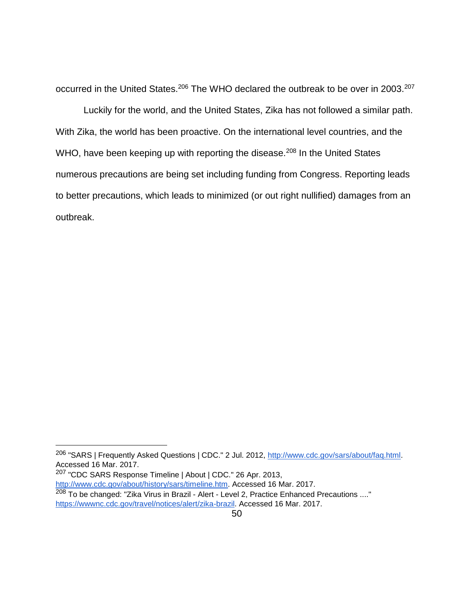occurred in the United States.<sup>206</sup> The WHO declared the outbreak to be over in 2003.<sup>207</sup>

Luckily for the world, and the United States, Zika has not followed a similar path. With Zika, the world has been proactive. On the international level countries, and the WHO, have been keeping up with reporting the disease.<sup>208</sup> In the United States numerous precautions are being set including funding from Congress. Reporting leads to better precautions, which leads to minimized (or out right nullified) damages from an outbreak.

<sup>207</sup> "CDC SARS Response Timeline | About | CDC." 26 Apr. 2013, [http://www.cdc.gov/about/history/sars/timeline.htm.](http://www.cdc.gov/about/history/sars/timeline.htm) Accessed 16 Mar. 2017. <sup>208</sup> To be changed: "Zika Virus in Brazil - Alert - Level 2, Practice Enhanced Precautions ...." [https://wwwnc.cdc.gov/travel/notices/alert/zika-brazil.](https://wwwnc.cdc.gov/travel/notices/alert/zika-brazil) Accessed 16 Mar. 2017.

<sup>&</sup>lt;sup>206</sup> "SARS | Frequently Asked Questions | CDC." 2 Jul. 2012, [http://www.cdc.gov/sars/about/faq.html.](http://www.cdc.gov/sars/about/faq.html) Accessed 16 Mar. 2017.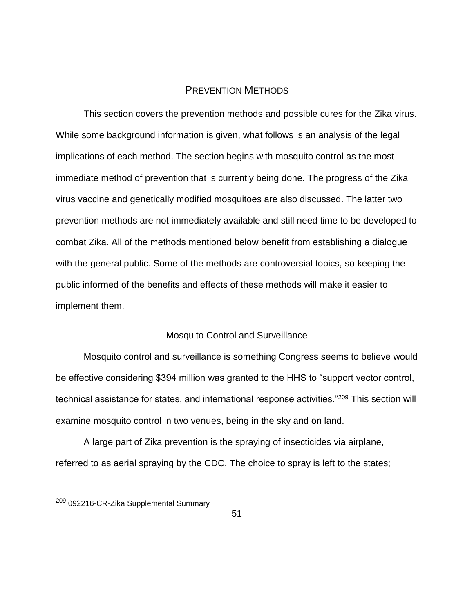# PREVENTION METHODS

This section covers the prevention methods and possible cures for the Zika virus. While some background information is given, what follows is an analysis of the legal implications of each method. The section begins with mosquito control as the most immediate method of prevention that is currently being done. The progress of the Zika virus vaccine and genetically modified mosquitoes are also discussed. The latter two prevention methods are not immediately available and still need time to be developed to combat Zika. All of the methods mentioned below benefit from establishing a dialogue with the general public. Some of the methods are controversial topics, so keeping the public informed of the benefits and effects of these methods will make it easier to implement them.

#### Mosquito Control and Surveillance

Mosquito control and surveillance is something Congress seems to believe would be effective considering \$394 million was granted to the HHS to "support vector control, technical assistance for states, and international response activities."<sup>209</sup> This section will examine mosquito control in two venues, being in the sky and on land.

A large part of Zika prevention is the spraying of insecticides via airplane, referred to as aerial spraying by the CDC. The choice to spray is left to the states;

<sup>209</sup> 092216-CR-Zika Supplemental Summary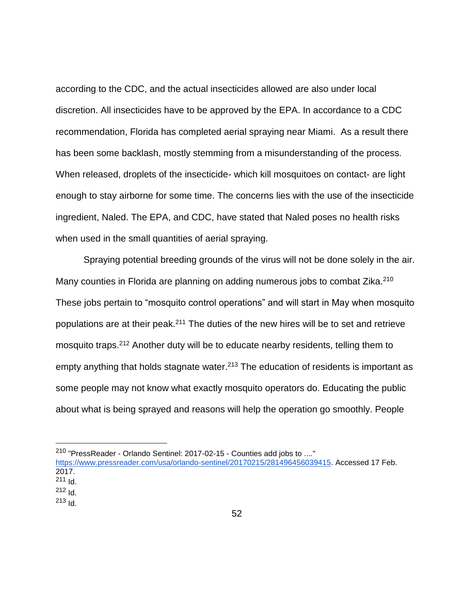according to the CDC, and the actual insecticides allowed are also under local discretion. All insecticides have to be approved by the EPA. In accordance to a CDC recommendation, Florida has completed aerial spraying near Miami. As a result there has been some backlash, mostly stemming from a misunderstanding of the process. When released, droplets of the insecticide- which kill mosquitoes on contact- are light enough to stay airborne for some time. The concerns lies with the use of the insecticide ingredient, Naled. The EPA, and CDC, have stated that Naled poses no health risks when used in the small quantities of aerial spraying.

Spraying potential breeding grounds of the virus will not be done solely in the air. Many counties in Florida are planning on adding numerous jobs to combat Zika.<sup>210</sup> These jobs pertain to "mosquito control operations" and will start in May when mosquito populations are at their peak.<sup>211</sup> The duties of the new hires will be to set and retrieve mosquito traps.<sup>212</sup> Another duty will be to educate nearby residents, telling them to empty anything that holds stagnate water.<sup>213</sup> The education of residents is important as some people may not know what exactly mosquito operators do. Educating the public about what is being sprayed and reasons will help the operation go smoothly. People

 $211$  Id.

- $212$   $\text{Id}$ .
- $213$   $Id.$

<sup>210</sup> "PressReader - Orlando Sentinel: 2017-02-15 - Counties add jobs to ...."

[https://www.pressreader.com/usa/orlando-sentinel/20170215/281496456039415.](https://www.pressreader.com/usa/orlando-sentinel/20170215/281496456039415) Accessed 17 Feb. 2017.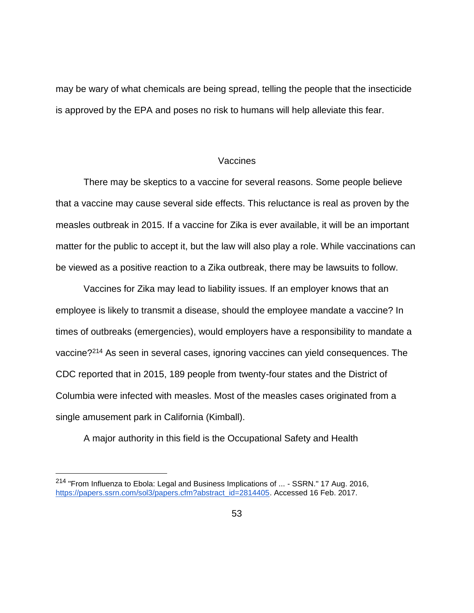may be wary of what chemicals are being spread, telling the people that the insecticide is approved by the EPA and poses no risk to humans will help alleviate this fear.

#### Vaccines

There may be skeptics to a vaccine for several reasons. Some people believe that a vaccine may cause several side effects. This reluctance is real as proven by the measles outbreak in 2015. If a vaccine for Zika is ever available, it will be an important matter for the public to accept it, but the law will also play a role. While vaccinations can be viewed as a positive reaction to a Zika outbreak, there may be lawsuits to follow.

Vaccines for Zika may lead to liability issues. If an employer knows that an employee is likely to transmit a disease, should the employee mandate a vaccine? In times of outbreaks (emergencies), would employers have a responsibility to mandate a vaccine?<sup>214</sup> As seen in several cases, ignoring vaccines can yield consequences. The CDC reported that in 2015, 189 people from twenty-four states and the District of Columbia were infected with measles. Most of the measles cases originated from a single amusement park in California (Kimball).

A major authority in this field is the Occupational Safety and Health

<sup>&</sup>lt;sup>214</sup> "From Influenza to Ebola: Legal and Business Implications of ... - SSRN." 17 Aug. 2016, [https://papers.ssrn.com/sol3/papers.cfm?abstract\\_id=2814405.](https://papers.ssrn.com/sol3/papers.cfm?abstract_id=2814405) Accessed 16 Feb. 2017.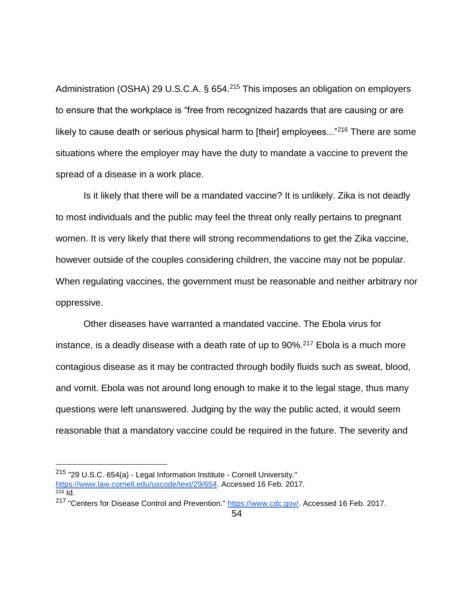Administration (OSHA) 29 U.S.C.A. § 654.<sup>215</sup> This imposes an obligation on employers to ensure that the workplace is "free from recognized hazards that are causing or are likely to cause death or serious physical harm to [their] employees..."<sup>216</sup> There are some situations where the employer may have the duty to mandate a vaccine to prevent the spread of a disease in a work place.

Is it likely that there will be a mandated vaccine? It is unlikely. Zika is not deadly to most individuals and the public may feel the threat only really pertains to pregnant women. It is very likely that there will strong recommendations to get the Zika vaccine, however outside of the couples considering children, the vaccine may not be popular. When regulating vaccines, the government must be reasonable and neither arbitrary nor oppressive.

Other diseases have warranted a mandated vaccine. The Ebola virus for instance, is a deadly disease with a death rate of up to  $90\%$ <sup>217</sup> Ebola is a much more contagious disease as it may be contracted through bodily fluids such as sweat, blood, and vomit. Ebola was not around long enough to make it to the legal stage, thus many questions were left unanswered. Judging by the way the public acted, it would seem reasonable that a mandatory vaccine could be required in the future. The severity and

<sup>215</sup> "29 U.S.C. 654(a) - Legal Information Institute - Cornell University." [https://www.law.cornell.edu/uscode/text/29/654.](https://www.law.cornell.edu/uscode/text/29/654) Accessed 16 Feb. 2017. <sup>216</sup> Id.

<sup>&</sup>lt;sup>217</sup> "Centers for Disease Control and Prevention." [https://www.cdc.gov/.](https://www.cdc.gov/) Accessed 16 Feb. 2017.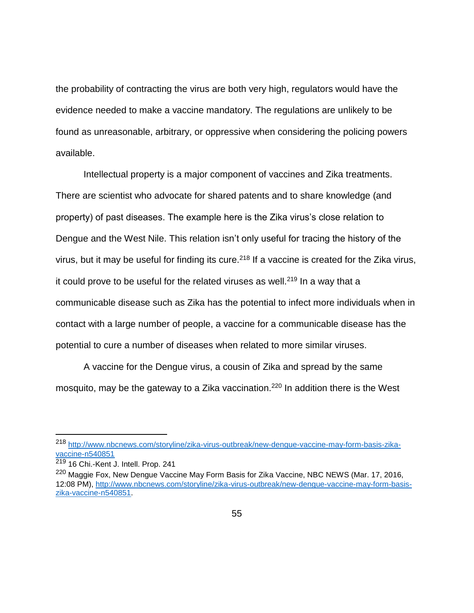the probability of contracting the virus are both very high, regulators would have the evidence needed to make a vaccine mandatory. The regulations are unlikely to be found as unreasonable, arbitrary, or oppressive when considering the policing powers available.

Intellectual property is a major component of vaccines and Zika treatments. There are scientist who advocate for shared patents and to share knowledge (and property) of past diseases. The example here is the Zika virus's close relation to Dengue and the West Nile. This relation isn't only useful for tracing the history of the virus, but it may be useful for finding its cure.<sup>218</sup> If a vaccine is created for the Zika virus, it could prove to be useful for the related viruses as well.<sup>219</sup> In a way that a communicable disease such as Zika has the potential to infect more individuals when in contact with a large number of people, a vaccine for a communicable disease has the potential to cure a number of diseases when related to more similar viruses.

A vaccine for the Dengue virus, a cousin of Zika and spread by the same mosquito, may be the gateway to a Zika vaccination.<sup>220</sup> In addition there is the West

<sup>218</sup> [http://www.nbcnews.com/storyline/zika-virus-outbreak/new-dengue-vaccine-may-form-basis-zika](http://www.nbcnews.com/storyline/zika-virus-outbreak/new-dengue-vaccine-may-form-basis-zika-vaccine-n540851)[vaccine-n540851](http://www.nbcnews.com/storyline/zika-virus-outbreak/new-dengue-vaccine-may-form-basis-zika-vaccine-n540851)

<sup>219</sup> 16 Chi.-Kent J. Intell. Prop. 241

<sup>&</sup>lt;sup>220</sup> Maggie Fox, New Dengue Vaccine May Form Basis for Zika Vaccine, NBC NEWS (Mar. 17, 2016, 12:08 PM), [http://www.nbcnews.com/storyline/zika-virus-outbreak/new-dengue-vaccine-may-form-basis](http://www.nbcnews.com/storyline/zika-virus-outbreak/new-dengue-vaccine-may-form-basis-zika-vaccine-n540851)[zika-vaccine-n540851.](http://www.nbcnews.com/storyline/zika-virus-outbreak/new-dengue-vaccine-may-form-basis-zika-vaccine-n540851)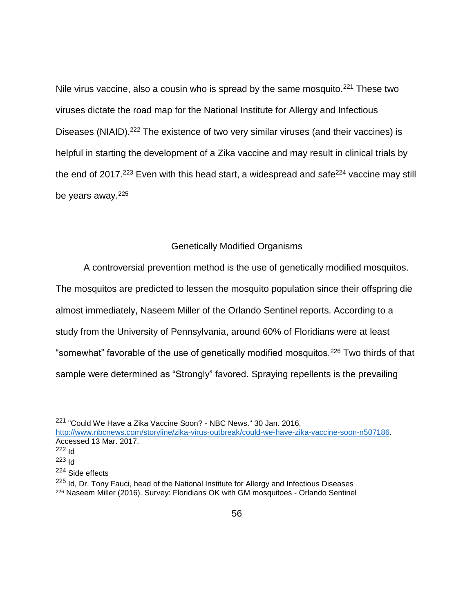Nile virus vaccine, also a cousin who is spread by the same mosquito.<sup>221</sup> These two viruses dictate the road map for the National Institute for Allergy and Infectious Diseases (NIAID).<sup>222</sup> The existence of two very similar viruses (and their vaccines) is helpful in starting the development of a Zika vaccine and may result in clinical trials by the end of 2017.<sup>223</sup> Even with this head start, a widespread and safe<sup>224</sup> vaccine may still be years away.<sup>225</sup>

### Genetically Modified Organisms

A controversial prevention method is the use of genetically modified mosquitos.

The mosquitos are predicted to lessen the mosquito population since their offspring die almost immediately, Naseem Miller of the Orlando Sentinel reports. According to a study from the University of Pennsylvania, around 60% of Floridians were at least "somewhat" favorable of the use of genetically modified mosquitos.<sup>226</sup> Two thirds of that sample were determined as "Strongly" favored. Spraying repellents is the prevailing

<sup>221</sup> "Could We Have a Zika Vaccine Soon? - NBC News." 30 Jan. 2016,

[http://www.nbcnews.com/storyline/zika-virus-outbreak/could-we-have-zika-vaccine-soon-n507186.](http://www.nbcnews.com/storyline/zika-virus-outbreak/could-we-have-zika-vaccine-soon-n507186) Accessed 13 Mar. 2017.

 $222$  Id

<sup>223</sup> Id

<sup>224</sup> Side effects

<sup>&</sup>lt;sup>225</sup> Id, Dr. Tony Fauci, head of the National Institute for Allergy and Infectious Diseases <sup>226</sup> Naseem Miller (2016). Survey: Floridians OK with GM mosquitoes - Orlando Sentinel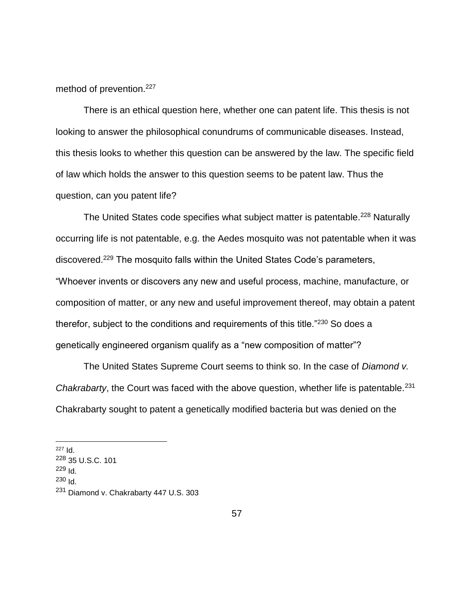method of prevention.<sup>227</sup>

There is an ethical question here, whether one can patent life. This thesis is not looking to answer the philosophical conundrums of communicable diseases. Instead, this thesis looks to whether this question can be answered by the law. The specific field of law which holds the answer to this question seems to be patent law. Thus the question, can you patent life?

The United States code specifies what subject matter is patentable.<sup>228</sup> Naturally occurring life is not patentable, e.g. the Aedes mosquito was not patentable when it was discovered.<sup>229</sup> The mosquito falls within the United States Code's parameters, "Whoever invents or discovers any new and useful process, machine, manufacture, or composition of matter, or any new and useful improvement thereof, may obtain a patent therefor, subject to the conditions and requirements of this title."<sup>230</sup> So does a genetically engineered organism qualify as a "new composition of matter"?

The United States Supreme Court seems to think so. In the case of *Diamond v. Chakrabarty*, the Court was faced with the above question, whether life is patentable.<sup>231</sup> Chakrabarty sought to patent a genetically modified bacteria but was denied on the

 $230$   $\text{Id}$ .

 $\overline{a}$ <sup>227</sup> Id.

<sup>228</sup> 35 U.S.C. 101

 $229$  Id.

<sup>231</sup> Diamond v. Chakrabarty 447 U.S. 303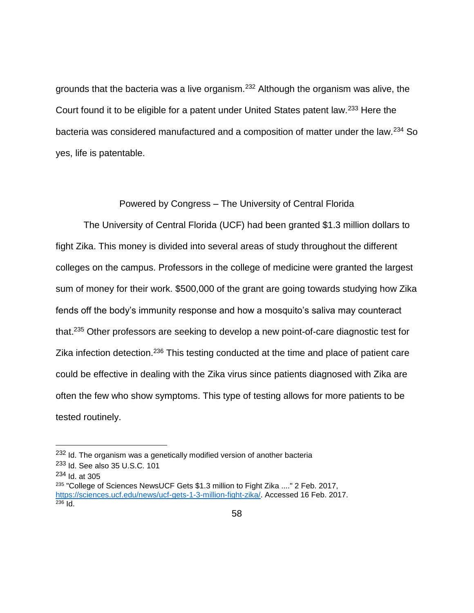grounds that the bacteria was a live organism.<sup>232</sup> Although the organism was alive, the Court found it to be eligible for a patent under United States patent law.<sup>233</sup> Here the bacteria was considered manufactured and a composition of matter under the law.<sup>234</sup> So yes, life is patentable.

Powered by Congress – The University of Central Florida

The University of Central Florida (UCF) had been granted \$1.3 million dollars to fight Zika. This money is divided into several areas of study throughout the different colleges on the campus. Professors in the college of medicine were granted the largest sum of money for their work. \$500,000 of the grant are going towards studying how Zika fends off the body's immunity response and how a mosquito's saliva may counteract that.<sup>235</sup> Other professors are seeking to develop a new point-of-care diagnostic test for Zika infection detection.<sup>236</sup> This testing conducted at the time and place of patient care could be effective in dealing with the Zika virus since patients diagnosed with Zika are often the few who show symptoms. This type of testing allows for more patients to be tested routinely.

<sup>&</sup>lt;sup>232</sup> Id. The organism was a genetically modified version of another bacteria

<sup>233</sup> Id. See also 35 U.S.C. 101

 $234$  Id. at 305

<sup>235</sup> "College of Sciences NewsUCF Gets \$1.3 million to Fight Zika ...." 2 Feb. 2017, [https://sciences.ucf.edu/news/ucf-gets-1-3-million-fight-zika/.](https://sciences.ucf.edu/news/ucf-gets-1-3-million-fight-zika/) Accessed 16 Feb. 2017.  $236$  Id.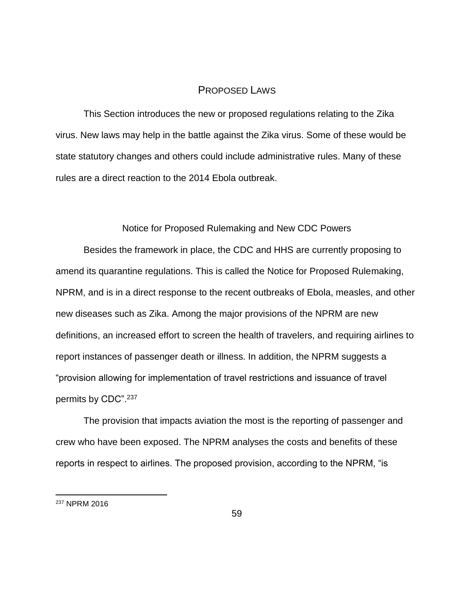# PROPOSED LAWS

This Section introduces the new or proposed regulations relating to the Zika virus. New laws may help in the battle against the Zika virus. Some of these would be state statutory changes and others could include administrative rules. Many of these rules are a direct reaction to the 2014 Ebola outbreak.

#### Notice for Proposed Rulemaking and New CDC Powers

Besides the framework in place, the CDC and HHS are currently proposing to amend its quarantine regulations. This is called the Notice for Proposed Rulemaking, NPRM, and is in a direct response to the recent outbreaks of Ebola, measles, and other new diseases such as Zika. Among the major provisions of the NPRM are new definitions, an increased effort to screen the health of travelers, and requiring airlines to report instances of passenger death or illness. In addition, the NPRM suggests a "provision allowing for implementation of travel restrictions and issuance of travel permits by CDC".<sup>237</sup>

The provision that impacts aviation the most is the reporting of passenger and crew who have been exposed. The NPRM analyses the costs and benefits of these reports in respect to airlines. The proposed provision, according to the NPRM, "is

<sup>237</sup> NPRM 2016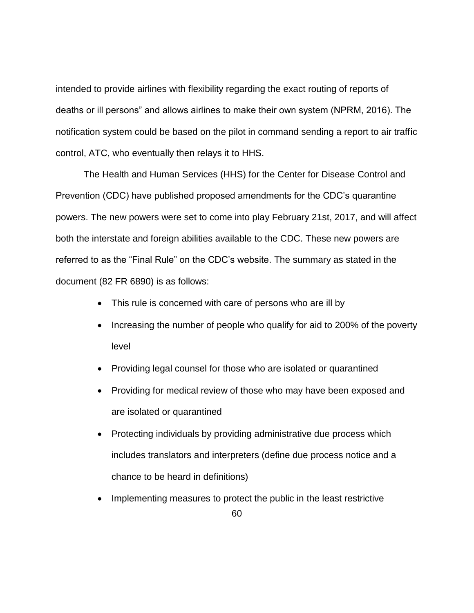intended to provide airlines with flexibility regarding the exact routing of reports of deaths or ill persons" and allows airlines to make their own system (NPRM, 2016). The notification system could be based on the pilot in command sending a report to air traffic control, ATC, who eventually then relays it to HHS.

The Health and Human Services (HHS) for the Center for Disease Control and Prevention (CDC) have published proposed amendments for the CDC's quarantine powers. The new powers were set to come into play February 21st, 2017, and will affect both the interstate and foreign abilities available to the CDC. These new powers are referred to as the "Final Rule" on the CDC's website. The summary as stated in the document (82 FR 6890) is as follows:

- This rule is concerned with care of persons who are ill by
- Increasing the number of people who qualify for aid to 200% of the poverty level
- Providing legal counsel for those who are isolated or quarantined
- Providing for medical review of those who may have been exposed and are isolated or quarantined
- Protecting individuals by providing administrative due process which includes translators and interpreters (define due process notice and a chance to be heard in definitions)
- 60 • Implementing measures to protect the public in the least restrictive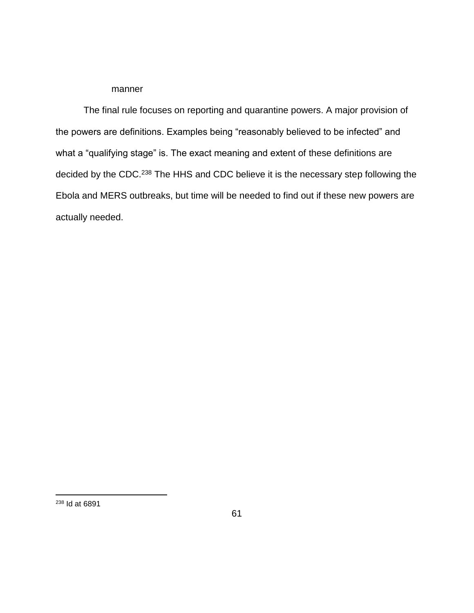#### manner

The final rule focuses on reporting and quarantine powers. A major provision of the powers are definitions. Examples being "reasonably believed to be infected" and what a "qualifying stage" is. The exact meaning and extent of these definitions are decided by the CDC.<sup>238</sup> The HHS and CDC believe it is the necessary step following the Ebola and MERS outbreaks, but time will be needed to find out if these new powers are actually needed.

<sup>238</sup> Id at 6891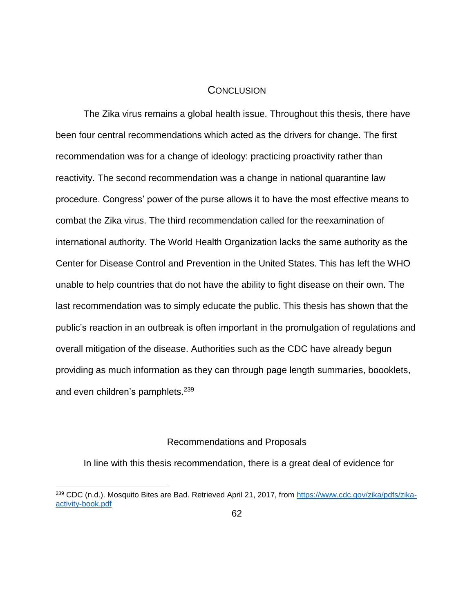## **CONCLUSION**

The Zika virus remains a global health issue. Throughout this thesis, there have been four central recommendations which acted as the drivers for change. The first recommendation was for a change of ideology: practicing proactivity rather than reactivity. The second recommendation was a change in national quarantine law procedure. Congress' power of the purse allows it to have the most effective means to combat the Zika virus. The third recommendation called for the reexamination of international authority. The World Health Organization lacks the same authority as the Center for Disease Control and Prevention in the United States. This has left the WHO unable to help countries that do not have the ability to fight disease on their own. The last recommendation was to simply educate the public. This thesis has shown that the public's reaction in an outbreak is often important in the promulgation of regulations and overall mitigation of the disease. Authorities such as the CDC have already begun providing as much information as they can through page length summaries, boooklets, and even children's pamphlets.<sup>239</sup>

### Recommendations and Proposals

In line with this thesis recommendation, there is a great deal of evidence for

<sup>&</sup>lt;sup>239</sup> CDC (n.d.). Mosquito Bites are Bad. Retrieved April 21, 2017, from [https://www.cdc.gov/zika/pdfs/zika](https://www.cdc.gov/zika/pdfs/zika-activity-book.pdf)[activity-book.pdf](https://www.cdc.gov/zika/pdfs/zika-activity-book.pdf)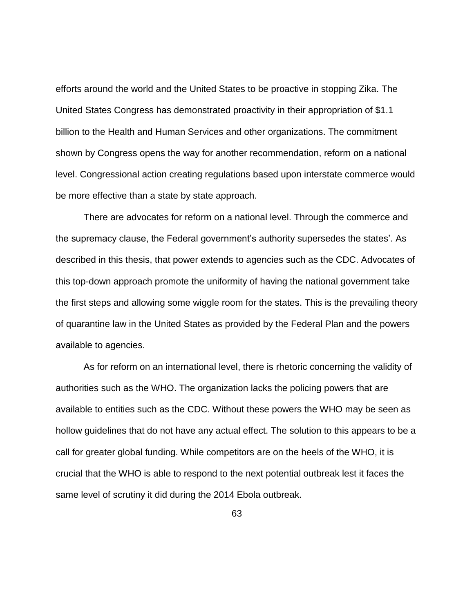efforts around the world and the United States to be proactive in stopping Zika. The United States Congress has demonstrated proactivity in their appropriation of \$1.1 billion to the Health and Human Services and other organizations. The commitment shown by Congress opens the way for another recommendation, reform on a national level. Congressional action creating regulations based upon interstate commerce would be more effective than a state by state approach.

There are advocates for reform on a national level. Through the commerce and the supremacy clause, the Federal government's authority supersedes the states'. As described in this thesis, that power extends to agencies such as the CDC. Advocates of this top-down approach promote the uniformity of having the national government take the first steps and allowing some wiggle room for the states. This is the prevailing theory of quarantine law in the United States as provided by the Federal Plan and the powers available to agencies.

As for reform on an international level, there is rhetoric concerning the validity of authorities such as the WHO. The organization lacks the policing powers that are available to entities such as the CDC. Without these powers the WHO may be seen as hollow guidelines that do not have any actual effect. The solution to this appears to be a call for greater global funding. While competitors are on the heels of the WHO, it is crucial that the WHO is able to respond to the next potential outbreak lest it faces the same level of scrutiny it did during the 2014 Ebola outbreak.

63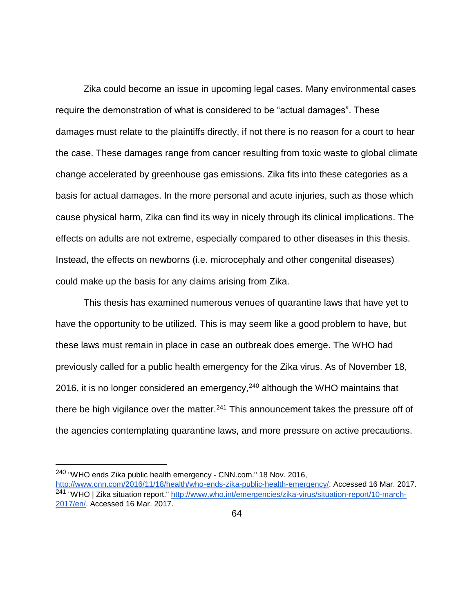Zika could become an issue in upcoming legal cases. Many environmental cases require the demonstration of what is considered to be "actual damages". These damages must relate to the plaintiffs directly, if not there is no reason for a court to hear the case. These damages range from cancer resulting from toxic waste to global climate change accelerated by greenhouse gas emissions. Zika fits into these categories as a basis for actual damages. In the more personal and acute injuries, such as those which cause physical harm, Zika can find its way in nicely through its clinical implications. The effects on adults are not extreme, especially compared to other diseases in this thesis. Instead, the effects on newborns (i.e. microcephaly and other congenital diseases) could make up the basis for any claims arising from Zika.

This thesis has examined numerous venues of quarantine laws that have yet to have the opportunity to be utilized. This is may seem like a good problem to have, but these laws must remain in place in case an outbreak does emerge. The WHO had previously called for a public health emergency for the Zika virus. As of November 18, 2016, it is no longer considered an emergency, $240$  although the WHO maintains that there be high vigilance over the matter. $241$  This announcement takes the pressure off of the agencies contemplating quarantine laws, and more pressure on active precautions.

<sup>240</sup> "WHO ends Zika public health emergency - CNN.com." 18 Nov. 2016,

[http://www.cnn.com/2016/11/18/health/who-ends-zika-public-health-emergency/.](http://www.cnn.com/2016/11/18/health/who-ends-zika-public-health-emergency/) Accessed 16 Mar. 2017. <sup>241</sup> "WHO | Zika situation report." [http://www.who.int/emergencies/zika-virus/situation-report/10-march-](http://www.who.int/emergencies/zika-virus/situation-report/10-march-2017/en/)[2017/en/.](http://www.who.int/emergencies/zika-virus/situation-report/10-march-2017/en/) Accessed 16 Mar. 2017.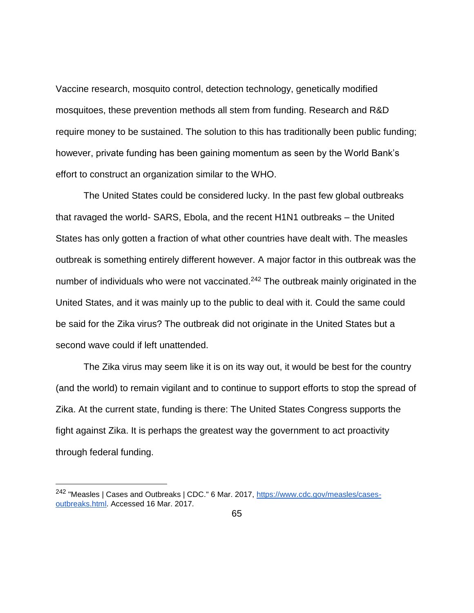Vaccine research, mosquito control, detection technology, genetically modified mosquitoes, these prevention methods all stem from funding. Research and R&D require money to be sustained. The solution to this has traditionally been public funding; however, private funding has been gaining momentum as seen by the World Bank's effort to construct an organization similar to the WHO.

The United States could be considered lucky. In the past few global outbreaks that ravaged the world- SARS, Ebola, and the recent H1N1 outbreaks – the United States has only gotten a fraction of what other countries have dealt with. The measles outbreak is something entirely different however. A major factor in this outbreak was the number of individuals who were not vaccinated.<sup>242</sup> The outbreak mainly originated in the United States, and it was mainly up to the public to deal with it. Could the same could be said for the Zika virus? The outbreak did not originate in the United States but a second wave could if left unattended.

The Zika virus may seem like it is on its way out, it would be best for the country (and the world) to remain vigilant and to continue to support efforts to stop the spread of Zika. At the current state, funding is there: The United States Congress supports the fight against Zika. It is perhaps the greatest way the government to act proactivity through federal funding.

<sup>&</sup>lt;sup>242</sup> "Measles | Cases and Outbreaks | CDC." 6 Mar. 2017, [https://www.cdc.gov/measles/cases](https://www.cdc.gov/measles/cases-outbreaks.html)[outbreaks.html.](https://www.cdc.gov/measles/cases-outbreaks.html) Accessed 16 Mar. 2017.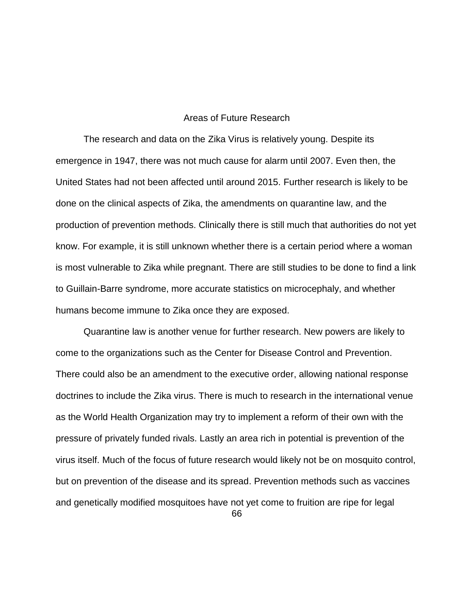### Areas of Future Research

The research and data on the Zika Virus is relatively young. Despite its emergence in 1947, there was not much cause for alarm until 2007. Even then, the United States had not been affected until around 2015. Further research is likely to be done on the clinical aspects of Zika, the amendments on quarantine law, and the production of prevention methods. Clinically there is still much that authorities do not yet know. For example, it is still unknown whether there is a certain period where a woman is most vulnerable to Zika while pregnant. There are still studies to be done to find a link to Guillain-Barre syndrome, more accurate statistics on microcephaly, and whether humans become immune to Zika once they are exposed.

Quarantine law is another venue for further research. New powers are likely to come to the organizations such as the Center for Disease Control and Prevention. There could also be an amendment to the executive order, allowing national response doctrines to include the Zika virus. There is much to research in the international venue as the World Health Organization may try to implement a reform of their own with the pressure of privately funded rivals. Lastly an area rich in potential is prevention of the virus itself. Much of the focus of future research would likely not be on mosquito control, but on prevention of the disease and its spread. Prevention methods such as vaccines and genetically modified mosquitoes have not yet come to fruition are ripe for legal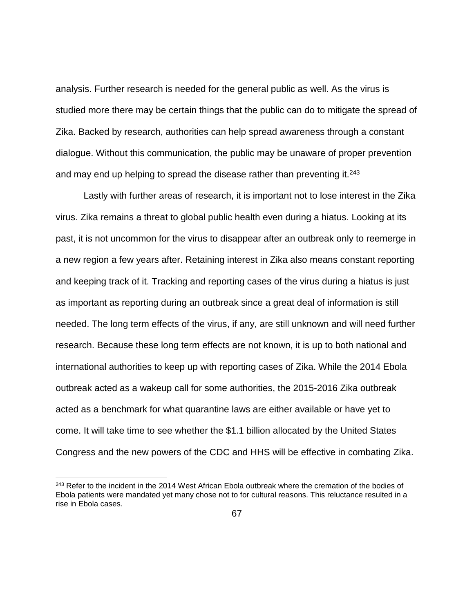analysis. Further research is needed for the general public as well. As the virus is studied more there may be certain things that the public can do to mitigate the spread of Zika. Backed by research, authorities can help spread awareness through a constant dialogue. Without this communication, the public may be unaware of proper prevention and may end up helping to spread the disease rather than preventing it.<sup>243</sup>

Lastly with further areas of research, it is important not to lose interest in the Zika virus. Zika remains a threat to global public health even during a hiatus. Looking at its past, it is not uncommon for the virus to disappear after an outbreak only to reemerge in a new region a few years after. Retaining interest in Zika also means constant reporting and keeping track of it. Tracking and reporting cases of the virus during a hiatus is just as important as reporting during an outbreak since a great deal of information is still needed. The long term effects of the virus, if any, are still unknown and will need further research. Because these long term effects are not known, it is up to both national and international authorities to keep up with reporting cases of Zika. While the 2014 Ebola outbreak acted as a wakeup call for some authorities, the 2015-2016 Zika outbreak acted as a benchmark for what quarantine laws are either available or have yet to come. It will take time to see whether the \$1.1 billion allocated by the United States Congress and the new powers of the CDC and HHS will be effective in combating Zika.

 $\overline{a}$ 

<sup>&</sup>lt;sup>243</sup> Refer to the incident in the 2014 West African Ebola outbreak where the cremation of the bodies of Ebola patients were mandated yet many chose not to for cultural reasons. This reluctance resulted in a rise in Ebola cases.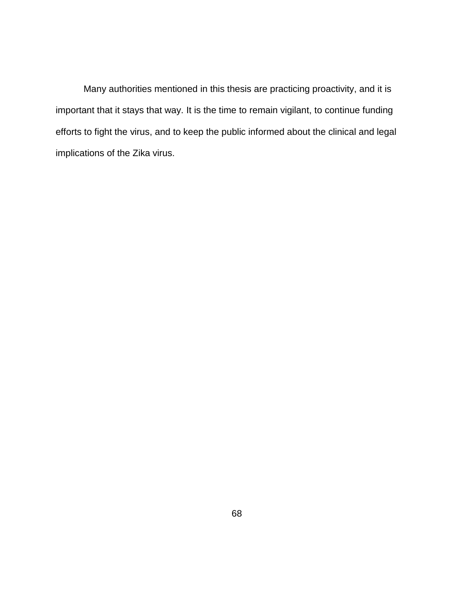Many authorities mentioned in this thesis are practicing proactivity, and it is important that it stays that way. It is the time to remain vigilant, to continue funding efforts to fight the virus, and to keep the public informed about the clinical and legal implications of the Zika virus.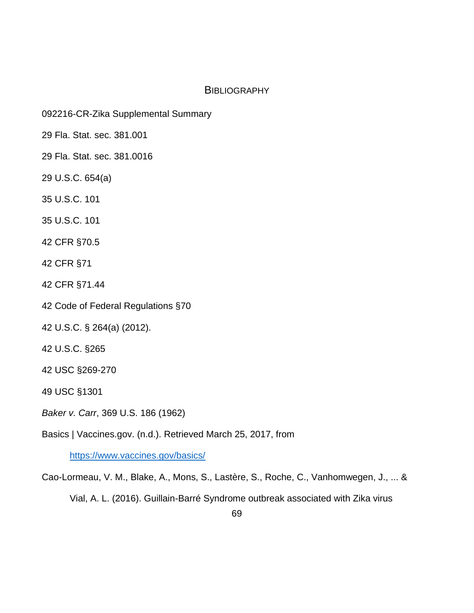## **BIBLIOGRAPHY**

- 092216-CR-Zika Supplemental Summary
- 29 Fla. Stat. sec. 381.001
- 29 Fla. Stat. sec. 381.0016
- 29 U.S.C. 654(a)
- 35 U.S.C. 101
- 35 U.S.C. 101
- 42 CFR §70.5
- 42 CFR §71
- 42 CFR §71.44
- 42 Code of Federal Regulations §70
- 42 U.S.C. § 264(a) (2012).
- 42 U.S.C. §265
- 42 USC §269-270
- 49 USC §1301
- *Baker v. Carr*, 369 U.S. 186 (1962)
- Basics | Vaccines.gov. (n.d.). Retrieved March 25, 2017, from

<https://www.vaccines.gov/basics/>

Cao-Lormeau, V. M., Blake, A., Mons, S., Lastère, S., Roche, C., Vanhomwegen, J., ... &

Vial, A. L. (2016). Guillain-Barré Syndrome outbreak associated with Zika virus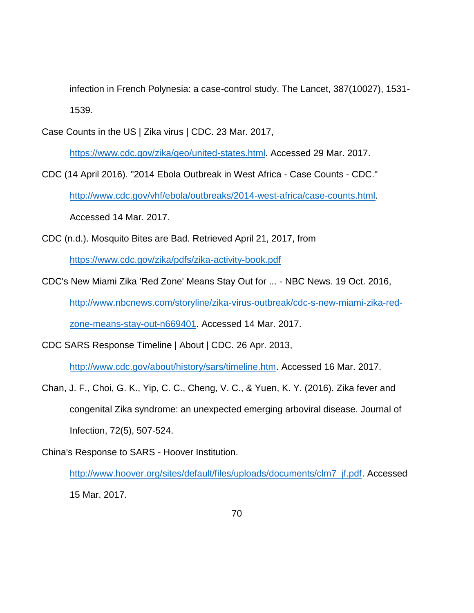infection in French Polynesia: a case-control study. The Lancet, 387(10027), 1531- 1539.

Case Counts in the US | Zika virus | CDC. 23 Mar. 2017,

[https://www.cdc.gov/zika/geo/united-states.html.](https://www.cdc.gov/zika/geo/united-states.html) Accessed 29 Mar. 2017.

- CDC (14 April 2016). "2014 Ebola Outbreak in West Africa Case Counts CDC." [http://www.cdc.gov/vhf/ebola/outbreaks/2014-west-africa/case-counts.html.](http://www.cdc.gov/vhf/ebola/outbreaks/2014-west-africa/case-counts.html) Accessed 14 Mar. 2017.
- CDC (n.d.). Mosquito Bites are Bad. Retrieved April 21, 2017, from

<https://www.cdc.gov/zika/pdfs/zika-activity-book.pdf>

CDC's New Miami Zika 'Red Zone' Means Stay Out for ... - NBC News. 19 Oct. 2016,

[http://www.nbcnews.com/storyline/zika-virus-outbreak/cdc-s-new-miami-zika-red-](http://www.nbcnews.com/storyline/zika-virus-outbreak/cdc-s-new-miami-zika-red-zone-means-stay-out-n669401)

[zone-means-stay-out-n669401.](http://www.nbcnews.com/storyline/zika-virus-outbreak/cdc-s-new-miami-zika-red-zone-means-stay-out-n669401) Accessed 14 Mar. 2017.

CDC SARS Response Timeline | About | CDC. 26 Apr. 2013,

[http://www.cdc.gov/about/history/sars/timeline.htm.](http://www.cdc.gov/about/history/sars/timeline.htm) Accessed 16 Mar. 2017.

- Chan, J. F., Choi, G. K., Yip, C. C., Cheng, V. C., & Yuen, K. Y. (2016). Zika fever and congenital Zika syndrome: an unexpected emerging arboviral disease. Journal of Infection, 72(5), 507-524.
- China's Response to SARS Hoover Institution.

[http://www.hoover.org/sites/default/files/uploads/documents/clm7\\_jf.pdf.](http://www.hoover.org/sites/default/files/uploads/documents/clm7_jf.pdf) Accessed 15 Mar. 2017.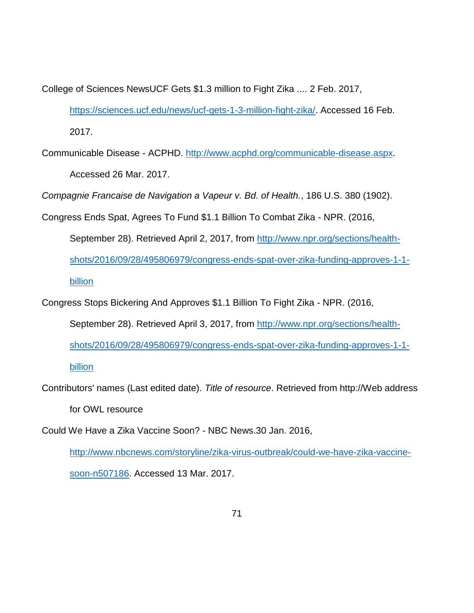College of Sciences NewsUCF Gets \$1.3 million to Fight Zika .... 2 Feb. 2017,

[https://sciences.ucf.edu/news/ucf-gets-1-3-million-fight-zika/.](https://sciences.ucf.edu/news/ucf-gets-1-3-million-fight-zika/) Accessed 16 Feb. 2017.

Communicable Disease - ACPHD. [http://www.acphd.org/communicable-disease.aspx.](http://www.acphd.org/communicable-disease.aspx) Accessed 26 Mar. 2017.

*Compagnie Francaise de Navigation a Vapeur v. Bd. of Health.*, 186 U.S. 380 (1902).

- Congress Ends Spat, Agrees To Fund \$1.1 Billion To Combat Zika NPR. (2016,
	- September 28). Retrieved April 2, 2017, from [http://www.npr.org/sections/health](http://www.npr.org/sections/health-shots/2016/09/28/495806979/congress-ends-spat-over-zika-funding-approves-1-1-billion)[shots/2016/09/28/495806979/congress-ends-spat-over-zika-funding-approves-1-1](http://www.npr.org/sections/health-shots/2016/09/28/495806979/congress-ends-spat-over-zika-funding-approves-1-1-billion) [billion](http://www.npr.org/sections/health-shots/2016/09/28/495806979/congress-ends-spat-over-zika-funding-approves-1-1-billion)

Congress Stops Bickering And Approves \$1.1 Billion To Fight Zika - NPR. (2016, September 28). Retrieved April 3, 2017, from [http://www.npr.org/sections/health](http://www.npr.org/sections/health-shots/2016/09/28/495806979/congress-ends-spat-over-zika-funding-approves-1-1-billion)[shots/2016/09/28/495806979/congress-ends-spat-over-zika-funding-approves-1-1](http://www.npr.org/sections/health-shots/2016/09/28/495806979/congress-ends-spat-over-zika-funding-approves-1-1-billion) [billion](http://www.npr.org/sections/health-shots/2016/09/28/495806979/congress-ends-spat-over-zika-funding-approves-1-1-billion)

Contributors' names (Last edited date). *Title of resource*. Retrieved from http://Web address

for OWL resource

Could We Have a Zika Vaccine Soon? - NBC News.30 Jan. 2016,

[http://www.nbcnews.com/storyline/zika-virus-outbreak/could-we-have-zika-vaccine](http://www.nbcnews.com/storyline/zika-virus-outbreak/could-we-have-zika-vaccine-soon-n507186)[soon-n507186.](http://www.nbcnews.com/storyline/zika-virus-outbreak/could-we-have-zika-vaccine-soon-n507186) Accessed 13 Mar. 2017.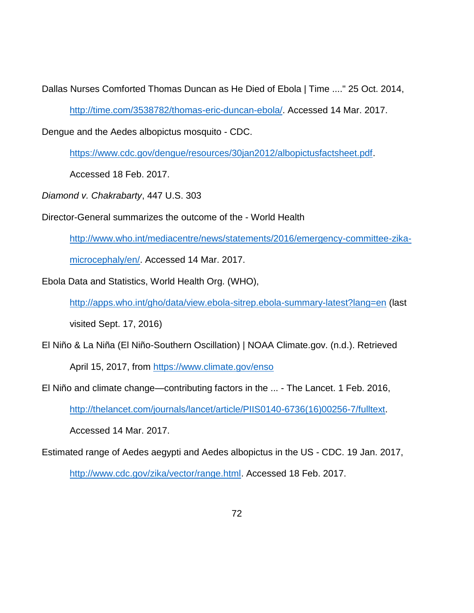Dallas Nurses Comforted Thomas Duncan as He Died of Ebola | Time ...." 25 Oct. 2014,

[http://time.com/3538782/thomas-eric-duncan-ebola/.](http://time.com/3538782/thomas-eric-duncan-ebola/) Accessed 14 Mar. 2017.

Dengue and the Aedes albopictus mosquito - CDC.

[https://www.cdc.gov/dengue/resources/30jan2012/albopictusfactsheet.pdf.](https://www.cdc.gov/dengue/resources/30jan2012/albopictusfactsheet.pdf)

Accessed 18 Feb. 2017.

*Diamond v. Chakrabarty*, 447 U.S. 303

Director-General summarizes the outcome of the - World Health

[http://www.who.int/mediacentre/news/statements/2016/emergency-committee-zika-](http://www.who.int/mediacentre/news/statements/2016/emergency-committee-zika-microcephaly/en/)

[microcephaly/en/.](http://www.who.int/mediacentre/news/statements/2016/emergency-committee-zika-microcephaly/en/) Accessed 14 Mar. 2017.

Ebola Data and Statistics, World Health Org. (WHO),

<http://apps.who.int/gho/data/view.ebola-sitrep.ebola-summary-latest?lang=en> (last

visited Sept. 17, 2016)

El Niño & La Niña (El Niño-Southern Oscillation) | NOAA Climate.gov. (n.d.). Retrieved

April 15, 2017, from<https://www.climate.gov/enso>

El Niño and climate change—contributing factors in the ... - The Lancet. 1 Feb. 2016,

[http://thelancet.com/journals/lancet/article/PIIS0140-6736\(16\)00256-7/fulltext.](http://thelancet.com/journals/lancet/article/PIIS0140-6736(16)00256-7/fulltext)

Accessed 14 Mar. 2017.

Estimated range of Aedes aegypti and Aedes albopictus in the US - CDC. 19 Jan. 2017,

[http://www.cdc.gov/zika/vector/range.html.](http://www.cdc.gov/zika/vector/range.html) Accessed 18 Feb. 2017.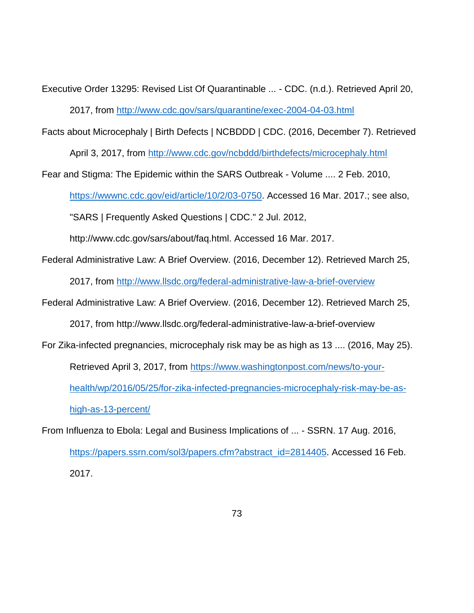- Executive Order 13295: Revised List Of Quarantinable ... CDC. (n.d.). Retrieved April 20, 2017, from<http://www.cdc.gov/sars/quarantine/exec-2004-04-03.html>
- Facts about Microcephaly | Birth Defects | NCBDDD | CDC. (2016, December 7). Retrieved April 3, 2017, from<http://www.cdc.gov/ncbddd/birthdefects/microcephaly.html>

Fear and Stigma: The Epidemic within the SARS Outbreak - Volume .... 2 Feb. 2010, [https://wwwnc.cdc.gov/eid/article/10/2/03-0750.](https://wwwnc.cdc.gov/eid/article/10/2/03-0750) Accessed 16 Mar. 2017.; see also, "SARS | Frequently Asked Questions | CDC." 2 Jul. 2012,

http://www.cdc.gov/sars/about/faq.html. Accessed 16 Mar. 2017.

Federal Administrative Law: A Brief Overview. (2016, December 12). Retrieved March 25,

2017, from<http://www.llsdc.org/federal-administrative-law-a-brief-overview>

Federal Administrative Law: A Brief Overview. (2016, December 12). Retrieved March 25,

2017, from http://www.llsdc.org/federal-administrative-law-a-brief-overview

For Zika-infected pregnancies, microcephaly risk may be as high as 13 .... (2016, May 25).

Retrieved April 3, 2017, from [https://www.washingtonpost.com/news/to-your-](https://www.washingtonpost.com/news/to-your-health/wp/2016/05/25/for-zika-infected-pregnancies-microcephaly-risk-may-be-as-high-as-13-percent/)

[health/wp/2016/05/25/for-zika-infected-pregnancies-microcephaly-risk-may-be-as-](https://www.washingtonpost.com/news/to-your-health/wp/2016/05/25/for-zika-infected-pregnancies-microcephaly-risk-may-be-as-high-as-13-percent/)

[high-as-13-percent/](https://www.washingtonpost.com/news/to-your-health/wp/2016/05/25/for-zika-infected-pregnancies-microcephaly-risk-may-be-as-high-as-13-percent/)

From Influenza to Ebola: Legal and Business Implications of ... - SSRN. 17 Aug. 2016, [https://papers.ssrn.com/sol3/papers.cfm?abstract\\_id=2814405.](https://papers.ssrn.com/sol3/papers.cfm?abstract_id=2814405) Accessed 16 Feb. 2017.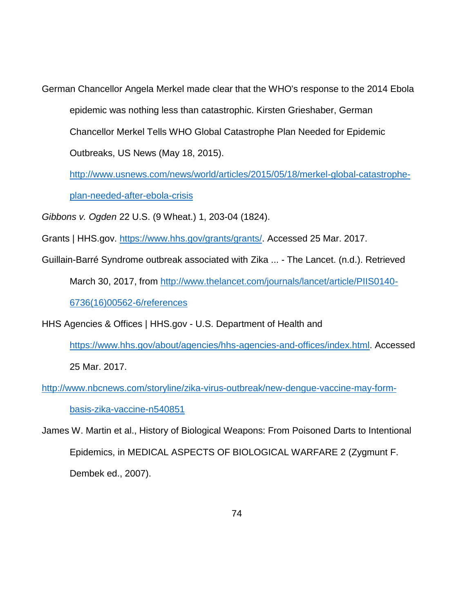German Chancellor Angela Merkel made clear that the WHO's response to the 2014 Ebola epidemic was nothing less than catastrophic. Kirsten Grieshaber, German Chancellor Merkel Tells WHO Global Catastrophe Plan Needed for Epidemic Outbreaks, US News (May 18, 2015).

[http://www.usnews.com/news/world/articles/2015/05/18/merkel-global-catastrophe](http://www.usnews.com/news/world/articles/2015/05/18/merkel-global-catastrophe-plan-needed-after-ebola-crisis)[plan-needed-after-ebola-crisis](http://www.usnews.com/news/world/articles/2015/05/18/merkel-global-catastrophe-plan-needed-after-ebola-crisis)

*Gibbons v. Ogden* 22 U.S. (9 Wheat.) 1, 203-04 (1824).

Grants | HHS.gov. [https://www.hhs.gov/grants/grants/.](https://www.hhs.gov/grants/grants/) Accessed 25 Mar. 2017.

Guillain-Barré Syndrome outbreak associated with Zika ... - The Lancet. (n.d.). Retrieved

March 30, 2017, from [http://www.thelancet.com/journals/lancet/article/PIIS0140-](http://www.thelancet.com/journals/lancet/article/PIIS0140-6736(16)00562-6/references) [6736\(16\)00562-6/references](http://www.thelancet.com/journals/lancet/article/PIIS0140-6736(16)00562-6/references)

HHS Agencies & Offices | HHS.gov - U.S. Department of Health and

[https://www.hhs.gov/about/agencies/hhs-agencies-and-offices/index.html.](https://www.hhs.gov/about/agencies/hhs-agencies-and-offices/index.html) Accessed

25 Mar. 2017.

[http://www.nbcnews.com/storyline/zika-virus-outbreak/new-dengue-vaccine-may-form](http://www.nbcnews.com/storyline/zika-virus-outbreak/new-dengue-vaccine-may-form-basis-zika-vaccine-n540851)[basis-zika-vaccine-n540851](http://www.nbcnews.com/storyline/zika-virus-outbreak/new-dengue-vaccine-may-form-basis-zika-vaccine-n540851)

James W. Martin et al., History of Biological Weapons: From Poisoned Darts to Intentional Epidemics, in MEDICAL ASPECTS OF BIOLOGICAL WARFARE 2 (Zygmunt F. Dembek ed., 2007).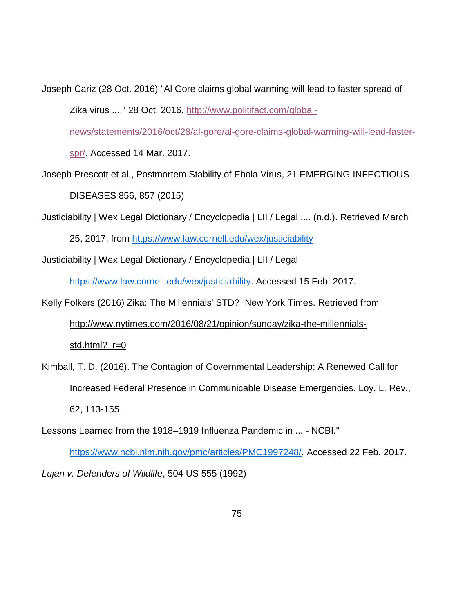Joseph Cariz (28 Oct. 2016) "Al Gore claims global warming will lead to faster spread of Zika virus ...." 28 Oct. 2016, [http://www.politifact.com/global-](http://www.politifact.com/global-news/statements/2016/oct/28/al-gore/al-gore-claims-global-warming-will-lead-faster-spr/)

[news/statements/2016/oct/28/al-gore/al-gore-claims-global-warming-will-lead-faster-](http://www.politifact.com/global-news/statements/2016/oct/28/al-gore/al-gore-claims-global-warming-will-lead-faster-spr/)

[spr/.](http://www.politifact.com/global-news/statements/2016/oct/28/al-gore/al-gore-claims-global-warming-will-lead-faster-spr/) Accessed 14 Mar. 2017.

Joseph Prescott et al., Postmortem Stability of Ebola Virus, 21 EMERGING INFECTIOUS DISEASES 856, 857 (2015)

Justiciability | Wex Legal Dictionary / Encyclopedia | LII / Legal .... (n.d.). Retrieved March 25, 2017, from<https://www.law.cornell.edu/wex/justiciability>

Justiciability | Wex Legal Dictionary / Encyclopedia | LII / Legal

[https://www.law.cornell.edu/wex/justiciability.](https://www.law.cornell.edu/wex/justiciability) Accessed 15 Feb. 2017.

## Kelly Folkers (2016) Zika: The Millennials' STD? New York Times. Retrieved from [http://www.nytimes.com/2016/08/21/opinion/sunday/zika-the-millennials](http://www.nytimes.com/2016/08/21/opinion/sunday/zika-the-millennials-std.html?_r=0)std.html? r=0

- Kimball, T. D. (2016). The Contagion of Governmental Leadership: A Renewed Call for Increased Federal Presence in Communicable Disease Emergencies. Loy. L. Rev., 62, 113-155
- Lessons Learned from the 1918–1919 Influenza Pandemic in ... NCBI."

[https://www.ncbi.nlm.nih.gov/pmc/articles/PMC1997248/.](https://www.ncbi.nlm.nih.gov/pmc/articles/PMC1997248/) Accessed 22 Feb. 2017.

*Lujan v. Defenders of Wildlife*, 504 US 555 (1992)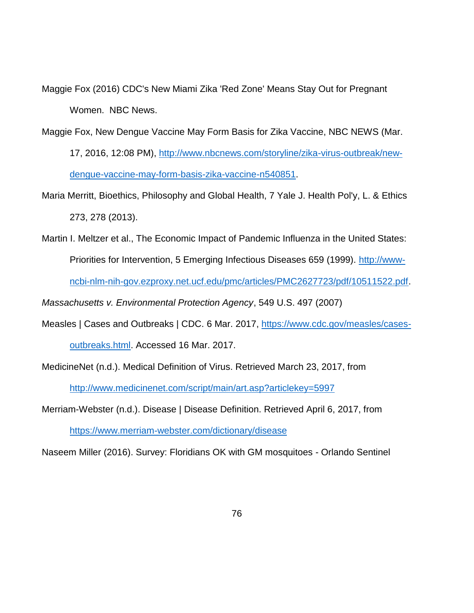Maggie Fox (2016) CDC's New Miami Zika 'Red Zone' Means Stay Out for Pregnant Women. NBC News.

Maggie Fox, New Dengue Vaccine May Form Basis for Zika Vaccine, NBC NEWS (Mar.

17, 2016, 12:08 PM), [http://www.nbcnews.com/storyline/zika-virus-outbreak/new](http://www.nbcnews.com/storyline/zika-virus-outbreak/new-dengue-vaccine-may-form-basis-zika-vaccine-n540851)[dengue-vaccine-may-form-basis-zika-vaccine-n540851.](http://www.nbcnews.com/storyline/zika-virus-outbreak/new-dengue-vaccine-may-form-basis-zika-vaccine-n540851)

- Maria Merritt, Bioethics, Philosophy and Global Health, 7 Yale J. Health Pol'y, L. & Ethics 273, 278 (2013).
- Martin I. Meltzer et al., The Economic Impact of Pandemic Influenza in the United States: Priorities for Intervention, 5 Emerging Infectious Diseases 659 (1999). [http://www](http://www-ncbi-nlm-nih-gov.ezproxy.net.ucf.edu/pmc/articles/PMC2627723/pdf/10511522.pdf)[ncbi-nlm-nih-gov.ezproxy.net.ucf.edu/pmc/articles/PMC2627723/pdf/10511522.pdf.](http://www-ncbi-nlm-nih-gov.ezproxy.net.ucf.edu/pmc/articles/PMC2627723/pdf/10511522.pdf)

*Massachusetts v. Environmental Protection Agency*, 549 U.S. 497 (2007)

Measles | Cases and Outbreaks | CDC. 6 Mar. 2017, [https://www.cdc.gov/measles/cases](https://www.cdc.gov/measles/cases-outbreaks.html)[outbreaks.html.](https://www.cdc.gov/measles/cases-outbreaks.html) Accessed 16 Mar. 2017.

MedicineNet (n.d.). Medical Definition of Virus. Retrieved March 23, 2017, from <http://www.medicinenet.com/script/main/art.asp?articlekey=5997>

Merriam-Webster (n.d.). Disease | Disease Definition. Retrieved April 6, 2017, from

<https://www.merriam-webster.com/dictionary/disease>

Naseem Miller (2016). Survey: Floridians OK with GM mosquitoes - Orlando Sentinel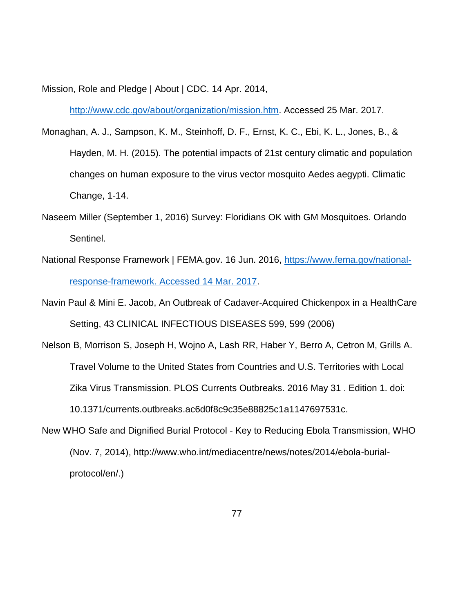Mission, Role and Pledge | About | CDC. 14 Apr. 2014,

[http://www.cdc.gov/about/organization/mission.htm.](http://www.cdc.gov/about/organization/mission.htm) Accessed 25 Mar. 2017.

- Monaghan, A. J., Sampson, K. M., Steinhoff, D. F., Ernst, K. C., Ebi, K. L., Jones, B., & Hayden, M. H. (2015). The potential impacts of 21st century climatic and population changes on human exposure to the virus vector mosquito Aedes aegypti. Climatic Change, 1-14.
- Naseem Miller (September 1, 2016) Survey: Floridians OK with GM Mosquitoes. Orlando Sentinel.
- National Response Framework | FEMA.gov. 16 Jun. 2016, [https://www.fema.gov/national](https://www.fema.gov/national-response-framework.%20Accessed%2014%20Mar.%202017)[response-framework. Accessed 14 Mar. 2017.](https://www.fema.gov/national-response-framework.%20Accessed%2014%20Mar.%202017)

Navin Paul & Mini E. Jacob, An Outbreak of Cadaver-Acquired Chickenpox in a HealthCare Setting, 43 CLINICAL INFECTIOUS DISEASES 599, 599 (2006)

- Nelson B, Morrison S, Joseph H, Wojno A, Lash RR, Haber Y, Berro A, Cetron M, Grills A. Travel Volume to the United States from Countries and U.S. Territories with Local Zika Virus Transmission. PLOS Currents Outbreaks. 2016 May 31 . Edition 1. doi: 10.1371/currents.outbreaks.ac6d0f8c9c35e88825c1a1147697531c.
- New WHO Safe and Dignified Burial Protocol Key to Reducing Ebola Transmission, WHO (Nov. 7, 2014), http://www.who.int/mediacentre/news/notes/2014/ebola-burialprotocol/en/.)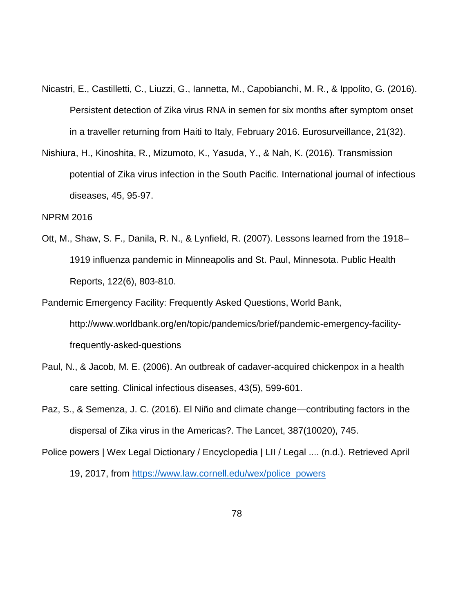- Nicastri, E., Castilletti, C., Liuzzi, G., Iannetta, M., Capobianchi, M. R., & Ippolito, G. (2016). Persistent detection of Zika virus RNA in semen for six months after symptom onset in a traveller returning from Haiti to Italy, February 2016. Eurosurveillance, 21(32).
- Nishiura, H., Kinoshita, R., Mizumoto, K., Yasuda, Y., & Nah, K. (2016). Transmission potential of Zika virus infection in the South Pacific. International journal of infectious diseases, 45, 95-97.

NPRM 2016

- Ott, M., Shaw, S. F., Danila, R. N., & Lynfield, R. (2007). Lessons learned from the 1918– 1919 influenza pandemic in Minneapolis and St. Paul, Minnesota. Public Health Reports, 122(6), 803-810.
- Pandemic Emergency Facility: Frequently Asked Questions, World Bank, http://www.worldbank.org/en/topic/pandemics/brief/pandemic-emergency-facilityfrequently-asked-questions
- Paul, N., & Jacob, M. E. (2006). An outbreak of cadaver-acquired chickenpox in a health care setting. Clinical infectious diseases, 43(5), 599-601.
- Paz, S., & Semenza, J. C. (2016). El Niño and climate change—contributing factors in the dispersal of Zika virus in the Americas?. The Lancet, 387(10020), 745.
- Police powers | Wex Legal Dictionary / Encyclopedia | LII / Legal .... (n.d.). Retrieved April 19, 2017, from [https://www.law.cornell.edu/wex/police\\_powers](https://www.law.cornell.edu/wex/police_powers)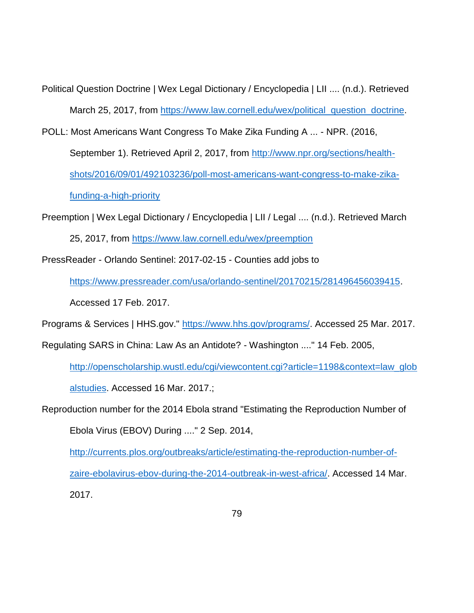Political Question Doctrine | Wex Legal Dictionary / Encyclopedia | LII .... (n.d.). Retrieved March 25, 2017, from [https://www.law.cornell.edu/wex/political\\_question\\_doctrine.](https://www.law.cornell.edu/wex/political_question_doctrine)

POLL: Most Americans Want Congress To Make Zika Funding A ... - NPR. (2016,

September 1). Retrieved April 2, 2017, from [http://www.npr.org/sections/health](http://www.npr.org/sections/health-shots/2016/09/01/492103236/poll-most-americans-want-congress-to-make-zika-funding-a-high-priority)[shots/2016/09/01/492103236/poll-most-americans-want-congress-to-make-zika-](http://www.npr.org/sections/health-shots/2016/09/01/492103236/poll-most-americans-want-congress-to-make-zika-funding-a-high-priority)

[funding-a-high-priority](http://www.npr.org/sections/health-shots/2016/09/01/492103236/poll-most-americans-want-congress-to-make-zika-funding-a-high-priority)

Preemption | Wex Legal Dictionary / Encyclopedia | LII / Legal .... (n.d.). Retrieved March 25, 2017, from<https://www.law.cornell.edu/wex/preemption>

PressReader - Orlando Sentinel: 2017-02-15 - Counties add jobs to

[https://www.pressreader.com/usa/orlando-sentinel/20170215/281496456039415.](https://www.pressreader.com/usa/orlando-sentinel/20170215/281496456039415)

Accessed 17 Feb. 2017.

Programs & Services | HHS.gov." [https://www.hhs.gov/programs/.](https://www.hhs.gov/programs/) Accessed 25 Mar. 2017.

Regulating SARS in China: Law As an Antidote? - Washington ...." 14 Feb. 2005,

[http://openscholarship.wustl.edu/cgi/viewcontent.cgi?article=1198&context=law\\_glob](http://openscholarship.wustl.edu/cgi/viewcontent.cgi?article=1198&context=law_globalstudies) [alstudies.](http://openscholarship.wustl.edu/cgi/viewcontent.cgi?article=1198&context=law_globalstudies) Accessed 16 Mar. 2017.;

Reproduction number for the 2014 Ebola strand "Estimating the Reproduction Number of

Ebola Virus (EBOV) During ...." 2 Sep. 2014,

[http://currents.plos.org/outbreaks/article/estimating-the-reproduction-number-of](http://currents.plos.org/outbreaks/article/estimating-the-reproduction-number-of-zaire-ebolavirus-ebov-during-the-2014-outbreak-in-west-africa/)[zaire-ebolavirus-ebov-during-the-2014-outbreak-in-west-africa/.](http://currents.plos.org/outbreaks/article/estimating-the-reproduction-number-of-zaire-ebolavirus-ebov-during-the-2014-outbreak-in-west-africa/) Accessed 14 Mar. 2017.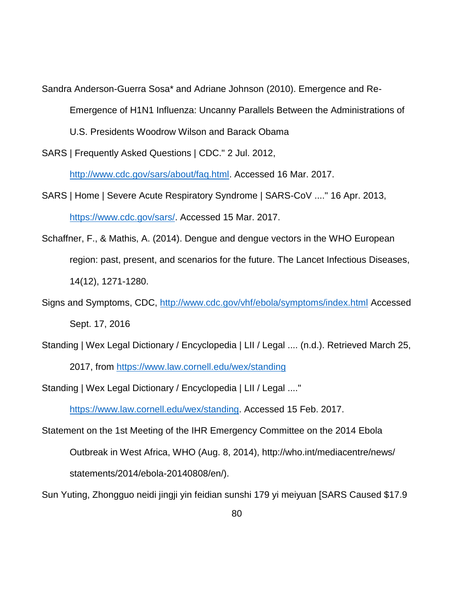Sandra Anderson-Guerra Sosa\* and Adriane Johnson (2010). Emergence and Re-

Emergence of H1N1 Influenza: Uncanny Parallels Between the Administrations of

U.S. Presidents Woodrow Wilson and Barack Obama

SARS | Frequently Asked Questions | CDC." 2 Jul. 2012,

[http://www.cdc.gov/sars/about/faq.html.](http://www.cdc.gov/sars/about/faq.html) Accessed 16 Mar. 2017.

- SARS | Home | Severe Acute Respiratory Syndrome | SARS-CoV ...." 16 Apr. 2013, [https://www.cdc.gov/sars/.](https://www.cdc.gov/sars/) Accessed 15 Mar. 2017.
- Schaffner, F., & Mathis, A. (2014). Dengue and dengue vectors in the WHO European region: past, present, and scenarios for the future. The Lancet Infectious Diseases, 14(12), 1271-1280.
- Signs and Symptoms, CDC,<http://www.cdc.gov/vhf/ebola/symptoms/index.html> Accessed Sept. 17, 2016
- Standing | Wex Legal Dictionary / Encyclopedia | LII / Legal .... (n.d.). Retrieved March 25,

2017, from<https://www.law.cornell.edu/wex/standing>

Standing | Wex Legal Dictionary / Encyclopedia | LII / Legal ...."

[https://www.law.cornell.edu/wex/standing.](https://www.law.cornell.edu/wex/standing) Accessed 15 Feb. 2017.

Statement on the 1st Meeting of the IHR Emergency Committee on the 2014 Ebola Outbreak in West Africa, WHO (Aug. 8, 2014), http://who.int/mediacentre/news/ statements/2014/ebola-20140808/en/).

Sun Yuting, Zhongguo neidi jingji yin feidian sunshi 179 yi meiyuan [SARS Caused \$17.9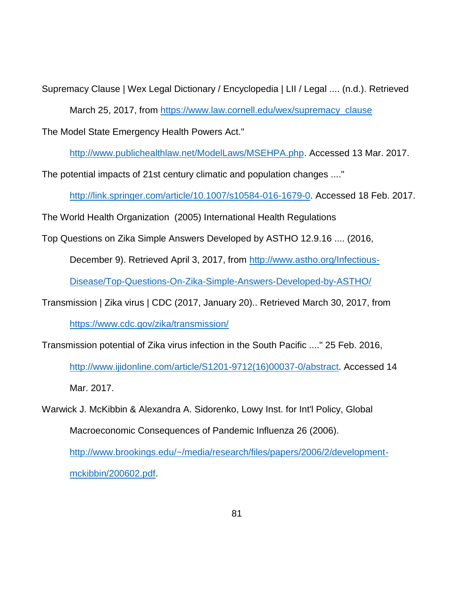Supremacy Clause | Wex Legal Dictionary / Encyclopedia | LII / Legal .... (n.d.). Retrieved March 25, 2017, from [https://www.law.cornell.edu/wex/supremacy\\_clause](https://www.law.cornell.edu/wex/supremacy_clause)

The Model State Emergency Health Powers Act."

[http://www.publichealthlaw.net/ModelLaws/MSEHPA.php.](http://www.publichealthlaw.net/ModelLaws/MSEHPA.php) Accessed 13 Mar. 2017.

The potential impacts of 21st century climatic and population changes ...."

[http://link.springer.com/article/10.1007/s10584-016-1679-0.](http://link.springer.com/article/10.1007/s10584-016-1679-0) Accessed 18 Feb. 2017.

The World Health Organization (2005) International Health Regulations

Top Questions on Zika Simple Answers Developed by ASTHO 12.9.16 .... (2016,

December 9). Retrieved April 3, 2017, from [http://www.astho.org/Infectious-](http://www.astho.org/Infectious-Disease/Top-Questions-On-Zika-Simple-Answers-Developed-by-ASTHO/)

[Disease/Top-Questions-On-Zika-Simple-Answers-Developed-by-ASTHO/](http://www.astho.org/Infectious-Disease/Top-Questions-On-Zika-Simple-Answers-Developed-by-ASTHO/)

Transmission | Zika virus | CDC (2017, January 20).. Retrieved March 30, 2017, from <https://www.cdc.gov/zika/transmission/>

Transmission potential of Zika virus infection in the South Pacific ...." 25 Feb. 2016,

[http://www.ijidonline.com/article/S1201-9712\(16\)00037-0/abstract.](http://www.ijidonline.com/article/S1201-9712(16)00037-0/abstract) Accessed 14 Mar. 2017.

Warwick J. McKibbin & Alexandra A. Sidorenko, Lowy Inst. for Int'l Policy, Global Macroeconomic Consequences of Pandemic Influenza 26 (2006).

[http://www.brookings.edu/~/media/research/files/papers/2006/2/development](http://www.brookings.edu/~/media/research/files/papers/2006/2/development-mckibbin/200602.pdf)[mckibbin/200602.pdf.](http://www.brookings.edu/~/media/research/files/papers/2006/2/development-mckibbin/200602.pdf)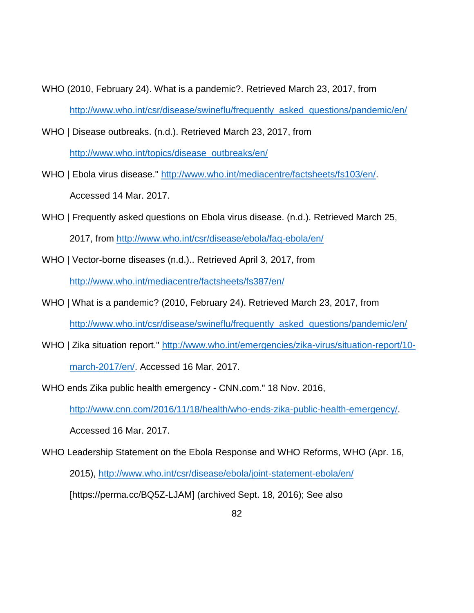- WHO (2010, February 24). What is a pandemic?. Retrieved March 23, 2017, from [http://www.who.int/csr/disease/swineflu/frequently\\_asked\\_questions/pandemic/en/](http://www.who.int/csr/disease/swineflu/frequently_asked_questions/pandemic/en/)
- WHO | Disease outbreaks. (n.d.). Retrieved March 23, 2017, from

[http://www.who.int/topics/disease\\_outbreaks/en/](http://www.who.int/topics/disease_outbreaks/en/)

- WHO | Ebola virus disease." [http://www.who.int/mediacentre/factsheets/fs103/en/.](http://www.who.int/mediacentre/factsheets/fs103/en/) Accessed 14 Mar. 2017.
- WHO | Frequently asked questions on Ebola virus disease. (n.d.). Retrieved March 25, 2017, from<http://www.who.int/csr/disease/ebola/faq-ebola/en/>
- WHO | Vector-borne diseases (n.d.).. Retrieved April 3, 2017, from <http://www.who.int/mediacentre/factsheets/fs387/en/>
- WHO | What is a pandemic? (2010, February 24). Retrieved March 23, 2017, from [http://www.who.int/csr/disease/swineflu/frequently\\_asked\\_questions/pandemic/en/](http://www.who.int/csr/disease/swineflu/frequently_asked_questions/pandemic/en/)
- WHO | Zika situation report." [http://www.who.int/emergencies/zika-virus/situation-report/10](http://www.who.int/emergencies/zika-virus/situation-report/10-march-2017/en/) [march-2017/en/.](http://www.who.int/emergencies/zika-virus/situation-report/10-march-2017/en/) Accessed 16 Mar. 2017.
- WHO ends Zika public health emergency CNN.com." 18 Nov. 2016, [http://www.cnn.com/2016/11/18/health/who-ends-zika-public-health-emergency/.](http://www.cnn.com/2016/11/18/health/who-ends-zika-public-health-emergency/) Accessed 16 Mar. 2017.
- WHO Leadership Statement on the Ebola Response and WHO Reforms, WHO (Apr. 16, 2015),<http://www.who.int/csr/disease/ebola/joint-statement-ebola/en/> [https://perma.cc/BQ5Z-LJAM] (archived Sept. 18, 2016); See also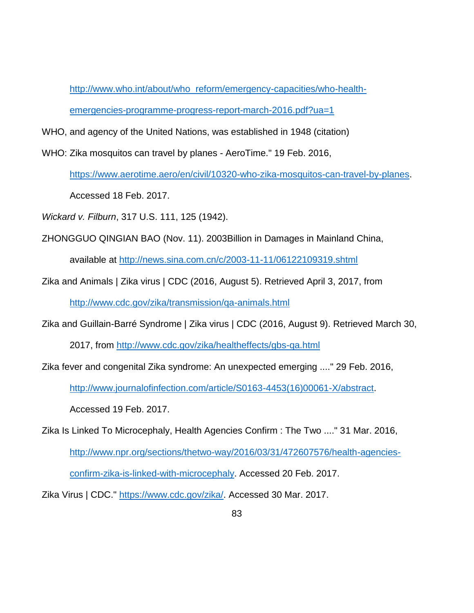[http://www.who.int/about/who\\_reform/emergency-capacities/who-health](http://www.who.int/about/who_reform/emergency-capacities/who-health-emergencies-programme-progress-report-march-2016.pdf?ua=1)[emergencies-programme-progress-report-march-2016.pdf?ua=1](http://www.who.int/about/who_reform/emergency-capacities/who-health-emergencies-programme-progress-report-march-2016.pdf?ua=1)

- WHO, and agency of the United Nations, was established in 1948 (citation)
- WHO: Zika mosquitos can travel by planes AeroTime." 19 Feb. 2016,

[https://www.aerotime.aero/en/civil/10320-who-zika-mosquitos-can-travel-by-planes.](https://www.aerotime.aero/en/civil/10320-who-zika-mosquitos-can-travel-by-planes)

Accessed 18 Feb. 2017.

*Wickard v. Filburn*, 317 U.S. 111, 125 (1942).

ZHONGGUO QINGIAN BAO (Nov. 11). 2003Billion in Damages in Mainland China,

available at<http://news.sina.com.cn/c/2003-11-11/06122109319.shtml>

Zika and Animals | Zika virus | CDC (2016, August 5). Retrieved April 3, 2017, from

<http://www.cdc.gov/zika/transmission/qa-animals.html>

Zika and Guillain-Barré Syndrome | Zika virus | CDC (2016, August 9). Retrieved March 30,

2017, from<http://www.cdc.gov/zika/healtheffects/gbs-qa.html>

Zika fever and congenital Zika syndrome: An unexpected emerging ...." 29 Feb. 2016,

[http://www.journalofinfection.com/article/S0163-4453\(16\)00061-X/abstract.](http://www.journalofinfection.com/article/S0163-4453(16)00061-X/abstract)

Accessed 19 Feb. 2017.

Zika Is Linked To Microcephaly, Health Agencies Confirm : The Two ...." 31 Mar. 2016, [http://www.npr.org/sections/thetwo-way/2016/03/31/472607576/health-agencies](http://www.npr.org/sections/thetwo-way/2016/03/31/472607576/health-agencies-confirm-zika-is-linked-with-microcephaly)[confirm-zika-is-linked-with-microcephaly.](http://www.npr.org/sections/thetwo-way/2016/03/31/472607576/health-agencies-confirm-zika-is-linked-with-microcephaly) Accessed 20 Feb. 2017.

Zika Virus | CDC." [https://www.cdc.gov/zika/.](https://www.cdc.gov/zika/) Accessed 30 Mar. 2017.